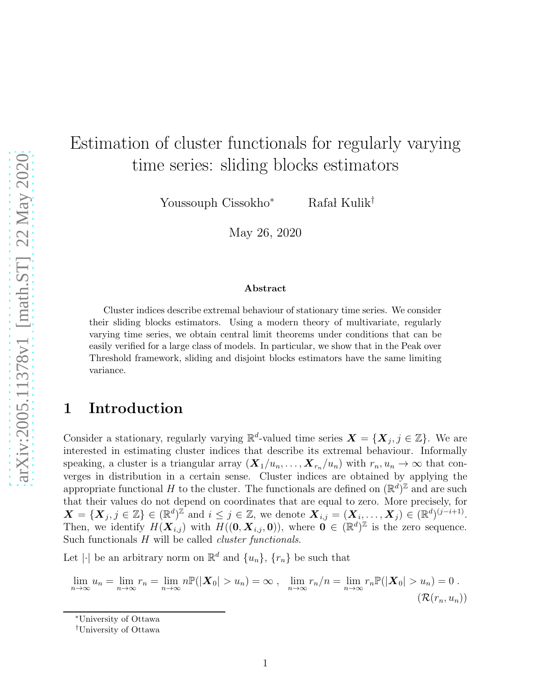# Estimation of cluster functionals for regularly varying time series: sliding blocks estimators

Youssouph Cissokho<sup>∗</sup> Rafał Kulik<sup>†</sup>

May 26, 2020

#### Abstract

Cluster indices describe extremal behaviour of stationary time series. We consider their sliding blocks estimators. Using a modern theory of multivariate, regularly varying time series, we obtain central limit theorems under conditions that can be easily verified for a large class of models. In particular, we show that in the Peak over Threshold framework, sliding and disjoint blocks estimators have the same limiting variance.

# 1 Introduction

Consider a stationary, regularly varying  $\mathbb{R}^d$ -valued time series  $\mathbf{X} = \{ \mathbf{X}_j, j \in \mathbb{Z} \}$ . We are interested in estimating cluster indices that describe its extremal behaviour. Informally speaking, a cluster is a triangular array  $(\mathbf{X}_1/u_n, \ldots, \mathbf{X}_{r_n}/u_n)$  with  $r_n, u_n \to \infty$  that converges in distribution in a certain sense. Cluster indices are obtained by applying the appropriate functional H to the cluster. The functionals are defined on  $(\mathbb{R}^d)^{\mathbb{Z}}$  and are such that their values do not depend on coordinates that are equal to zero. More precisely, for  $\mathbf{X} = \{ \mathbf{X}_j, j \in \mathbb{Z} \} \in (\mathbb{R}^d)^{\mathbb{Z}}$  and  $i \leq j \in \mathbb{Z}$ , we denote  $\mathbf{X}_{i,j} = (\mathbf{X}_{i_1}, \dots, \mathbf{X}_{j}) \in (\mathbb{R}^d)^{(j-i+1)}$ . Then, we identify  $H(\mathbf{X}_{i,j})$  with  $H((0,\mathbf{X}_{i,j},0))$ , where  $0 \in (\mathbb{R}^d)^{\mathbb{Z}}$  is the zero sequence. Such functionals H will be called *cluster functionals*.

Let | $\cdot$ | be an arbitrary norm on  $\mathbb{R}^d$  and  $\{u_n\}$ ,  $\{r_n\}$  be such that

$$
\lim_{n \to \infty} u_n = \lim_{n \to \infty} r_n = \lim_{n \to \infty} n \mathbb{P}(|\boldsymbol{X}_0| > u_n) = \infty , \quad \lim_{n \to \infty} r_n/n = \lim_{n \to \infty} r_n \mathbb{P}(|\boldsymbol{X}_0| > u_n) = 0 .
$$
  

$$
(\mathcal{R}(r_n, u_n))
$$

<span id="page-0-0"></span><sup>∗</sup>University of Ottawa

<sup>†</sup>University of Ottawa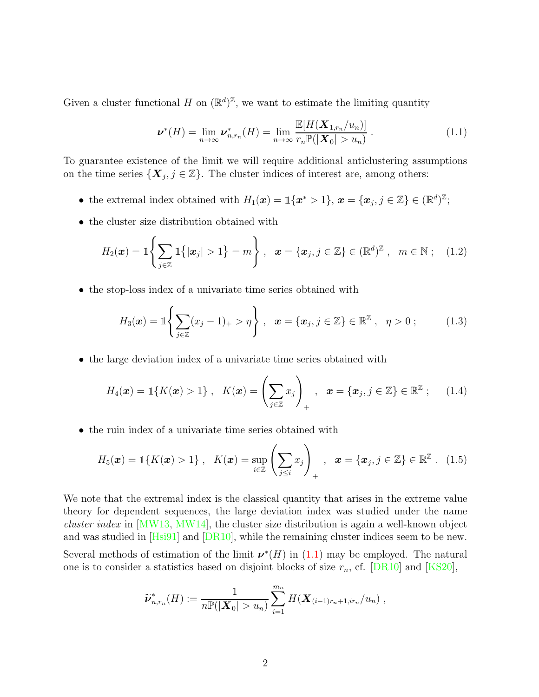Given a cluster functional H on  $(\mathbb{R}^d)^{\mathbb{Z}}$ , we want to estimate the limiting quantity

<span id="page-1-1"></span><span id="page-1-0"></span>
$$
\boldsymbol{\nu}^*(H) = \lim_{n \to \infty} \boldsymbol{\nu}_{n,r_n}^*(H) = \lim_{n \to \infty} \frac{\mathbb{E}[H(\boldsymbol{X}_{1,r_n}/u_n)]}{r_n \mathbb{P}(|\boldsymbol{X}_0| > u_n)}.
$$
(1.1)

To guarantee existence of the limit we will require additional anticlustering assumptions on the time series  $\{X_j, j \in \mathbb{Z}\}$ . The cluster indices of interest are, among others:

- the extremal index obtained with  $H_1(\boldsymbol{x}) = \mathbb{I}\{\boldsymbol{x}^* > 1\}, \, \boldsymbol{x} = \{\boldsymbol{x}_j, j \in \mathbb{Z}\} \in (\mathbb{R}^d)^{\mathbb{Z}};$
- the cluster size distribution obtained with

$$
H_2(\boldsymbol{x}) = \mathbb{1}\left\{\sum_{j\in\mathbb{Z}}\mathbb{1}\left\{|x_j|>1\right\} = m\right\}, \ \ \boldsymbol{x} = \{\boldsymbol{x}_j, j\in\mathbb{Z}\}\in(\mathbb{R}^d)^{\mathbb{Z}}, \ \ m\in\mathbb{N} \ ; \ \ (1.2)
$$

• the stop-loss index of a univariate time series obtained with

<span id="page-1-3"></span><span id="page-1-2"></span>
$$
H_3(\boldsymbol{x}) = \mathbb{1}\left\{\sum_{j\in\mathbb{Z}}(x_j-1)_+ > \eta\right\}, \quad \boldsymbol{x} = \{\boldsymbol{x}_j, j\in\mathbb{Z}\} \in \mathbb{R}^{\mathbb{Z}}, \quad \eta > 0 ; \tag{1.3}
$$

• the large deviation index of a univariate time series obtained with

$$
H_4(\boldsymbol{x}) = \mathbb{1}\{K(\boldsymbol{x}) > 1\}, \quad K(\boldsymbol{x}) = \left(\sum_{j\in\mathbb{Z}} x_j\right)_+, \quad \boldsymbol{x} = \{\boldsymbol{x}_j, j\in\mathbb{Z}\} \in \mathbb{R}^{\mathbb{Z}}; \qquad (1.4)
$$

• the ruin index of a univariate time series obtained with

$$
H_5(\boldsymbol{x}) = \mathbb{1}\{K(\boldsymbol{x}) > 1\}, \quad K(\boldsymbol{x}) = \sup_{i \in \mathbb{Z}} \left( \sum_{j \leq i} x_j \right)_+, \quad \boldsymbol{x} = \{x_j, j \in \mathbb{Z}\} \in \mathbb{R}^{\mathbb{Z}}. \tag{1.5}
$$

We note that the extremal index is the classical quantity that arises in the extreme value theory for dependent sequences, the large deviation index was studied under the name *cluster index* in [\[MW13,](#page-40-0) [MW14\]](#page-41-0), the cluster size distribution is again a well-known object and was studied in [\[Hsi91\]](#page-40-1) and [\[DR10\]](#page-40-2), while the remaining cluster indices seem to be new.

Several methods of estimation of the limit  $\nu^*(H)$  in [\(1.1\)](#page-1-0) may be employed. The natural one is to consider a statistics based on disjoint blocks of size  $r_n$ , cf. [\[DR10\]](#page-40-2) and [\[KS20\]](#page-40-3),

<span id="page-1-4"></span>
$$
\widetilde{\nu}_{n,r_n}^*(H) := \frac{1}{n\mathbb{P}(|\mathbf{X}_0| > u_n)} \sum_{i=1}^{m_n} H(\mathbf{X}_{(i-1)r_n+1,ir_n}/u_n) ,
$$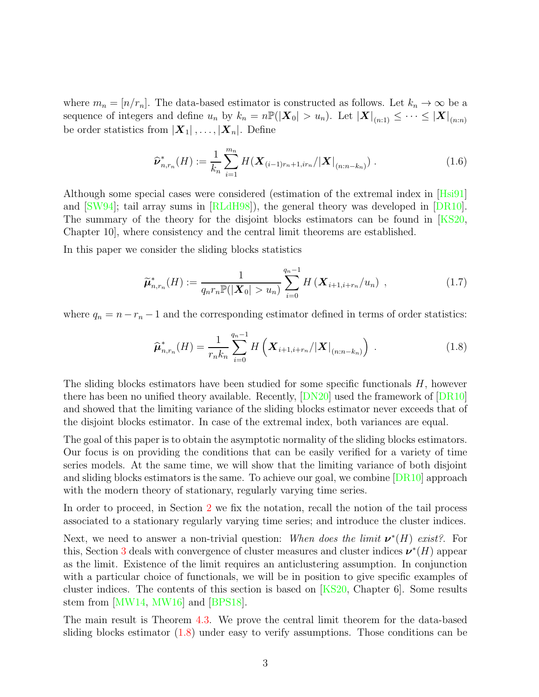where  $m_n = [n/r_n]$ . The data-based estimator is constructed as follows. Let  $k_n \to \infty$  be a sequence of integers and define  $u_n$  by  $k_n = n \mathbb{P}(|\boldsymbol{X}_0| > u_n)$ . Let  $|\boldsymbol{X}|_{(n:1)} \leq \cdots \leq |\boldsymbol{X}|_{(n:n)}$ be order statistics from  $|\mathbf{X}_1|, \ldots, |\mathbf{X}_n|$ . Define

<span id="page-2-1"></span>
$$
\widehat{\nu}_{n,r_n}^*(H) := \frac{1}{k_n} \sum_{i=1}^{m_n} H(\mathbf{X}_{(i-1)r_n+1,ir_n}/|\mathbf{X}|_{(n:n-k_n)}) . \tag{1.6}
$$

Although some special cases were considered (estimation of the extremal index in [\[Hsi91\]](#page-40-1) and [\[SW94\]](#page-41-1); tail array sums in [\[RLdH98\]](#page-41-2)), the general theory was developed in [\[DR10\]](#page-40-2). The summary of the theory for the disjoint blocks estimators can be found in [\[KS20,](#page-40-3) Chapter 10], where consistency and the central limit theorems are established.

In this paper we consider the sliding blocks statistics

$$
\widetilde{\mu}_{n,r_n}^*(H) := \frac{1}{q_n r_n \mathbb{P}(|\mathbf{X}_0| > u_n)} \sum_{i=0}^{q_n - 1} H\left(\mathbf{X}_{i+1,i+r_n}/u_n\right) ,\qquad (1.7)
$$

where  $q_n = n - r_n - 1$  and the corresponding estimator defined in terms of order statistics:

<span id="page-2-2"></span><span id="page-2-0"></span>
$$
\widehat{\mu}_{n,r_n}^*(H) = \frac{1}{r_n k_n} \sum_{i=0}^{q_n - 1} H\left(\mathbf{X}_{i+1,i+r_n}/|\mathbf{X}|_{(n:n-k_n)}\right) \,. \tag{1.8}
$$

The sliding blocks estimators have been studied for some specific functionals H, however there has been no unified theory available. Recently,  $[DN20]$  used the framework of  $[DR10]$ and showed that the limiting variance of the sliding blocks estimator never exceeds that of the disjoint blocks estimator. In case of the extremal index, both variances are equal.

The goal of this paper is to obtain the asymptotic normality of the sliding blocks estimators. Our focus is on providing the conditions that can be easily verified for a variety of time series models. At the same time, we will show that the limiting variance of both disjoint and sliding blocks estimators is the same. To achieve our goal, we combine [\[DR10\]](#page-40-2) approach with the modern theory of stationary, regularly varying time series.

In order to proceed, in Section [2](#page-3-0) we fix the notation, recall the notion of the tail process associated to a stationary regularly varying time series; and introduce the cluster indices.

Next, we need to answer a non-trivial question: When does the limit  $v^*(H)$  exist?. For this, Section [3](#page-5-0) deals with convergence of cluster measures and cluster indices  $\nu^*(H)$  appear as the limit. Existence of the limit requires an anticlustering assumption. In conjunction with a particular choice of functionals, we will be in position to give specific examples of cluster indices. The contents of this section is based on [\[KS20,](#page-40-3) Chapter 6]. Some results stem from [\[MW14,](#page-41-0) [MW16\]](#page-41-3) and [\[BPS18\]](#page-40-5).

The main result is Theorem [4.3.](#page-9-0) We prove the central limit theorem for the data-based sliding blocks estimator [\(1.8\)](#page-2-0) under easy to verify assumptions. Those conditions can be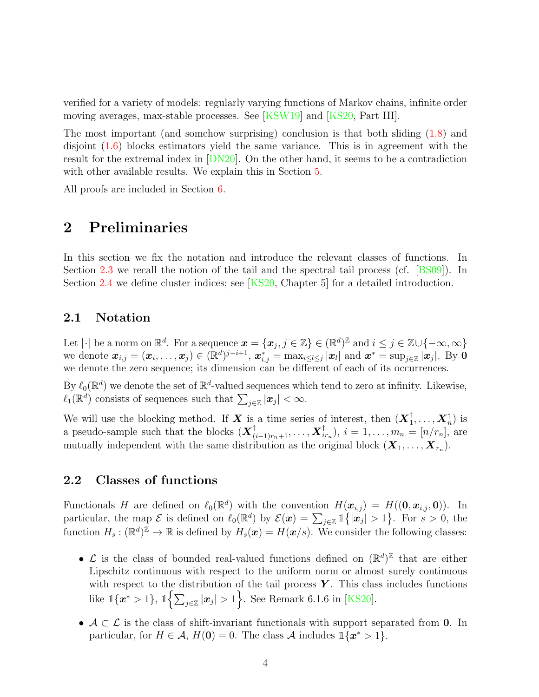verified for a variety of models: regularly varying functions of Markov chains, infinite order moving averages, max-stable processes. See [\[KSW19\]](#page-40-6) and [\[KS20,](#page-40-3) Part III].

The most important (and somehow surprising) conclusion is that both sliding [\(1.8\)](#page-2-0) and disjoint [\(1.6\)](#page-2-1) blocks estimators yield the same variance. This is in agreement with the result for the extremal index in [\[DN20\]](#page-40-4). On the other hand, it seems to be a contradiction with other available results. We explain this in Section [5.](#page-11-0)

<span id="page-3-0"></span>All proofs are included in Section [6.](#page-13-0)

# 2 Preliminaries

In this section we fix the notation and introduce the relevant classes of functions. In Section [2.3](#page-4-0) we recall the notion of the tail and the spectral tail process (cf. [\[BS09\]](#page-40-7)). In Section [2.4](#page-4-1) we define cluster indices; see [\[KS20,](#page-40-3) Chapter 5] for a detailed introduction.

## 2.1 Notation

Let  $|\cdot|$  be a norm on  $\mathbb{R}^d$ . For a sequence  $\boldsymbol{x} = \{\boldsymbol{x}_j, j \in \mathbb{Z}\} \in (\mathbb{R}^d)^{\mathbb{Z}}$  and  $i \leq j \in \mathbb{Z} \cup \{-\infty, \infty\}$ we denote  $\boldsymbol{x}_{i,j} = (\boldsymbol{x}_i, \dots, \boldsymbol{x}_j) \in (\mathbb{R}^d)^{j-i+1}$ ,  $\boldsymbol{x}_{i,j}^* = \max_{i \leq l \leq j} |\boldsymbol{x}_l|$  and  $\boldsymbol{x}^* = \sup_{j \in \mathbb{Z}} |\boldsymbol{x}_j|$ . By  $\boldsymbol{0}$ we denote the zero sequence; its dimension can be different of each of its occurrences.

By  $\ell_0(\mathbb{R}^d)$  we denote the set of  $\mathbb{R}^d$ -valued sequences which tend to zero at infinity. Likewise,  $\ell_1(\mathbb{R}^d)$  consists of sequences such that  $\sum_{j\in\mathbb{Z}}|\boldsymbol{x}_j|<\infty$ .

We will use the blocking method. If **X** is a time series of interest, then  $(X_1^{\dagger}, \ldots, X_n^{\dagger})$  is a pseudo-sample such that the blocks  $(\boldsymbol{X}_{(i-1)r_n+1}^{\dagger}, \ldots, \boldsymbol{X}_{ir_n}^{\dagger}), i = 1, \ldots, m_n = [n/r_n],$  are mutually independent with the same distribution as the original block  $(\boldsymbol{X}_1, \ldots, \boldsymbol{X}_{r_n})$ .

# 2.2 Classes of functions

Functionals H are defined on  $\ell_0(\mathbb{R}^d)$  with the convention  $H(\boldsymbol{x}_{i,j}) = H((\boldsymbol{0}, \boldsymbol{x}_{i,j}, \boldsymbol{0}))$ . In particular, the map  $\mathcal E$  is defined on  $\ell_0(\mathbb R^d)$  by  $\mathcal E(\boldsymbol x) = \sum_{j\in\mathbb Z} \mathbbm{1}\big\{|\boldsymbol x_j| > 1\big\}$ . For  $s > 0$ , the function  $H_s : (\mathbb{R}^d)^{\mathbb{Z}} \to \mathbb{R}$  is defined by  $H_s(\boldsymbol{x}) = H(\boldsymbol{x}/s)$ . We consider the following classes:

- $\mathcal{L}$  is the class of bounded real-valued functions defined on  $(\mathbb{R}^d)^{\mathbb{Z}}$  that are either Lipschitz continuous with respect to the uniform norm or almost surely continuous with respect to the distribution of the tail process  $\boldsymbol{Y}$ . This class includes functions like  $\mathbb{1}\{\mathbf{x}^*>1\}$ ,  $\mathbb{1}\left\{\sum_{j\in\mathbb{Z}}|\mathbf{x}_j|>1\right\}$ . See Remark 6.1.6 in [\[KS20\]](#page-40-3).
- $A \subset \mathcal{L}$  is the class of shift-invariant functionals with support separated from 0. In particular, for  $H \in \mathcal{A}$ ,  $H(\mathbf{0}) = 0$ . The class  $\mathcal{A}$  includes  $\mathbb{1}\{\mathbf{x}^* > 1\}$ .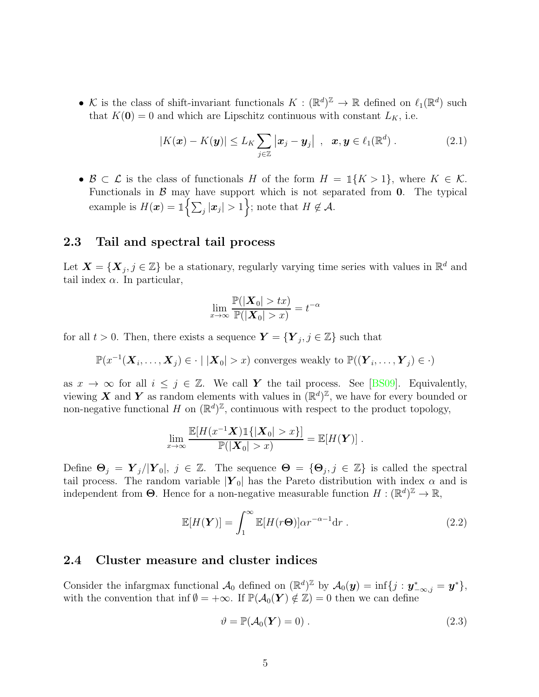• K is the class of shift-invariant functionals  $K : (\mathbb{R}^d)^{\mathbb{Z}} \to \mathbb{R}$  defined on  $\ell_1(\mathbb{R}^d)$  such that  $K(\mathbf{0}) = 0$  and which are Lipschitz continuous with constant  $L_K$ , i.e.

<span id="page-4-4"></span>
$$
|K(\boldsymbol{x}) - K(\boldsymbol{y})| \le L_K \sum_{j \in \mathbb{Z}} |\boldsymbol{x}_j - \boldsymbol{y}_j| \, , \, \boldsymbol{x}, \boldsymbol{y} \in \ell_1(\mathbb{R}^d) \, . \tag{2.1}
$$

•  $\mathcal{B} \subset \mathcal{L}$  is the class of functionals H of the form  $H = \mathbb{1}\{K > 1\}$ , where  $K \in \mathcal{K}$ . Functionals in  $\beta$  may have support which is not separated from 0. The typical example is  $H(\boldsymbol{x}) = \mathbb{1}\left\{\sum_j |\boldsymbol{x}_j| > 1\right\}$ ; note that  $H \notin \mathcal{A}$ .

## <span id="page-4-0"></span>2.3 Tail and spectral tail process

Let  $\mathbf{X} = \{ \mathbf{X}_j, j \in \mathbb{Z} \}$  be a stationary, regularly varying time series with values in  $\mathbb{R}^d$  and tail index  $\alpha$ . In particular,

$$
\lim_{x \to \infty} \frac{\mathbb{P}(|\boldsymbol{X}_0| > tx)}{\mathbb{P}(|\boldsymbol{X}_0| > x)} = t^{-\alpha}
$$

for all  $t > 0$ . Then, there exists a sequence  $\boldsymbol{Y} = \{ \boldsymbol{Y}_j, j \in \mathbb{Z} \}$  such that

$$
\mathbb{P}(x^{-1}(\boldsymbol{X}_i,\ldots,\boldsymbol{X}_j)\in\cdot\mid|\boldsymbol{X}_0|>x)
$$
 converges weakly to  $\mathbb{P}((\boldsymbol{Y}_i,\ldots,\boldsymbol{Y}_j)\in\cdot)$ 

as  $x \to \infty$  for all  $i \leq j \in \mathbb{Z}$ . We call Y the tail process. See [\[BS09\]](#page-40-7). Equivalently, viewing X and Y as random elements with values in  $(\mathbb{R}^d)^{\mathbb{Z}}$ , we have for every bounded or non-negative functional H on  $(\mathbb{R}^d)^{\mathbb{Z}}$ , continuous with respect to the product topology,

$$
\lim_{x\to\infty}\frac{\mathbb{E}[H(x^{-1}\boldsymbol{X})\mathbb{1}\{|X_0|>x\}]}{\mathbb{P}(|X_0|>x)}=\mathbb{E}[H(\boldsymbol{Y})].
$$

Define  $\mathbf{\Theta}_j = \mathbf{Y}_j/|\mathbf{Y}_0|, j \in \mathbb{Z}$ . The sequence  $\mathbf{\Theta} = {\Theta_j, j \in \mathbb{Z}}$  is called the spectral tail process. The random variable  $|\mathbf{Y}_0|$  has the Pareto distribution with index  $\alpha$  and is independent from  $\Theta$ . Hence for a non-negative measurable function  $H : (\mathbb{R}^d)^{\mathbb{Z}} \to \mathbb{R}$ ,

$$
\mathbb{E}[H(\boldsymbol{Y})] = \int_{1}^{\infty} \mathbb{E}[H(r\boldsymbol{\Theta})] \alpha r^{-\alpha - 1} dr . \qquad (2.2)
$$

#### <span id="page-4-1"></span>2.4 Cluster measure and cluster indices

Consider the infargmax functional  $\mathcal{A}_0$  defined on  $(\mathbb{R}^d)^{\mathbb{Z}}$  by  $\mathcal{A}_0(\mathbf{y}) = \inf\{j : \mathbf{y}_{-\infty,j}^* = \mathbf{y}^*\},$ with the convention that inf  $\emptyset = +\infty$ . If  $\mathbb{P}(\mathcal{A}_0(\boldsymbol{Y}) \notin \mathbb{Z}) = 0$  then we can define

<span id="page-4-3"></span><span id="page-4-2"></span>
$$
\vartheta = \mathbb{P}(\mathcal{A}_0(\boldsymbol{Y}) = 0) \,. \tag{2.3}
$$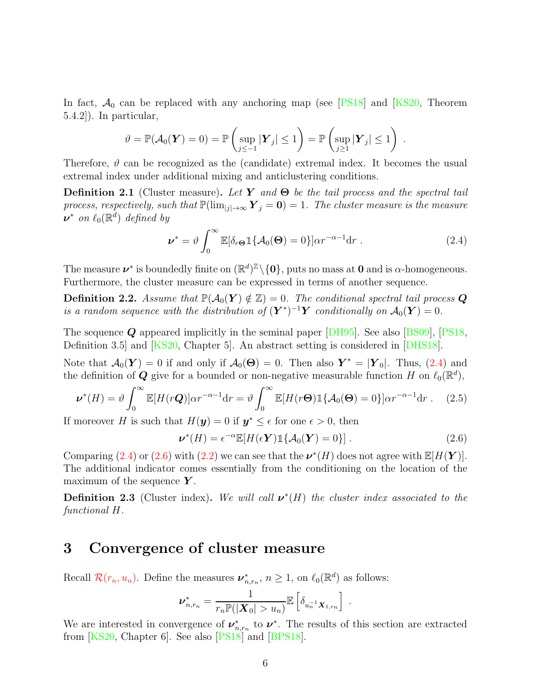In fact,  $A_0$  can be replaced with any anchoring map (see [\[PS18\]](#page-41-4) and [\[KS20,](#page-40-3) Theorem 5.4.2]). In particular,

$$
\vartheta = \mathbb{P}(\mathcal{A}_0(\boldsymbol{Y}) = 0) = \mathbb{P}\left(\sup_{j \leq -1} |\boldsymbol{Y}_j| \leq 1\right) = \mathbb{P}\left(\sup_{j \geq 1} |\boldsymbol{Y}_j| \leq 1\right).
$$

Therefore,  $\vartheta$  can be recognized as the (candidate) extremal index. It becomes the usual extremal index under additional mixing and anticlustering conditions.

Definition 2.1 (Cluster measure). *Let* Y *and* Θ *be the tail process and the spectral tail process, respectively, such that*  $\mathbb{P}(\lim_{|j| \to \infty} \mathbf{Y}_j = \mathbf{0}) = 1$ . The cluster measure is the measure  $\nu^*$  *on*  $\ell_0(\mathbb{R}^d)$  *defined by* 

<span id="page-5-1"></span>
$$
\nu^* = \vartheta \int_0^\infty \mathbb{E}[\delta_r \Theta \mathbb{1}\{\mathcal{A}_0(\Theta) = 0\}] \alpha r^{-\alpha - 1} dr . \qquad (2.4)
$$

The measure  $\nu^*$  is boundedly finite on  $(\mathbb{R}^d)^{\mathbb{Z}} \setminus \{0\}$ , puts no mass at 0 and is  $\alpha$ -homogeneous. Furthermore, the cluster measure can be expressed in terms of another sequence.

**Definition 2.2.** Assume that  $\mathbb{P}(\mathcal{A}_0(\boldsymbol{Y}) \notin \mathbb{Z}) = 0$ . The conditional spectral tail process Q *is a random sequence with the distribution of*  $(Y^*)^{-1}Y$  *conditionally on*  $\mathcal{A}_0(Y) = 0$ *.* 

The sequence  $\bf{Q}$  appeared implicitly in the seminal paper [\[DH95\]](#page-40-8). See also [\[BS09\]](#page-40-7), [\[PS18,](#page-41-4) Definition 3.5] and [\[KS20,](#page-40-3) Chapter 5]. An abstract setting is considered in [\[DHS18\]](#page-40-9).

Note that  $\mathcal{A}_0(\boldsymbol{Y}) = 0$  if and only if  $\mathcal{A}_0(\boldsymbol{\Theta}) = 0$ . Then also  $\boldsymbol{Y}^* = |\boldsymbol{Y}_0|$ . Thus, [\(2.4\)](#page-5-1) and the definition of  $\mathbf Q$  give for a bounded or non-negative measurable function H on  $\ell_0(\mathbb R^d)$ ,

$$
\nu^*(H) = \vartheta \int_0^\infty \mathbb{E}[H(r\mathbf{Q})] \alpha r^{-\alpha - 1} dr = \vartheta \int_0^\infty \mathbb{E}[H(r\mathbf{\Theta}) \mathbb{1}\{\mathcal{A}_0(\mathbf{\Theta}) = 0\}] \alpha r^{-\alpha - 1} dr. \quad (2.5)
$$

If moreover H is such that  $H(\mathbf{y}) = 0$  if  $\mathbf{y}^* \leq \epsilon$  for one  $\epsilon > 0$ , then

<span id="page-5-3"></span><span id="page-5-2"></span>
$$
\nu^*(H) = \epsilon^{-\alpha} \mathbb{E}[H(\epsilon Y) \mathbb{1}\{\mathcal{A}_0(Y) = 0\}]. \tag{2.6}
$$

Comparing [\(2.4\)](#page-5-1) or [\(2.6\)](#page-5-2) with [\(2.2\)](#page-4-2) we can see that the  $\nu^*(H)$  does not agree with  $\mathbb{E}[H(\boldsymbol{Y})]$ . The additional indicator comes essentially from the conditioning on the location of the maximum of the sequence  $Y$ .

**Definition 2.3** (Cluster index). We will call  $v^*(H)$  the cluster index associated to the *functional* H*.*

# <span id="page-5-0"></span>3 Convergence of cluster measure

Recall  $\mathcal{R}(r_n, u_n)$  $\mathcal{R}(r_n, u_n)$  $\mathcal{R}(r_n, u_n)$ . Define the measures  $\nu^*_{n,r_n}$ ,  $n \geq 1$ , on  $\ell_0(\mathbb{R}^d)$  as follows:

$$
\nu_{n,r_n}^* = \frac{1}{r_n \mathbb{P}(|\mathbf{X}_0| > u_n)} \mathbb{E}\left[\delta_{u_n^{-1} \mathbf{X}_{1,r_n}}\right].
$$

We are interested in convergence of  $\nu_{n,r_n}^*$  to  $\nu^*$ . The results of this section are extracted from [\[KS20,](#page-40-3) Chapter 6]. See also [\[PS18\]](#page-41-4) and [\[BPS18\]](#page-40-5).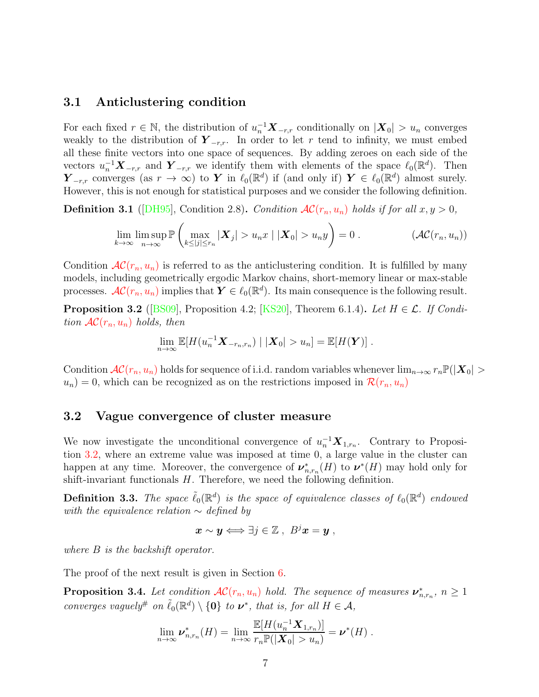## 3.1 Anticlustering condition

For each fixed  $r \in \mathbb{N}$ , the distribution of  $u_n^{-1} \mathbf{X}_{-r,r}$  conditionally on  $|\mathbf{X}_0| > u_n$  converges weakly to the distribution of  $Y_{-r,r}$ . In order to let r tend to infinity, we must embed all these finite vectors into one space of sequences. By adding zeroes on each side of the vectors  $u_n^{-1} \mathbf{X}_{-r,r}$  and  $\mathbf{Y}_{-r,r}$  we identify them with elements of the space  $\ell_0(\mathbb{R}^d)$ . Then  $\mathbf{Y}_{-r,r}$  converges (as  $r \to \infty$ ) to Y in  $\ell_0(\mathbb{R}^d)$  if (and only if)  $\mathbf{Y} \in \ell_0(\mathbb{R}^d)$  almost surely. However, this is not enough for statistical purposes and we consider the following definition.

**Definition 3.1** ([\[DH95\]](#page-40-8), Condition 2.8). *Condition*  $AC(r_n, u_n)$  $AC(r_n, u_n)$  *holds if for all*  $x, y > 0$ ,

$$
\lim_{k \to \infty} \limsup_{n \to \infty} \mathbb{P}\left(\max_{k \leq |j| \leq r_n} |\boldsymbol{X}_j| > u_n x \mid |\boldsymbol{X}_0| > u_n y\right) = 0.
$$
\n
$$
(\mathcal{AC}(r_n, u_n))
$$

Condition  $AC(r_n, u_n)$  $AC(r_n, u_n)$  is referred to as the anticlustering condition. It is fulfilled by many models, including geometrically ergodic Markov chains, short-memory linear or max-stable processes.  $\mathcal{AC}(r_n, u_n)$  $\mathcal{AC}(r_n, u_n)$  $\mathcal{AC}(r_n, u_n)$  implies that  $\mathbf{Y} \in \ell_0(\mathbb{R}^d)$ . Its main consequence is the following result.

<span id="page-6-1"></span>**Proposition 3.2** ([\[BS09\]](#page-40-7), Proposition 4.2; [\[KS20\]](#page-40-3), Theorem 6.1.4). Let  $H \in \mathcal{L}$ . If Condi*tion*  $AC(r_n, u_n)$  $AC(r_n, u_n)$  *holds, then* 

<span id="page-6-0"></span>
$$
\lim_{n\to\infty}\mathbb{E}[H(u_n^{-1}\mathbf{X}_{-r_n,r_n})\mid |\mathbf{X}_0|>u_n]=\mathbb{E}[H(\mathbf{Y})].
$$

Condition  $AC(r_n, u_n)$  $AC(r_n, u_n)$  holds for sequence of i.i.d. random variables whenever  $\lim_{n\to\infty} r_n \mathbb{P}(|X_0| >$  $u_n$ ) = 0, which can be recognized as on the restrictions imposed in  $\mathcal{R}(r_n, u_n)$  $\mathcal{R}(r_n, u_n)$  $\mathcal{R}(r_n, u_n)$ 

## 3.2 Vague convergence of cluster measure

We now investigate the unconditional convergence of  $u_n^{-1} \mathbf{X}_{1,r_n}$ . Contrary to Proposition [3.2,](#page-6-1) where an extreme value was imposed at time 0, a large value in the cluster can happen at any time. Moreover, the convergence of  $\nu^*_{n,r_n}(H)$  to  $\nu^*(H)$  may hold only for shift-invariant functionals  $H$ . Therefore, we need the following definition.

 $\bf{Definition 3.3.}$  The space  $\tilde{\ell}_0(\mathbb{R}^d)$  is the space of equivalence classes of  $\ell_0(\mathbb{R}^d)$  endowed *with the equivalence relation* ∼ *defined by*

$$
\boldsymbol{x} \sim \boldsymbol{y} \Longleftrightarrow \exists j \in \mathbb{Z} \ , \ B^j \boldsymbol{x} = \boldsymbol{y} \ ,
$$

*where* B *is the backshift operator.*

<span id="page-6-2"></span>The proof of the next result is given in Section [6.](#page-13-0)

**Proposition 3.4.** Let condition  $AC(r_n, u_n)$  $AC(r_n, u_n)$  hold. The sequence of measures  $\nu^*_{n,r_n}$ ,  $n \geq 1$ *converges vaguely*<sup>#</sup> *on*  $\tilde{\ell}_0(\mathbb{R}^d) \setminus \{0\}$  *to*  $\nu^*$ *, that is, for all*  $H \in \mathcal{A}$ *,* 

$$
\lim_{n\to\infty}\boldsymbol{\nu}_{n,r_n}^*(H)=\lim_{n\to\infty}\frac{\mathbb{E}[H(u_n^{-1}\boldsymbol{X}_{1,r_n})]}{r_n\mathbb{P}(|\boldsymbol{X}_0|>u_n)}=\boldsymbol{\nu}^*(H).
$$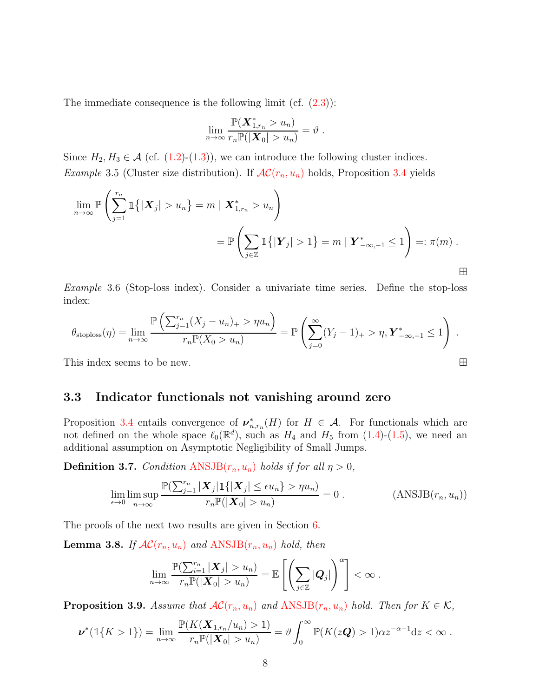The immediate consequence is the following limit (cf.  $(2.3)$ ):

$$
\lim_{n\to\infty}\frac{\mathbb{P}(\boldsymbol{X}_{1,r_n}^*>u_n)}{r_n\mathbb{P}(|\boldsymbol{X}_0|>u_n)}=\vartheta.
$$

<span id="page-7-2"></span>Since  $H_2, H_3 \in \mathcal{A}$  (cf. [\(1.2\)](#page-1-1)-[\(1.3\)](#page-1-2)), we can introduce the following cluster indices. *Example* 3.5 (Cluster size distribution). If  $AC(r_n, u_n)$  $AC(r_n, u_n)$  holds, Proposition [3.4](#page-6-2) yields

$$
\lim_{n \to \infty} \mathbb{P}\left(\sum_{j=1}^{r_n} \mathbb{1}\{|X_j| > u_n\} = m \mid X_{1,r_n}^* > u_n\right)
$$
\n
$$
= \mathbb{P}\left(\sum_{j \in \mathbb{Z}} \mathbb{1}\{|Y_j| > 1\} = m \mid Y_{-\infty,-1}^* \le 1\right) =: \pi(m) .
$$

<span id="page-7-3"></span>*Example* 3.6 (Stop-loss index)*.* Consider a univariate time series. Define the stop-loss index:

$$
\theta_{\text{stoploss}}(\eta) = \lim_{n \to \infty} \frac{\mathbb{P}\left(\sum_{j=1}^{r_n} (X_j - u_n)_+ > \eta u_n\right)}{r_n \mathbb{P}(X_0 > u_n)} = \mathbb{P}\left(\sum_{j=0}^{\infty} (Y_j - 1)_+ > \eta, \mathbf{Y}_{-\infty,-1}^* \le 1\right).
$$

This index seems to be new.  $\Box$ 

#### 3.3 Indicator functionals not vanishing around zero

Proposition [3.4](#page-6-2) entails convergence of  $\nu^*_{n,r_n}(H)$  for  $H \in \mathcal{A}$ . For functionals which are not defined on the whole space  $\ell_0(\mathbb{R}^d)$ , such as  $H_4$  and  $H_5$  from  $(1.4)-(1.5)$  $(1.4)-(1.5)$ , we need an additional assumption on Asymptotic Negligibility of Small Jumps.

**Definition 3.7.** *Condition*  $ANSJB(r_n, u_n)$  $ANSJB(r_n, u_n)$  *holds if for all*  $\eta > 0$ *,* 

$$
\lim_{\epsilon \to 0} \limsup_{n \to \infty} \frac{\mathbb{P}(\sum_{j=1}^{r_n} |\boldsymbol{X}_j| \mathbb{1}\{ |\boldsymbol{X}_j| \le \epsilon u_n \} > \eta u_n)}{r_n \mathbb{P}(|\boldsymbol{X}_0| > u_n)} = 0.
$$
 (ANSJB $(r_n, u_n)$ )

<span id="page-7-4"></span>The proofs of the next two results are given in Section [6.](#page-13-0)

**Lemma 3.8.** *If*  $AC(r_n, u_n)$  $AC(r_n, u_n)$  *and*  $ANSJB(r_n, u_n)$  $ANSJB(r_n, u_n)$  *hold, then* 

<span id="page-7-0"></span>
$$
\lim_{n\to\infty} \frac{\mathbb{P}(\sum_{i=1}^{r_n} |\boldsymbol{X}_j| > u_n)}{r_n \mathbb{P}(|\boldsymbol{X}_0| > u_n)} = \mathbb{E}\left[\left(\sum_{j\in\mathbb{Z}} |\boldsymbol{Q}_j|\right)^\alpha\right] < \infty.
$$

<span id="page-7-1"></span>**Proposition 3.9.** *Assume that*  $AC(r_n, u_n)$  $AC(r_n, u_n)$  *and*  $ANSJB(r_n, u_n)$  $ANSJB(r_n, u_n)$  *hold. Then for*  $K \in \mathcal{K}$ *,* 

$$
\nu^*(1\{K>1\})=\lim_{n\to\infty}\frac{\mathbb{P}(K(\mathbf{X}_{1,r_n}/u_n)>1)}{r_n\mathbb{P}(|\mathbf{X}_0|>u_n)}=\vartheta\int_0^\infty\mathbb{P}(K(z\mathbf{Q})>1)\alpha z^{-\alpha-1}\mathrm{d}z<\infty.
$$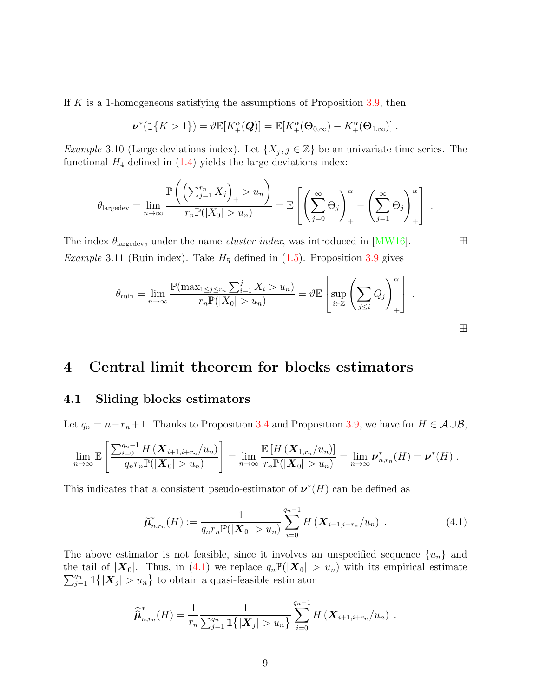If  $K$  is a 1-homogeneous satisfying the assumptions of Proposition [3.9,](#page-7-1) then

$$
\nu^*(1\{K>1\})=\vartheta\mathbb{E}[K_+^{\alpha}(\boldsymbol{Q})]=\mathbb{E}[K_+^{\alpha}(\boldsymbol{\Theta}_{0,\infty})-K_+^{\alpha}(\boldsymbol{\Theta}_{1,\infty})].
$$

<span id="page-8-1"></span>*Example* 3.10 (Large deviations index). Let  $\{X_j, j \in \mathbb{Z}\}\)$  be an univariate time series. The functional  $H_4$  defined in  $(1.4)$  yields the large deviations index:

$$
\theta_{\text{largedev}} = \lim_{n \to \infty} \frac{\mathbb{P}\left(\left(\sum_{j=1}^{r_n} X_j\right)_+ > u_n\right)}{r_n \mathbb{P}(|X_0| > u_n)} = \mathbb{E}\left[\left(\sum_{j=0}^{\infty} \Theta_j\right)_+^{\alpha} - \left(\sum_{j=1}^{\infty} \Theta_j\right)_+^{\alpha}\right].
$$

The index  $\theta_{\text{largedev}}$ , under the name *cluster index*, was introduced in [\[MW16\]](#page-41-3).  $\Box$ *Example* 3.11 (Ruin index). Take  $H_5$  defined in  $(1.5)$ . Proposition [3.9](#page-7-1) gives

$$
\theta_{\text{ruin}} = \lim_{n \to \infty} \frac{\mathbb{P}(\max_{1 \le j \le r_n} \sum_{i=1}^j X_i > u_n)}{r_n \mathbb{P}(|X_0| > u_n)} = \vartheta \mathbb{E} \left[ \sup_{i \in \mathbb{Z}} \left( \sum_{j \le i} Q_j \right)_{+}^{\alpha} \right].
$$

# 4 Central limit theorem for blocks estimators

# 4.1 Sliding blocks estimators

Let  $q_n = n - r_n + 1$ . Thanks to Proposition [3.4](#page-6-2) and Proposition [3.9,](#page-7-1) we have for  $H \in \mathcal{A} \cup \mathcal{B}$ ,

$$
\lim_{n\to\infty}\mathbb{E}\left[\frac{\sum_{i=0}^{q_n-1}H\left(\mathbf{X}_{i+1,i+r_n}/u_n\right)}{q_nr_n\mathbb{P}(|\mathbf{X}_0|>u_n)}\right]=\lim_{n\to\infty}\frac{\mathbb{E}\left[H\left(\mathbf{X}_{1,r_n}/u_n\right)\right]}{r_n\mathbb{P}(|\mathbf{X}_0|>u_n)}=\lim_{n\to\infty}\nu_{n,r_n}^*(H)=\nu^*(H).
$$

This indicates that a consistent pseudo-estimator of  $\nu^*(H)$  can be defined as

$$
\widetilde{\mu}_{n,r_n}^*(H) := \frac{1}{q_n r_n \mathbb{P}(|\mathbf{X}_0| > u_n)} \sum_{i=0}^{q_n - 1} H\left(\mathbf{X}_{i+1,i+r_n}/u_n\right) . \tag{4.1}
$$

The above estimator is not feasible, since it involves an unspecified sequence  $\{u_n\}$  and  $\sum^{q_n}$ the tail of  $|\mathbf{X}_0|$ . Thus, in [\(4.1\)](#page-8-0) we replace  $q_n \mathbb{P}(|\mathbf{X}_0| > u_n)$  with its empirical estimate  $_{j=1}^{q_n} 1\{|\boldsymbol{X}_j| > u_n\}$  to obtain a quasi-feasible estimator

$$
\widehat{\hat{\mu}}_{n,r_n}^*(H) = \frac{1}{r_n} \frac{1}{\sum_{j=1}^{q_n} \mathbb{1}\{|\boldsymbol{X}_j| > u_n\}} \sum_{i=0}^{q_n-1} H\left(\boldsymbol{X}_{i+1,i+r_n}/u_n\right) .
$$

<span id="page-8-0"></span>⊞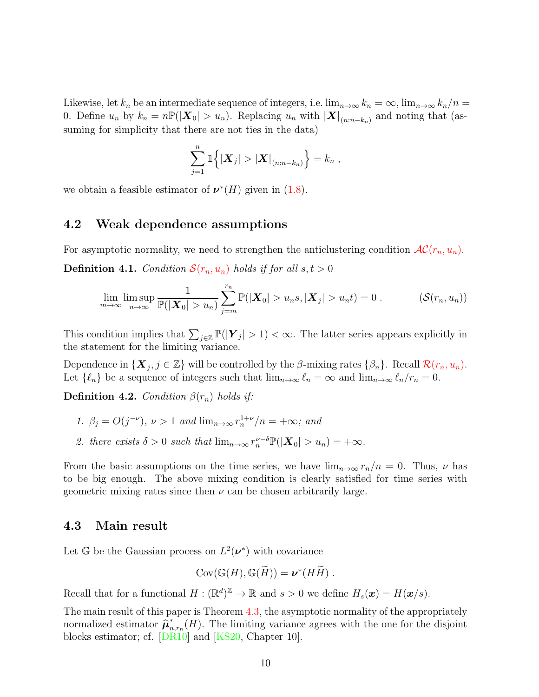Likewise, let  $k_n$  be an intermediate sequence of integers, i.e.  $\lim_{n\to\infty} k_n = \infty$ ,  $\lim_{n\to\infty} k_n/n =$ 0. Define  $u_n$  by  $k_n = n \mathbb{P}(|\boldsymbol{X}_0| > u_n)$ . Replacing  $u_n$  with  $|\boldsymbol{X}|_{(n:n-k_n)}$  and noting that (assuming for simplicity that there are not ties in the data)

<span id="page-9-1"></span>
$$
\sum_{j=1}^n \mathbb{1}\Big\{ |{\boldsymbol X}_j| > |{\boldsymbol X}|_{(n:n-k_n)} \Big\} = k_n ,
$$

we obtain a feasible estimator of  $\nu^*(H)$  given in [\(1.8\)](#page-2-0).

#### 4.2 Weak dependence assumptions

For asymptotic normality, we need to strengthen the anticlustering condition  $AC(r_n, u_n)$  $AC(r_n, u_n)$  $AC(r_n, u_n)$ . **Definition 4.1.** *Condition*  $S(r_n, u_n)$  $S(r_n, u_n)$  $S(r_n, u_n)$  *holds if for all*  $s, t > 0$ 

$$
\lim_{m\to\infty}\limsup_{n\to\infty}\frac{1}{\mathbb{P}(|\mathbf{X}_0|>u_n)}\sum_{j=m}^{r_n}\mathbb{P}(|\mathbf{X}_0|>u_ns,|\mathbf{X}_j|>u_nt)=0.
$$
 (S(r<sub>n</sub>,u<sub>n</sub>))

This condition implies that  $\sum_{j\in\mathbb{Z}} \mathbb{P}(|Y_j| > 1) < \infty$ . The latter series appears explicitly in the statement for the limiting variance.

Dependence in  $\{X_j, j \in \mathbb{Z}\}\$  will be controlled by the  $\beta$ -mixing rates  $\{\beta_n\}$ . Recall  $\mathcal{R}(r_n, u_n)$  $\mathcal{R}(r_n, u_n)$  $\mathcal{R}(r_n, u_n)$ . Let  $\{\ell_n\}$  be a sequence of integers such that  $\lim_{n\to\infty}\ell_n=\infty$  and  $\lim_{n\to\infty}\ell_n/r_n=0$ .

**Definition 4.2.** *Condition*  $\beta(r_n)$  *holds if:* 

- *1.*  $\beta_j = O(j^{-\nu}), \nu > 1 \text{ and } \lim_{n \to \infty} r_n^{1+\nu}/n = +\infty; \text{ and}$
- 2. there exists  $\delta > 0$  such that  $\lim_{n \to \infty} r_n^{\nu-\delta} \mathbb{P}(|\boldsymbol{X}_0| > u_n) = +\infty$ .

From the basic assumptions on the time series, we have  $\lim_{n\to\infty} r_n/n = 0$ . Thus,  $\nu$  has to be big enough. The above mixing condition is clearly satisfied for time series with geometric mixing rates since then  $\nu$  can be chosen arbitrarily large.

#### 4.3 Main result

Let G be the Gaussian process on  $L^2(\nu^*)$  with covariance

$$
Cov(\mathbb{G}(H), \mathbb{G}(\widetilde{H})) = \boldsymbol{\nu}^*(H\widetilde{H}) .
$$

Recall that for a functional  $H : (\mathbb{R}^d)^{\mathbb{Z}} \to \mathbb{R}$  and  $s > 0$  we define  $H_s(\boldsymbol{x}) = H(\boldsymbol{x}/s)$ .

<span id="page-9-0"></span>The main result of this paper is Theorem [4.3,](#page-9-0) the asymptotic normality of the appropriately normalized estimator  $\hat{\boldsymbol{\mu}}_n^*$  $n_{n,r_n}(H)$ . The limiting variance agrees with the one for the disjoint blocks estimator; cf. [\[DR10\]](#page-40-2) and [\[KS20,](#page-40-3) Chapter 10].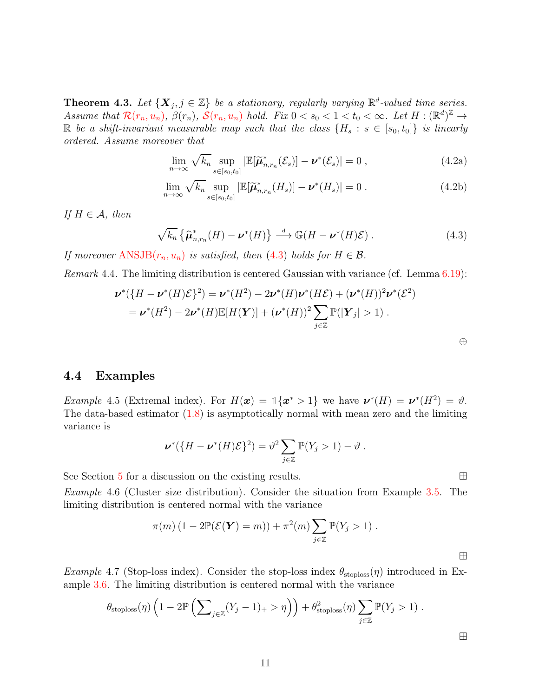**Theorem 4.3.** Let  $\{X_j, j \in \mathbb{Z}\}$  be a stationary, regularly varying  $\mathbb{R}^d$ -valued time series. *Assume that*  $\mathcal{R}(r_n, u_n)$  $\mathcal{R}(r_n, u_n)$  $\mathcal{R}(r_n, u_n)$ ,  $\beta(r_n)$ ,  $\mathcal{S}(r_n, u_n)$  *hold.* Fix  $0 < s_0 < 1 < t_0 < \infty$ . Let  $H : (\mathbb{R}^d)^{\mathbb{Z}} \to$ R *be a shift-invariant measurable map such that the class*  $\{H_s : s \in [s_0, t_0]\}$  *is linearly ordered. Assume moreover that*

$$
\lim_{n \to \infty} \sqrt{k_n} \sup_{s \in [s_0, t_0]} |\mathbb{E}[\widetilde{\boldsymbol{\mu}}_{n, r_n}^*(\mathcal{E}_s)] - \boldsymbol{\nu}^*(\mathcal{E}_s)| = 0 ,
$$
\n(4.2a)

$$
\lim_{n \to \infty} \sqrt{k_n} \sup_{s \in [s_0, t_0]} |\mathbb{E}[\widetilde{\boldsymbol{\mu}}_{n, r_n}^*(H_s)] - \boldsymbol{\nu}^*(H_s)| = 0.
$$
\n(4.2b)

*If*  $H \in \mathcal{A}$ *, then* 

$$
\sqrt{k_n} \left\{ \widehat{\boldsymbol{\mu}}_{n,r_n}^*(H) - \boldsymbol{\nu}^*(H) \right\} \stackrel{\text{d}}{\longrightarrow} \mathbb{G}(H - \boldsymbol{\nu}^*(H)\mathcal{E}) \,. \tag{4.3}
$$

*If moreover*  $ANSJB(r_n, u_n)$  $ANSJB(r_n, u_n)$  *is satisfied, then* [\(4.3\)](#page-15-0) *holds for*  $H \in \mathcal{B}$ *.* 

*Remark* 4.4*.* The limiting distribution is centered Gaussian with variance (cf. Lemma [6.19\)](#page-38-0):

$$
\nu^*(\{H - \nu^*(H)\mathcal{E}\}^2) = \nu^*(H^2) - 2\nu^*(H)\nu^*(H\mathcal{E}) + (\nu^*(H))^2\nu^*(\mathcal{E}^2)
$$
  
= 
$$
\nu^*(H^2) - 2\nu^*(H)\mathbb{E}[H(\mathbf{Y})] + (\nu^*(H))^2 \sum_{j\in\mathbb{Z}} \mathbb{P}(|\mathbf{Y}_j| > 1).
$$

<span id="page-10-2"></span><span id="page-10-1"></span>⊕

#### <span id="page-10-0"></span>4.4 Examples

*Example* 4.5 (Extremal index). For  $H(\mathbf{x}) = \mathbb{1}\{\mathbf{x}^* > 1\}$  we have  $\mathbf{\nu}^*(H) = \mathbf{\nu}^*(H^2) = \vartheta$ . The data-based estimator [\(1.8\)](#page-2-0) is asymptotically normal with mean zero and the limiting variance is

$$
\nu^*(\{H-\nu^*(H)\mathcal{E}\}^2)=\vartheta^2\sum_{j\in\mathbb{Z}}\mathbb{P}(Y_j>1)-\vartheta.
$$

See Section [5](#page-11-0) for a discussion on the existing results. ⊞

*Example* 4.6 (Cluster size distribution)*.* Consider the situation from Example [3.5.](#page-7-2) The limiting distribution is centered normal with the variance

$$
\pi(m) (1 - 2\mathbb{P}(\mathcal{E}(\mathbf{Y}) = m)) + \pi^2(m) \sum_{j \in \mathbb{Z}} \mathbb{P}(Y_j > 1).
$$

*Example* 4.7 (Stop-loss index). Consider the stop-loss index  $\theta_{\text{stoploss}}(\eta)$  introduced in Example [3.6.](#page-7-3) The limiting distribution is centered normal with the variance

$$
\theta_{\text{stoploss}}(\eta) \left(1 - 2\mathbb{P}\left(\sum_{j\in\mathbb{Z}} (Y_j - 1)_+ > \eta\right)\right) + \theta_{\text{stoploss}}^2(\eta) \sum_{j\in\mathbb{Z}} \mathbb{P}(Y_j > 1).
$$

⊞

⊞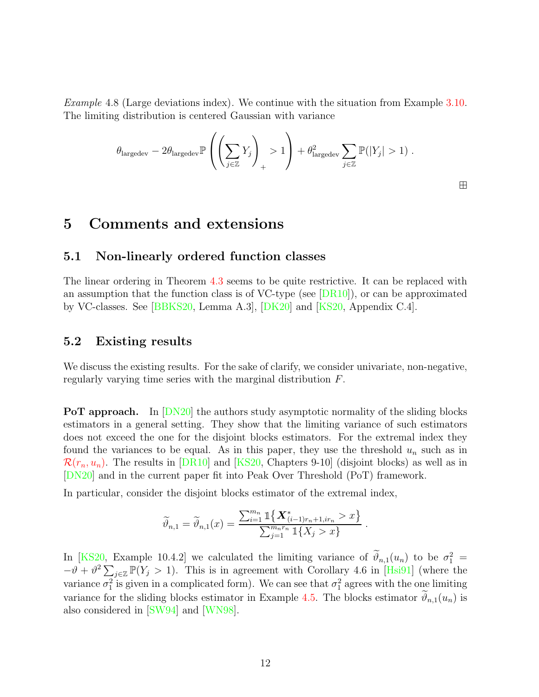*Example* 4.8 (Large deviations index)*.* We continue with the situation from Example [3.10.](#page-8-1) The limiting distribution is centered Gaussian with variance

$$
\theta_{\text{largedev}} - 2\theta_{\text{largedev}} \mathbb{P}\left(\left(\sum_{j\in\mathbb{Z}} Y_j\right)_+ > 1\right) + \theta_{\text{largedev}}^2 \sum_{j\in\mathbb{Z}} \mathbb{P}(|Y_j| > 1) .
$$

⊞

# <span id="page-11-0"></span>5 Comments and extensions

## 5.1 Non-linearly ordered function classes

The linear ordering in Theorem [4.3](#page-9-0) seems to be quite restrictive. It can be replaced with an assumption that the function class is of VC-type (see [\[DR10\]](#page-40-2)), or can be approximated by VC-classes. See [\[BBKS20,](#page-39-0) Lemma A.3], [\[DK20\]](#page-40-10) and [\[KS20,](#page-40-3) Appendix C.4].

#### 5.2 Existing results

We discuss the existing results. For the sake of clarify, we consider univariate, non-negative, regularly varying time series with the marginal distribution F.

**PoT approach.** In  $[DN20]$  the authors study asymptotic normality of the sliding blocks estimators in a general setting. They show that the limiting variance of such estimators does not exceed the one for the disjoint blocks estimators. For the extremal index they found the variances to be equal. As in this paper, they use the threshold  $u_n$  such as in  $\mathcal{R}(r_n, u_n)$  $\mathcal{R}(r_n, u_n)$  $\mathcal{R}(r_n, u_n)$ . The results in [\[DR10\]](#page-40-2) and [\[KS20,](#page-40-3) Chapters 9-10] (disjoint blocks) as well as in [\[DN20\]](#page-40-4) and in the current paper fit into Peak Over Threshold (PoT) framework.

In particular, consider the disjoint blocks estimator of the extremal index,

$$
\widetilde{\vartheta}_{n,1} = \widetilde{\vartheta}_{n,1}(x) = \frac{\sum_{i=1}^{m_n} \mathbb{1}\left\{ \mathbf{X}^*_{(i-1)r_n + 1, ir_n} > x \right\}}{\sum_{j=1}^{m_n r_n} \mathbb{1}\left\{ X_j > x \right\}}.
$$

In [\[KS20,](#page-40-3) Example 10.4.2] we calculated the limiting variance of  $\vartheta_{n,1}(u_n)$  to be  $\sigma_1^2 =$  $-\theta + \theta^2 \sum_{j\in\mathbb{Z}} \mathbb{P}(Y_j > 1)$ . This is in agreement with Corollary 4.6 in [\[Hsi91\]](#page-40-1) (where the variance  $\sigma_1^2$  is given in a complicated form). We can see that  $\sigma_1^2$  agrees with the one limiting variance for the sliding blocks estimator in Example [4.5.](#page-10-0) The blocks estimator  $\vartheta_{n,1}(u_n)$  is also considered in [\[SW94\]](#page-41-1) and [\[WN98\]](#page-41-5).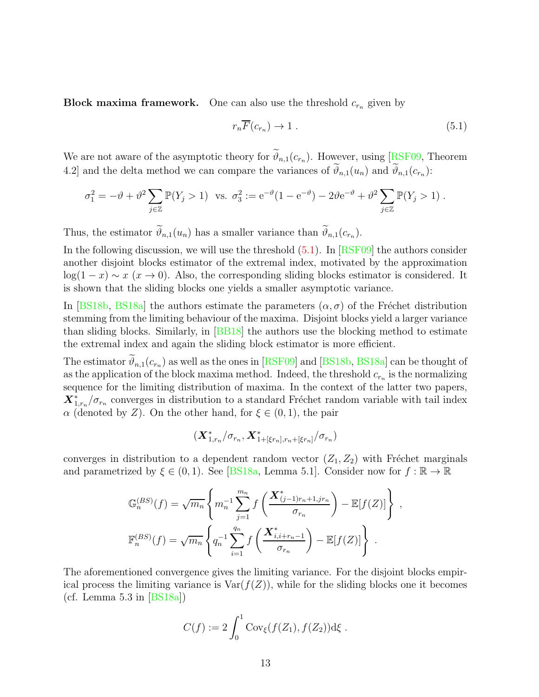**Block maxima framework.** One can also use the threshold  $c_{r_n}$  given by

$$
r_n \overline{F}(c_{r_n}) \to 1 \tag{5.1}
$$

,

We are not aware of the asymptotic theory for  $\vartheta_{n,1}(c_{r_n})$ . However, using [\[RSF09,](#page-41-6) Theorem 4.2] and the delta method we can compare the variances of  $\vartheta_{n,1}(u_n)$  and  $\vartheta_{n,1}(c_{r_n})$ :

$$
\sigma_1^2 = -\vartheta + \vartheta^2 \sum_{j \in \mathbb{Z}} \mathbb{P}(Y_j > 1) \quad \text{vs.} \quad \sigma_3^2 := e^{-\vartheta} (1 - e^{-\vartheta}) - 2\vartheta e^{-\vartheta} + \vartheta^2 \sum_{j \in \mathbb{Z}} \mathbb{P}(Y_j > 1) \; .
$$

Thus, the estimator  $\vartheta_{n,1}(u_n)$  has a smaller variance than  $\vartheta_{n,1}(c_{r_n})$ .

In the following discussion, we will use the threshold  $(5.1)$ . In  $[RSF09]$  the authors consider another disjoint blocks estimator of the extremal index, motivated by the approximation  $log(1-x) \sim x$  ( $x \to 0$ ). Also, the corresponding sliding blocks estimator is considered. It is shown that the sliding blocks one yields a smaller asymptotic variance.

In [\[BS18b,](#page-40-11) [BS18a\]](#page-40-12) the authors estimate the parameters  $(\alpha, \sigma)$  of the Fréchet distribution stemming from the limiting behaviour of the maxima. Disjoint blocks yield a larger variance than sliding blocks. Similarly, in [\[BB18\]](#page-39-1) the authors use the blocking method to estimate the extremal index and again the sliding block estimator is more efficient.

The estimator  $\vartheta_{n,1}(c_{r_n})$  as well as the ones in [\[RSF09\]](#page-41-6) and [\[BS18b,](#page-40-11) [BS18a\]](#page-40-12) can be thought of as the application of the block maxima method. Indeed, the threshold  $c_{r_n}$  is the normalizing sequence for the limiting distribution of maxima. In the context of the latter two papers,  $\mathbf{X}_{1,r_n}^* / \sigma_{r_n}$  converges in distribution to a standard Fréchet random variable with tail index  $\alpha$  (denoted by Z). On the other hand, for  $\xi \in (0,1)$ , the pair

$$
(\bm{X}_{1,r_n}^*/\sigma_{r_n}, \bm{X}_{1+[\xi r_n], r_n+[\xi r_n]}^*/\sigma_{r_n})
$$

converges in distribution to a dependent random vector  $(Z_1, Z_2)$  with Fréchet marginals and parametrized by  $\xi \in (0,1)$ . See [\[BS18a,](#page-40-12) Lemma 5.1]. Consider now for  $f : \mathbb{R} \to \mathbb{R}$ 

$$
\mathbb{G}_n^{(BS)}(f) = \sqrt{m_n} \left\{ m_n^{-1} \sum_{j=1}^{m_n} f\left(\frac{\mathbf{X}_{(j-1)r_n+1,jr_n}^*}{\sigma_{r_n}}\right) - \mathbb{E}[f(Z)] \right\}
$$

$$
\mathbb{F}_n^{(BS)}(f) = \sqrt{m_n} \left\{ q_n^{-1} \sum_{i=1}^{q_n} f\left(\frac{\mathbf{X}_{i,i+r_n-1}^*}{\sigma_{r_n}}\right) - \mathbb{E}[f(Z)] \right\} .
$$

The aforementioned convergence gives the limiting variance. For the disjoint blocks empirical process the limiting variance is  $\text{Var}(f(Z))$ , while for the sliding blocks one it becomes (cf. Lemma  $5.3$  in [\[BS18a\]](#page-40-12))

$$
C(f) := 2 \int_0^1 \text{Cov}_{\xi}(f(Z_1), f(Z_2)) \, d\xi \, .
$$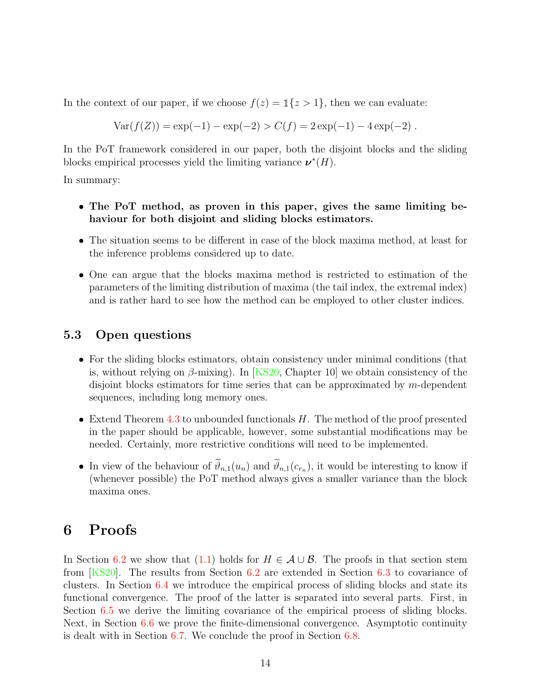In the context of our paper, if we choose  $f(z) = \mathbb{1}\{z > 1\}$ , then we can evaluate:

$$
Var(f(Z)) = exp(-1) - exp(-2) > C(f) = 2 exp(-1) - 4 exp(-2).
$$

In the PoT framework considered in our paper, both the disjoint blocks and the sliding blocks empirical processes yield the limiting variance  $\nu^*(H)$ .

In summary:

- The PoT method, as proven in this paper, gives the same limiting behaviour for both disjoint and sliding blocks estimators.
- The situation seems to be different in case of the block maxima method, at least for the inference problems considered up to date.
- One can argue that the blocks maxima method is restricted to estimation of the parameters of the limiting distribution of maxima (the tail index, the extremal index) and is rather hard to see how the method can be employed to other cluster indices.

# 5.3 Open questions

- For the sliding blocks estimators, obtain consistency under minimal conditions (that is, without relying on  $\beta$ -mixing). In [\[KS20,](#page-40-3) Chapter 10] we obtain consistency of the disjoint blocks estimators for time series that can be approximated by m-dependent sequences, including long memory ones.
- Extend Theorem [4.3](#page-9-0) to unbounded functionals  $H$ . The method of the proof presented in the paper should be applicable, however, some substantial modifications may be needed. Certainly, more restrictive conditions will need to be implemented.
- In view of the behaviour of  $\vartheta_{n,1}(u_n)$  and  $\vartheta_{n,1}(c_{r_n})$ , it would be interesting to know if (whenever possible) the PoT method always gives a smaller variance than the block maxima ones.

# <span id="page-13-0"></span>6 Proofs

In Section [6.2](#page-14-1) we show that [\(1.1\)](#page-1-0) holds for  $H \in \mathcal{A} \cup \mathcal{B}$ . The proofs in that section stem from [\[KS20\]](#page-40-3). The results from Section [6.2](#page-14-1) are extended in Section [6.3](#page-17-0) to covariance of clusters. In Section [6.4](#page-25-0) we introduce the empirical process of sliding blocks and state its functional convergence. The proof of the latter is separated into several parts. First, in Section [6.5](#page-26-0) we derive the limiting covariance of the empirical process of sliding blocks. Next, in Section [6.6](#page-31-0) we prove the finite-dimensional convergence. Asymptotic continuity is dealt with in Section [6.7.](#page-35-0) We conclude the proof in Section [6.8.](#page-38-1)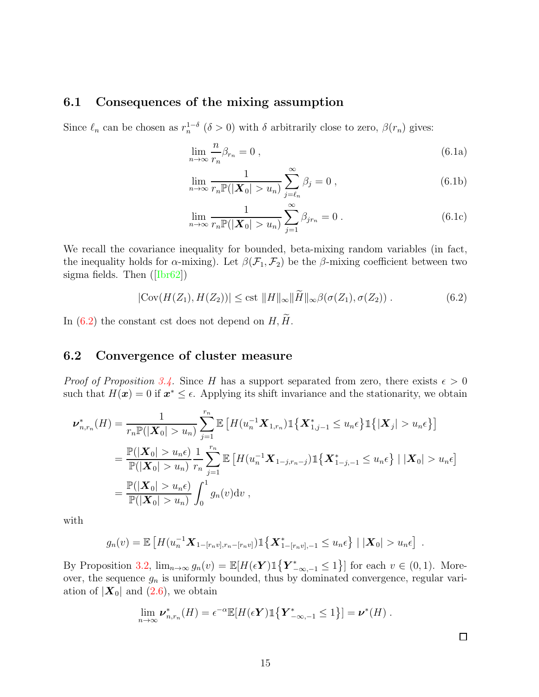# 6.1 Consequences of the mixing assumption

Since  $\ell_n$  can be chosen as  $r_n^{1-\delta}$  ( $\delta > 0$ ) with  $\delta$  arbitrarily close to zero,  $\beta(r_n)$  gives:

<span id="page-14-5"></span><span id="page-14-0"></span>
$$
\lim_{n \to \infty} \frac{n}{r_n} \beta_{r_n} = 0 , \qquad (6.1a)
$$

<span id="page-14-3"></span>
$$
\lim_{n \to \infty} \frac{1}{r_n \mathbb{P}(|\mathbf{X}_0| > u_n)} \sum_{j=\ell_n}^{\infty} \beta_j = 0 , \qquad (6.1b)
$$

<span id="page-14-4"></span><span id="page-14-2"></span>
$$
\lim_{n \to \infty} \frac{1}{r_n \mathbb{P}(|\mathbf{X}_0| > u_n)} \sum_{j=1}^{\infty} \beta_{jr_n} = 0 \ . \tag{6.1c}
$$

We recall the covariance inequality for bounded, beta-mixing random variables (in fact, the inequality holds for  $\alpha$ -mixing). Let  $\beta(\mathcal{F}_1, \mathcal{F}_2)$  be the  $\beta$ -mixing coefficient between two sigma fields. Then ([\[Ibr62\]](#page-40-13))

$$
|\text{Cov}(H(Z_1), H(Z_2))| \leq \text{cst} \, \|H\|_{\infty} \|\tilde{H}\|_{\infty} \beta(\sigma(Z_1), \sigma(Z_2)) \,.
$$
 (6.2)

<span id="page-14-1"></span>In [\(6.2\)](#page-14-2) the constant cst does not depend on  $H, \widetilde{H}$ .

## 6.2 Convergence of cluster measure

*Proof of Proposition* [3.4.](#page-6-2) Since H has a support separated from zero, there exists  $\epsilon > 0$ such that  $H(\mathbf{x}) = 0$  if  $\mathbf{x}^* \leq \epsilon$ . Applying its shift invariance and the stationarity, we obtain

$$
\nu_{n,r_n}^*(H) = \frac{1}{r_n \mathbb{P}(|\mathbf{X}_0| > u_n)} \sum_{j=1}^{r_n} \mathbb{E}\left[H(u_n^{-1} \mathbf{X}_{1,r_n}) \mathbb{1}\left\{\mathbf{X}_{1,j-1}^* \le u_n \epsilon\right\} \mathbb{1}\left\{| \mathbf{X}_j| > u_n \epsilon\right\}\right]
$$
  
\n
$$
= \frac{\mathbb{P}(|\mathbf{X}_0| > u_n \epsilon)}{\mathbb{P}(|\mathbf{X}_0| > u_n)} \frac{1}{r_n} \sum_{j=1}^{r_n} \mathbb{E}\left[H(u_n^{-1} \mathbf{X}_{1-j,r_n-j}) \mathbb{1}\left\{\mathbf{X}_{1-j,-1}^* \le u_n \epsilon\right\} \mid |\mathbf{X}_0| > u_n \epsilon\right]
$$
  
\n
$$
= \frac{\mathbb{P}(|\mathbf{X}_0| > u_n \epsilon)}{\mathbb{P}(|\mathbf{X}_0| > u_n)} \int_0^1 g_n(v) \mathrm{d}v,
$$

with

$$
g_n(v) = \mathbb{E}\left[H(u_n^{-1}X_{1-[r_nv],r_n-[r_nv]})\mathbb{1}\left\{X_{1-[r_nv],-1}^* \leq u_n\epsilon\right\} \mid |X_0| > u_n\epsilon\right].
$$

By Proposition [3.2,](#page-6-1)  $\lim_{n\to\infty} g_n(v) = \mathbb{E}[H(\epsilon Y) \mathbb{1}\{Y^*_{-\infty,-1} \leq 1\}]$  for each  $v \in (0,1)$ . Moreover, the sequence  $g_n$  is uniformly bounded, thus by dominated convergence, regular variation of  $|\boldsymbol{X}_0|$  and  $(2.6)$ , we obtain

$$
\lim_{n\to\infty}\nu_{n,r_n}^*(H)=\epsilon^{-\alpha}\mathbb{E}[H(\epsilon\mathbf{Y})\mathbb{1}\{\mathbf{Y}_{-\infty,-1}^*\leq 1\}]=\nu^*(H).
$$

 $\Box$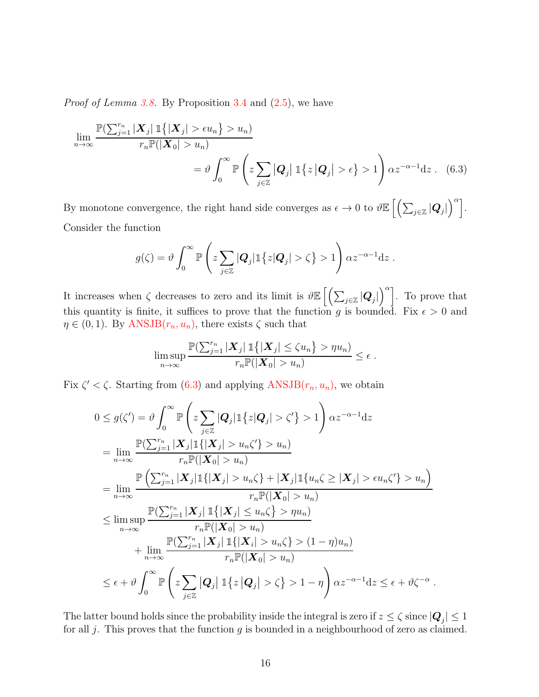*Proof of Lemma [3.8.](#page-7-4)* By Proposition [3.4](#page-6-2) and  $(2.5)$ , we have

$$
\lim_{n \to \infty} \frac{\mathbb{P}\left(\sum_{j=1}^{r_n} |\mathbf{X}_j| \mathbb{1}\{|\mathbf{X}_j| > \epsilon u_n\} > u_n\right)}{r_n \mathbb{P}(|\mathbf{X}_0| > u_n)} = \vartheta \int_0^\infty \mathbb{P}\left(z \sum_{j \in \mathbb{Z}} |Q_j| \mathbb{1}\{z |Q_j| > \epsilon\} > 1\right) \alpha z^{-\alpha - 1} \mathrm{d}z. \tag{6.3}
$$

By monotone convergence, the right hand side converges as  $\epsilon \to 0$  to  $\vartheta \mathbb{E}\left[\left(\sum_{j\in\mathbb{Z}}|{\bm Q}_j|\right)$  $\Big)^{\alpha}$ . Consider the function

<span id="page-15-0"></span>
$$
g(\zeta) = \vartheta \int_0^\infty \mathbb{P}\left(z \sum_{j \in \mathbb{Z}} |Q_j| \mathbb{1}\left\{z |Q_j| > \zeta\right\} > 1\right) \alpha z^{-\alpha - 1} \mathrm{d} z.
$$

It increases when  $\zeta$  decreases to zero and its limit is  $\vartheta \mathbb{E}\left[\left(\sum_{j\in\mathbb{Z}}|\boldsymbol{Q}_j|\right)$  $\binom{\alpha}{k}$ . To prove that this quantity is finite, it suffices to prove that the function g is bounded. Fix  $\epsilon > 0$  and  $\eta \in (0,1)$ . By ANSJB $(r_n, u_n)$ , there exists  $\zeta$  such that

$$
\limsup_{n\to\infty}\frac{\mathbb{P}(\sum_{j=1}^{r_n}|\boldsymbol{X}_j|\mathbb{1}\{|\boldsymbol{X}_j|\leq\zeta u_n\}>\eta u_n)}{r_n\mathbb{P}(|\boldsymbol{X}_0|>u_n)}\leq\epsilon.
$$

Fix  $\zeta' < \zeta$ . Starting from [\(6.3\)](#page-15-0) and applying  $ANSJB(r_n, u_n)$  $ANSJB(r_n, u_n)$ , we obtain

$$
0 \leq g(\zeta') = \vartheta \int_0^\infty \mathbb{P}\left(z \sum_{j \in \mathbb{Z}} |Q_j| \mathbb{1}\left\{z|Q_j\right| > \zeta'\right\} > 1\right) \alpha z^{-\alpha - 1} \mathrm{d}z
$$
  
\n
$$
= \lim_{n \to \infty} \frac{\mathbb{P}(\sum_{j=1}^{r_n} |X_j| \mathbb{1}\{ |X_j| > u_n \zeta'\} > u_n)}{r_n \mathbb{P}(|X_0| > u_n)}\
$$
  
\n
$$
= \lim_{n \to \infty} \frac{\mathbb{P}\left(\sum_{j=1}^{r_n} |X_j| \mathbb{1}\{ |X_j| > u_n \zeta\} + |X_j| \mathbb{1}\{u_n \zeta \geq |X_j| > \epsilon u_n \zeta'\right\} > u_n\right)}{r_n \mathbb{P}(|X_0| > u_n)}
$$
  
\n
$$
\leq \limsup_{n \to \infty} \frac{\mathbb{P}(\sum_{j=1}^{r_n} |X_j| \mathbb{1}\{ |X_j| \leq u_n \zeta\} > \eta u_n)}{r_n \mathbb{P}(|X_0| > u_n)}
$$
  
\n
$$
+ \lim_{n \to \infty} \frac{\mathbb{P}(\sum_{j=1}^{r_n} |X_j| \mathbb{1}\{ |X_i| > u_n \zeta\} > (1 - \eta)u_n)}{r_n \mathbb{P}(|X_0| > u_n)}
$$
  
\n
$$
\leq \epsilon + \vartheta \int_0^\infty \mathbb{P}\left(z \sum_{j \in \mathbb{Z}} |Q_j| \mathbb{1}\{z|Q_j| > \zeta\} > 1 - \eta\right) \alpha z^{-\alpha - 1} \mathrm{d}z \leq \epsilon + \vartheta \zeta^{-\alpha}.
$$

The latter bound holds since the probability inside the integral is zero if  $z \le \zeta$  since  $|Q_j| \le 1$ for all j. This proves that the function  $g$  is bounded in a neighbourhood of zero as claimed.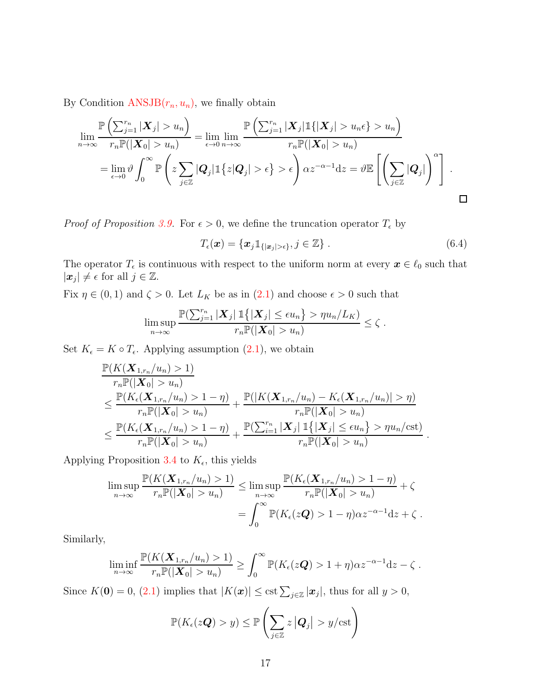By Condition  $ANSJB(r_n, u_n)$  $ANSJB(r_n, u_n)$ , we finally obtain

$$
\lim_{n\to\infty}\frac{\mathbb{P}\left(\sum_{j=1}^{r_n}|\boldsymbol{X}_j|>u_n\right)}{r_n\mathbb{P}(|\boldsymbol{X}_0|>u_n)} = \lim_{\epsilon\to 0}\lim_{n\to\infty}\frac{\mathbb{P}\left(\sum_{j=1}^{r_n}|\boldsymbol{X}_j|\mathbb{1}\{|\boldsymbol{X}_j|>u_n\epsilon\}>u_n\right)}{r_n\mathbb{P}(|\boldsymbol{X}_0|>u_n)}
$$
\n
$$
= \lim_{\epsilon\to 0}\vartheta\int_0^\infty\mathbb{P}\left(z\sum_{j\in\mathbb{Z}}|Q_j|\mathbb{1}\{z|Q_j|>\epsilon\}>\epsilon\right) \propto z^{-\alpha-1}\mathrm{d}z = \vartheta\mathbb{E}\left[\left(\sum_{j\in\mathbb{Z}}|Q_j|\right)^\alpha\right].
$$

*Proof of Proposition* [3.9.](#page-7-1) For  $\epsilon > 0$ , we define the truncation operator  $T_{\epsilon}$  by

$$
T_{\epsilon}(\boldsymbol{x}) = \{\boldsymbol{x}_j \mathbb{1}_{\{|\boldsymbol{x}_j| > \epsilon\}}, j \in \mathbb{Z}\} \ . \tag{6.4}
$$

.

The operator  $T_{\epsilon}$  is continuous with respect to the uniform norm at every  $\boldsymbol{x} \in \ell_0$  such that  $|\boldsymbol{x}_j| \neq \epsilon$  for all  $j \in \mathbb{Z}$ .

Fix  $\eta \in (0,1)$  and  $\zeta > 0$ . Let  $L_K$  be as in  $(2.1)$  and choose  $\epsilon > 0$  such that

$$
\limsup_{n\to\infty}\frac{\mathbb{P}(\sum_{j=1}^{r_n}|\boldsymbol{X}_j|\mathbb{1}\{|\boldsymbol{X}_j|\leq \epsilon u_n\} > \eta u_n/L_K)}{r_n\mathbb{P}(|\boldsymbol{X}_0| > u_n)} \leq \zeta.
$$

Set  $K_{\epsilon} = K \circ T_{\epsilon}$ . Applying assumption  $(2.1)$ , we obtain

$$
\frac{\mathbb{P}(K(\mathbf{X}_{1,r_n}/u_n) > 1)}{r_n \mathbb{P}(|\mathbf{X}_0| > u_n)} \n\leq \frac{\mathbb{P}(K_{\epsilon}(\mathbf{X}_{1,r_n}/u_n) > 1 - \eta)}{r_n \mathbb{P}(|\mathbf{X}_0| > u_n)} + \frac{\mathbb{P}(|K(\mathbf{X}_{1,r_n}/u_n) - K_{\epsilon}(\mathbf{X}_{1,r_n}/u_n)| > \eta)}{r_n \mathbb{P}(|\mathbf{X}_0| > u_n)} \n\leq \frac{\mathbb{P}(K_{\epsilon}(\mathbf{X}_{1,r_n}/u_n) > 1 - \eta)}{r_n \mathbb{P}(|\mathbf{X}_0| > u_n)} + \frac{\mathbb{P}(\sum_{i=1}^{r_n} |\mathbf{X}_j| \mathbb{1}\{|\mathbf{X}_j| \leq \epsilon u_n\} > \eta u_n/\text{cst})}{r_n \mathbb{P}(|\mathbf{X}_0| > u_n)}
$$

Applying Proposition [3.4](#page-6-2) to  $K_{\epsilon}$ , this yields

$$
\limsup_{n \to \infty} \frac{\mathbb{P}(K(\mathbf{X}_{1,r_n}/u_n) > 1)}{r_n \mathbb{P}(|\mathbf{X}_0| > u_n)} \le \limsup_{n \to \infty} \frac{\mathbb{P}(K_{\epsilon}(\mathbf{X}_{1,r_n}/u_n) > 1 - \eta)}{r_n \mathbb{P}(|\mathbf{X}_0| > u_n)} + \zeta
$$

$$
= \int_0^{\infty} \mathbb{P}(K_{\epsilon}(z\mathbf{Q}) > 1 - \eta) \alpha z^{-\alpha - 1} \mathrm{d}z + \zeta.
$$

Similarly,

$$
\liminf_{n\to\infty}\frac{\mathbb{P}(K(\mathbf{X}_{1,r_n}/u_n)>1)}{r_n\mathbb{P}(|\mathbf{X}_0|>u_n)}\geq \int_0^\infty \mathbb{P}(K_{\epsilon}(z\mathbf{Q})>1+\eta)\alpha z^{-\alpha-1}dz-\zeta.
$$

Since  $K(\mathbf{0}) = 0$ , [\(2.1\)](#page-4-4) implies that  $|K(\mathbf{x})| \leq \text{cst} \sum_{j \in \mathbb{Z}} |\mathbf{x}_j|$ , thus for all  $y > 0$ ,

$$
\mathbb{P}(K_{\epsilon}(\mathit{z}\boldsymbol{Q}) > y) \leq \mathbb{P}\left(\sum_{j\in\mathbb{Z}}z\left|\boldsymbol{Q}_{j}\right| > y/\text{cst}\right)
$$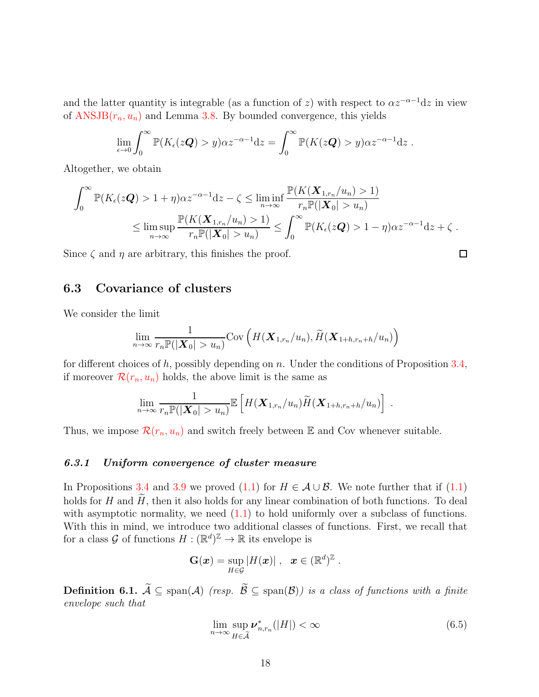and the latter quantity is integrable (as a function of z) with respect to  $\alpha z^{-\alpha-1}dz$  in view of  $ANSJB(r_n, u_n)$  $ANSJB(r_n, u_n)$  and Lemma [3.8.](#page-7-4) By bounded convergence, this yields

$$
\lim_{\epsilon \to 0} \int_0^\infty \mathbb{P}(K_{\epsilon}(z\mathbf{Q}) > y) \alpha z^{-\alpha - 1} dz = \int_0^\infty \mathbb{P}(K(z\mathbf{Q}) > y) \alpha z^{-\alpha - 1} dz.
$$

Altogether, we obtain

$$
\int_0^\infty \mathbb{P}(K_{\epsilon}(z\mathbf{Q}) > 1 + \eta) \alpha z^{-\alpha - 1} dz - \zeta \le \liminf_{n \to \infty} \frac{\mathbb{P}(K(\mathbf{X}_{1, r_n}/u_n) > 1)}{r_n \mathbb{P}(|\mathbf{X}_0| > u_n)} \le \limsup_{n \to \infty} \frac{\mathbb{P}(K(\mathbf{X}_{1, r_n}/u_n) > 1)}{r_n \mathbb{P}(|\mathbf{X}_0| > u_n)} \le \int_0^\infty \mathbb{P}(K_{\epsilon}(z\mathbf{Q}) > 1 - \eta) \alpha z^{-\alpha - 1} dz + \zeta.
$$

<span id="page-17-0"></span>Since  $\zeta$  and  $\eta$  are arbitrary, this finishes the proof.

## 6.3 Covariance of clusters

We consider the limit

$$
\lim_{n\to\infty}\frac{1}{r_n\mathbb{P}(|\boldsymbol{X}_0|>u_n)}\mathrm{Cov}\left(H(\boldsymbol{X}_{1,r_n}/u_n),\widetilde{H}(\boldsymbol{X}_{1+h,r_n+h}/u_n)\right)
$$

for different choices of h, possibly depending on n. Under the conditions of Proposition  $3.4$ , if moreover  $\mathcal{R}(r_n, u_n)$  $\mathcal{R}(r_n, u_n)$  $\mathcal{R}(r_n, u_n)$  holds, the above limit is the same as

$$
\lim_{n\to\infty}\frac{1}{r_n\mathbb{P}(|\mathbf{X}_0|>u_n)}\mathbb{E}\left[H(\mathbf{X}_{1,r_n}/u_n)\widetilde{H}(\mathbf{X}_{1+h,r_n+h}/u_n)\right]
$$

Thus, we impose  $\mathcal{R}(r_n, u_n)$  $\mathcal{R}(r_n, u_n)$  $\mathcal{R}(r_n, u_n)$  and switch freely between E and Cov whenever suitable.

#### *6.3.1 Uniform convergence of cluster measure*

In Propositions [3.4](#page-6-2) and [3.9](#page-7-1) we proved  $(1.1)$  for  $H \in \mathcal{A} \cup \mathcal{B}$ . We note further that if  $(1.1)$ holds for H and  $\widetilde{H}$ , then it also holds for any linear combination of both functions. To deal with asymptotic normality, we need  $(1.1)$  to hold uniformly over a subclass of functions. With this in mind, we introduce two additional classes of functions. First, we recall that for a class  $\mathcal{G}$  of functions  $H: (\mathbb{R}^d)^{\mathbb{Z}} \to \mathbb{R}$  its envelope is

$$
\mathbf{G}(\boldsymbol{x}) = \sup_{H \in \mathcal{G}} |H(\boldsymbol{x})| \;,\;\; \boldsymbol{x} \in (\mathbb{R}^d)^{\mathbb{Z}}\;.
$$

**Definition 6.1.**  $\widetilde{A}$  ⊆ span(A) *(resp.*  $\widetilde{B}$  ⊆ span(B)*)* is a class of functions with a finite *envelope such that*

$$
\lim_{n \to \infty} \sup_{H \in \widetilde{\mathcal{A}}} \nu_{n,r_n}^*(|H|) < \infty \tag{6.5}
$$

<span id="page-17-1"></span>.

 $\Box$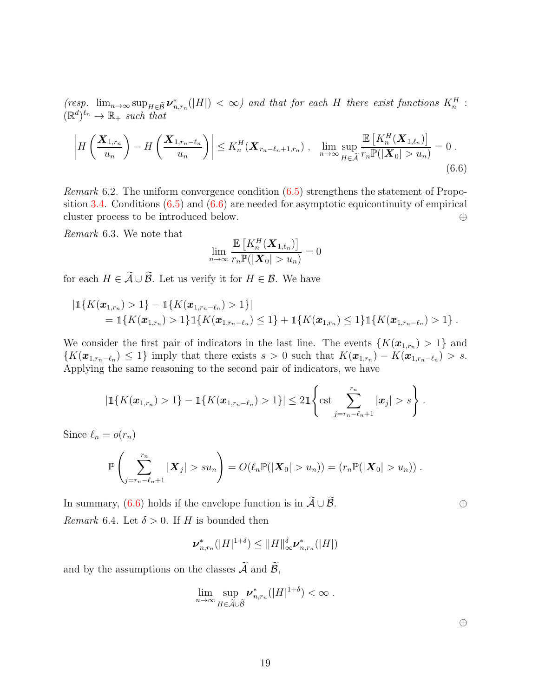$(resp. \ \lim_{n\to\infty} \sup_{H\in\tilde{B}} \nu^*_{n,r_n}(|H|) < \infty)$  and that for each H there exist functions  $K_n^H$ :  $(\mathbb{R}^d)^{\ell_n} \to \mathbb{R}_+$  such that

$$
\left| H\left(\frac{\boldsymbol{X}_{1,r_n}}{u_n}\right) - H\left(\frac{\boldsymbol{X}_{1,r_n-\ell_n}}{u_n}\right) \right| \leq K_n^H(\boldsymbol{X}_{r_n-\ell_n+1,r_n}), \quad \lim_{n \to \infty} \sup_{H \in \tilde{\mathcal{A}}} \frac{\mathbb{E}\left[K_n^H(\boldsymbol{X}_{1,\ell_n})\right]}{r_n \mathbb{P}(|\boldsymbol{X}_0| > u_n)} = 0.
$$
\n(6.6)

*Remark* 6.2*.* The uniform convergence condition [\(6.5\)](#page-17-1) strengthens the statement of Propo-sition [3.4.](#page-6-2) Conditions  $(6.5)$  and  $(6.6)$  are needed for asymptotic equicontinuity of empirical cluster process to be introduced below. ⊕

*Remark* 6.3*.* We note that

<span id="page-18-0"></span>
$$
\lim_{n\to\infty}\frac{\mathbb{E}\left[K_n^H(\boldsymbol{X}_{1,\ell_n})\right]}{r_n\mathbb{P}(|\boldsymbol{X}_0|>u_n)}=0
$$

for each  $H \in \widetilde{A} \cup \widetilde{B}$ . Let us verify it for  $H \in \mathcal{B}$ . We have

$$
|\mathbb{1}\{K(\boldsymbol{x}_{1,r_n})>1\}-\mathbb{1}\{K(\boldsymbol{x}_{1,r_n-\ell_n})>1\}|
$$
  
=  $\mathbb{1}\{K(\boldsymbol{x}_{1,r_n})>1\}\mathbb{1}\{K(\boldsymbol{x}_{1,r_n-\ell_n})\leq 1\}+\mathbb{1}\{K(\boldsymbol{x}_{1,r_n})\leq 1\}\mathbb{1}\{K(\boldsymbol{x}_{1,r_n-\ell_n})>1\}$ .

We consider the first pair of indicators in the last line. The events  $\{K(\mathbf{x}_{1,r_n}) > 1\}$  and  $\{K(\boldsymbol{x}_{1,r_n-\ell_n}) \leq 1\}$  imply that there exists  $s > 0$  such that  $K(\boldsymbol{x}_{1,r_n}) - K(\boldsymbol{x}_{1,r_n-\ell_n}) > s$ . Applying the same reasoning to the second pair of indicators, we have

$$
|\mathbb{1}\{K(\boldsymbol{x}_{1,r_n})>1\}-\mathbb{1}\{K(\boldsymbol{x}_{1,r_n-\ell_n})>1\}|\leq 2\mathbb{1}\left\{\text{cst}\sum_{j=r_n-\ell_n+1}^{r_n}|\boldsymbol{x}_j|>s\right\}.
$$

Since  $\ell_n = o(r_n)$ 

$$
\mathbb{P}\left(\sum_{j=r_n-\ell_n+1}^{r_n}|\boldsymbol{X}_j|>su_n\right)=O(\ell_n\mathbb{P}(|\boldsymbol{X}_0|>u_n))=(r_n\mathbb{P}(|\boldsymbol{X}_0|>u_n))\;.
$$

<span id="page-18-1"></span>In summary,  $(6.6)$  holds if the envelope function is in  $\widetilde{\mathcal{A}} \cup \widetilde{\mathcal{B}}$ . ⊕ *Remark* 6.4. Let  $\delta > 0$ . If *H* is bounded then

$$
\boldsymbol{\nu}_{n,r_n}^* (|H|^{1+\delta}) \leq ||H||_{\infty}^{\delta} \boldsymbol{\nu}_{n,r_n}^* (|H|)
$$

<span id="page-18-2"></span>and by the assumptions on the classes  $\widetilde{A}$  and  $\widetilde{B}$ ,

$$
\lim_{n\to\infty}\sup_{H\in\widetilde{\mathcal{A}}\cup\widetilde{\mathcal{B}}} \nu_{n,r_n}^* (|H|^{1+\delta}) < \infty.
$$

⊕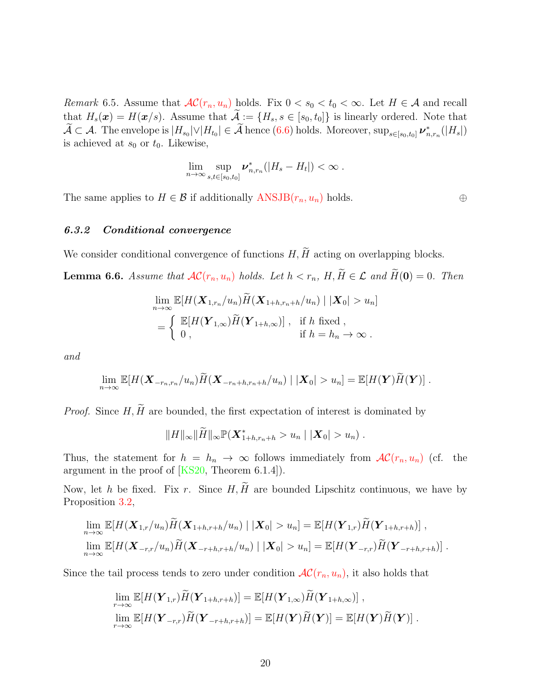*Remark* 6.5. Assume that  $AC(r_n, u_n)$  $AC(r_n, u_n)$  holds. Fix  $0 < s_0 < t_0 < \infty$ . Let  $H \in \mathcal{A}$  and recall that  $H_s(\mathbf{x}) = H(\mathbf{x}/s)$ . Assume that  $\widetilde{\mathcal{A}} := \{H_s, s \in [s_0, t_0]\}$  is linearly ordered. Note that  $\mathcal{A} \subset \mathcal{A}$ . The envelope is  $|H_{s_0}| \vee |H_{t_0}| \in \mathcal{A}$  hence [\(6.6\)](#page-18-0) holds. Moreover,  $\sup_{s \in [s_0, t_0]} \nu^*_{n, r_n}(|H_s|)$ is achieved at  $s_0$  or  $t_0$ . Likewise,

$$
\lim_{n\to\infty}\sup_{s,t\in[s_0,t_0]}\boldsymbol{\nu}_{n,r_n}^*\big(|H_s-H_t|\big)<\infty.
$$

The same applies to  $H \in \mathcal{B}$  if additionally  $ANSJB(r_n, u_n)$  $ANSJB(r_n, u_n)$  holds.  $\oplus$ 

#### *6.3.2 Conditional convergence*

<span id="page-19-0"></span>We consider conditional convergence of functions  $H, \widetilde{H}$  acting on overlapping blocks.

**Lemma 6.6.** Assume that  $AC(r_n, u_n)$  $AC(r_n, u_n)$  $AC(r_n, u_n)$  holds. Let  $h < r_n$ ,  $H, \widetilde{H} \in \mathcal{L}$  and  $\widetilde{H}(0) = 0$ . Then

$$
\lim_{n \to \infty} \mathbb{E}[H(\mathbf{X}_{1,r_n}/u_n) \widetilde{H}(\mathbf{X}_{1+h,r_n+h}/u_n) | |\mathbf{X}_0| > u_n]
$$
  
= 
$$
\begin{cases} \mathbb{E}[H(\mathbf{Y}_{1,\infty}) \widetilde{H}(\mathbf{Y}_{1+h,\infty})], & \text{if } h \text{ fixed }, \\ 0, & \text{if } h = h_n \to \infty. \end{cases}
$$

*and*

$$
\lim_{n\to\infty}\mathbb{E}[H(\mathbf{X}_{-r_n,r_n}/u_n)\widetilde{H}(\mathbf{X}_{-r_n+h,r_n+h}/u_n)\mid |\mathbf{X}_0|>u_n]=\mathbb{E}[H(\mathbf{Y})\widetilde{H}(\mathbf{Y})].
$$

*Proof.* Since  $H, \widetilde{H}$  are bounded, the first expectation of interest is dominated by

 $||H||_{\infty} ||\widetilde{H}||_{\infty} \mathbb{P}(\boldsymbol{X}_{1+h,r_n+h}^*) > u_n ||\boldsymbol{X}_0| > u_n)$ .

Thus, the statement for  $h = h_n \to \infty$  follows immediately from  $AC(r_n, u_n)$  $AC(r_n, u_n)$  (cf. the argument in the proof of [\[KS20,](#page-40-3) Theorem 6.1.4]).

Now, let h be fixed. Fix r. Since  $H, \widetilde{H}$  are bounded Lipschitz continuous, we have by Proposition [3.2,](#page-6-1)

$$
\lim_{n\to\infty} \mathbb{E}[H(\mathbf{X}_{1,r}/u_n)\widetilde{H}(\mathbf{X}_{1+h,r+h}/u_n) | |\mathbf{X}_0| > u_n] = \mathbb{E}[H(\mathbf{Y}_{1,r})\widetilde{H}(\mathbf{Y}_{1+h,r+h})],
$$
  

$$
\lim_{n\to\infty} \mathbb{E}[H(\mathbf{X}_{-r,r}/u_n)\widetilde{H}(\mathbf{X}_{-r+h,r+h}/u_n) | |\mathbf{X}_0| > u_n] = \mathbb{E}[H(\mathbf{Y}_{-r,r})\widetilde{H}(\mathbf{Y}_{-r+h,r+h})].
$$

Since the tail process tends to zero under condition  $AC(r_n, u_n)$  $AC(r_n, u_n)$ , it also holds that

$$
\lim_{r \to \infty} \mathbb{E}[H(\mathbf{Y}_{1,r})\widetilde{H}(\mathbf{Y}_{1+h,r+h})] = \mathbb{E}[H(\mathbf{Y}_{1,\infty})\widetilde{H}(\mathbf{Y}_{1+h,\infty})],
$$
  

$$
\lim_{r \to \infty} \mathbb{E}[H(\mathbf{Y}_{-r,r})\widetilde{H}(\mathbf{Y}_{-r+h,r+h})] = \mathbb{E}[H(\mathbf{Y})\widetilde{H}(\mathbf{Y})] = \mathbb{E}[H(\mathbf{Y})\widetilde{H}(\mathbf{Y})].
$$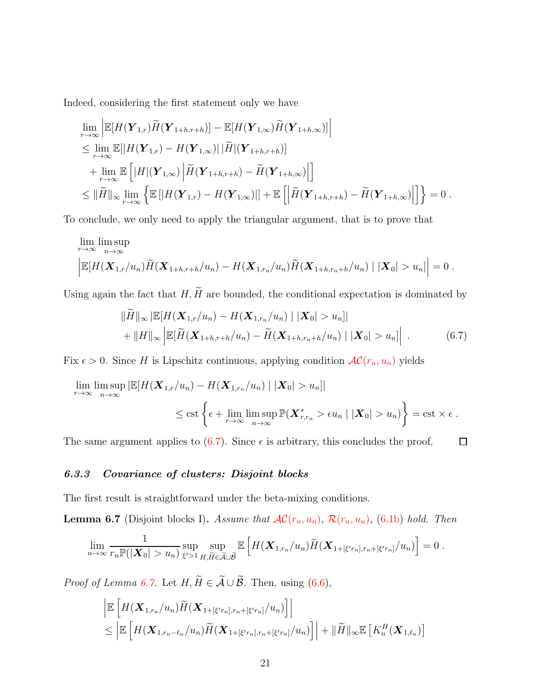Indeed, considering the first statement only we have

$$
\lim_{r \to \infty} \left| \mathbb{E}[H(\mathbf{Y}_{1,r})\widetilde{H}(\mathbf{Y}_{1+h,r+h})] - \mathbb{E}[H(\mathbf{Y}_{1,\infty})\widetilde{H}(\mathbf{Y}_{1+h,\infty})] \right|
$$
\n
$$
\leq \lim_{r \to \infty} \mathbb{E}[|H(\mathbf{Y}_{1,r}) - H(\mathbf{Y}_{1,\infty})| |\widetilde{H}|(\mathbf{Y}_{1+h,r+h})]
$$
\n
$$
+ \lim_{r \to \infty} \mathbb{E}\left[|H|(\mathbf{Y}_{1,\infty}) \left| \widetilde{H}(\mathbf{Y}_{1+h,r+h}) - \widetilde{H}(\mathbf{Y}_{1+h,\infty}) \right| \right]
$$
\n
$$
\leq ||\widetilde{H}||_{\infty} \lim_{r \to \infty} \left\{ \mathbb{E}[|H(\mathbf{Y}_{1,r}) - H(\mathbf{Y}_{1,\infty})|] + \mathbb{E}\left[ \left| \widetilde{H}(\mathbf{Y}_{1+h,r+h}) - \widetilde{H}(\mathbf{Y}_{1+h,\infty}) \right| \right] \right\} = 0.
$$

To conclude, we only need to apply the triangular argument, that is to prove that

$$
\lim_{r \to \infty} \limsup_{n \to \infty} \left| \mathbb{E}[H(\mathbf{X}_{1,r}/u_n) \widetilde{H}(\mathbf{X}_{1+h,r+h}/u_n) - H(\mathbf{X}_{1,r_n}/u_n) \widetilde{H}(\mathbf{X}_{1+h,r_n+h}/u_n) \mid |\mathbf{X}_0| > u_n] \right| = 0.
$$

Using again the fact that  $H, \widetilde{H}$  are bounded, the conditional expectation is dominated by

$$
\|\widetilde{H}\|_{\infty} |\mathbb{E}[H(\mathbf{X}_{1,r}/u_n) - H(\mathbf{X}_{1,r_n}/u_n) | |\mathbf{X}_0| > u_n]|
$$
  
+ 
$$
||H||_{\infty} \left| \mathbb{E}[\widetilde{H}(\mathbf{X}_{1+h,r+h}/u_n) - \widetilde{H}(\mathbf{X}_{1+h,r_n+h}/u_n) | |\mathbf{X}_0| > u_n] \right|.
$$
 (6.7)

<span id="page-20-0"></span> $\Box$ 

Fix  $\epsilon > 0$ . Since H is Lipschitz continuous, applying condition  $AC(r_n, u_n)$  $AC(r_n, u_n)$  yields

$$
\lim_{r \to \infty} \limsup_{n \to \infty} |\mathbb{E}[H(\mathbf{X}_{1,r}/u_n) - H(\mathbf{X}_{1,r_n}/u_n) | |\mathbf{X}_0| > u_n]|
$$
\n
$$
\leq \text{cst}\left\{\epsilon + \lim_{r \to \infty} \limsup_{n \to \infty} \mathbb{P}(\mathbf{X}_{r,r_n}^* > \epsilon u_n | |\mathbf{X}_0| > u_n)\right\} = \text{cst} \times \epsilon.
$$

The same argument applies to  $(6.7)$ . Since  $\epsilon$  is arbitrary, this concludes the proof.

#### *6.3.3 Covariance of clusters: Disjoint blocks*

<span id="page-20-1"></span>The first result is straightforward under the beta-mixing conditions.

**Lemma 6.7** (Disjoint blocks I). Assume that  $AC(r_n, u_n)$  $AC(r_n, u_n)$  $AC(r_n, u_n)$  $AC(r_n, u_n)$ ,  $R(r_n, u_n)$ , [\(6.1b\)](#page-14-3) hold. Then

$$
\lim_{n\to\infty}\frac{1}{r_n\mathbb{P}(|\mathbf{X}_0|>u_n)}\sup_{\xi'>1}\sup_{H,\widetilde{H}\in\widetilde{\mathcal{A}}\cup\widetilde{\mathcal{B}}} \mathbb{E}\left[H(\mathbf{X}_{1,r_n}/u_n)\widetilde{H}(\mathbf{X}_{1+\lbrack\xi'r_n\rbrack,r_n+\lbrack\xi'r_n\rbrack}/u_n)\right]=0.
$$

*Proof of Lemma [6.7.](#page-20-1)* Let  $H, \widetilde{H} \in \widetilde{A} \cup \widetilde{B}$ . Then, using [\(6.6\)](#page-18-0),

$$
\left| \mathbb{E}\left[H(\mathbf{X}_{1,r_n}/u_n)\widetilde{H}(\mathbf{X}_{1+\lbrack\xi'r_n\rbrack,r_n+\lbrack\xi'r_n\rbrack}/u_n)\right]\right|
$$
  

$$
\leq \left| \mathbb{E}\left[H(\mathbf{X}_{1,r_n-\ell_n}/u_n)\widetilde{H}(\mathbf{X}_{1+\lbrack\xi'r_n\rbrack,r_n+\lbrack\xi'r_n\rbrack}/u_n)\right] + \|\widetilde{H}\|_{\infty} \mathbb{E}\left[K_n^H(\mathbf{X}_{1,\ell_n})\right]
$$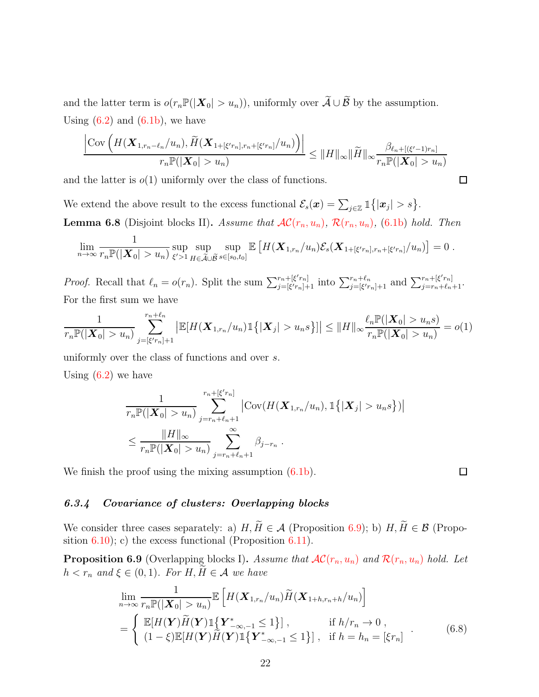and the latter term is  $o(r_n\mathbb{P}(|\boldsymbol{X}_0| > u_n))$ , uniformly over  $\widetilde{A} \cup \widetilde{B}$  by the assumption. Using  $(6.2)$  and  $(6.1b)$ , we have

$$
\frac{\left|\mathrm{Cov}\left(H(\mathbf{X}_{1,r_n-\ell_n}/u_n),\widetilde{H}(\mathbf{X}_{1+\lceil\xi'r_n\rceil,r_n+\lceil\xi'r_n\rceil}/u_n)\right)\right|}{r_n\mathbb{P}(|\mathbf{X}_0|>u_n)} \leq \|H\|_{\infty} \|\widetilde{H}\|_{\infty} \frac{\beta_{\ell_n+[(\xi'-1)r_n]}}{r_n\mathbb{P}(|\mathbf{X}_0|>u_n)}
$$

and the latter is  $o(1)$  uniformly over the class of functions.

We extend the above result to the excess functional  $\mathcal{E}_s(\boldsymbol{x}) = \sum_{j \in \mathbb{Z}} \mathbb{1}\{|\boldsymbol{x}_j| > s\}.$ **Lemma 6.8** (Disjoint blocks II). Assume that  $AC(r_n, u_n)$  $AC(r_n, u_n)$  $AC(r_n, u_n)$  $AC(r_n, u_n)$ ,  $\mathcal{R}(r_n, u_n)$ , [\(6.1b\)](#page-14-3) hold. Then

$$
\lim_{n\to\infty}\frac{1}{r_n\mathbb{P}(|\mathbf{X}_0|>u_n)}\sup_{\xi'>1}\sup_{H\in\widetilde{\mathcal{A}}\cup\widetilde{\mathcal{B}}}\sup_{s\in[s_0,t_0]}\mathbb{E}\left[H(\mathbf{X}_{1,r_n}/u_n)\mathcal{E}_s(\mathbf{X}_{1+[\xi'r_n],r_n+[\xi'r_n]}/u_n)\right]=0.
$$

*Proof.* Recall that  $\ell_n = o(r_n)$ . Split the sum  $\sum_{i=|\xi'|r_n|+1}^{r_n+|\xi'|r_n|}$  $r_{n} + [\xi' r_n]$  into  $\sum_{j=[\xi' r_n]+1}^{r_n+\ell_n}$  and  $\sum_{j=r_n+\ell_n+1}^{r_n+[\xi' r_n]}$ . For the first sum we have

$$
\frac{1}{r_n \mathbb{P}(|\mathbf{X}_0| > u_n)} \sum_{j = [\xi' r_n] + 1}^{r_n + \ell_n} \left| \mathbb{E}[H(\mathbf{X}_{1,r_n}/u_n) \mathbb{1}\{|\mathbf{X}_j| > u_n s\}] \right| \le \|H\|_{\infty} \frac{\ell_n \mathbb{P}(|\mathbf{X}_0| > u_n s)}{r_n \mathbb{P}(|\mathbf{X}_0| > u_n)} = o(1)
$$

uniformly over the class of functions and over s.

Using  $(6.2)$  we have

$$
\frac{1}{r_n \mathbb{P}(|\mathbf{X}_0| > u_n)} \sum_{j=r_n+\ell_n+1}^{r_n + [\xi' r_n]} |Cov(H(\mathbf{X}_{1,r_n}/u_n), \mathbb{1}\{|\mathbf{X}_j| > u_n s\})|
$$
  

$$
\leq \frac{||H||_{\infty}}{r_n \mathbb{P}(|\mathbf{X}_0| > u_n)} \sum_{j=r_n+\ell_n+1}^{\infty} \beta_{j-r_n}.
$$

We finish the proof using the mixing assumption  $(6.1b)$ .

#### <span id="page-21-1"></span> $\Box$

 $\Box$ 

#### *6.3.4 Covariance of clusters: Overlapping blocks*

We consider three cases separately: a)  $H, \widetilde{H} \in \mathcal{A}$  (Proposition [6.9\)](#page-21-0); b)  $H, \widetilde{H} \in \mathcal{B}$  (Proposition  $(6.10)$  $(6.10)$ ; c) the excess functional (Proposition  $(6.11)$  $(6.11)$ ).

<span id="page-21-0"></span>**Proposition 6.9** (Overlapping blocks I). Assume that  $AC(r_n, u_n)$  $AC(r_n, u_n)$  $AC(r_n, u_n)$  $AC(r_n, u_n)$  and  $\mathcal{R}(r_n, u_n)$  hold. Let  $h < r_n$  and  $\xi \in (0, 1)$ *. For*  $H, \widetilde{H} \in \mathcal{A}$  we have

$$
\lim_{n \to \infty} \frac{1}{r_n \mathbb{P}(|\mathbf{X}_0| > u_n)} \mathbb{E}\left[H(\mathbf{X}_{1,r_n}/u_n) \widetilde{H}(\mathbf{X}_{1+h,r_n+h}/u_n)\right]
$$
\n
$$
= \begin{cases} \mathbb{E}[H(\mathbf{Y}) \widetilde{H}(\mathbf{Y}) \mathbb{1}\{\mathbf{Y}_{-\infty,-1}^* \le 1\} ], & \text{if } h/r_n \to 0 ,\\ (1-\xi) \mathbb{E}[H(\mathbf{Y}) \widetilde{H}(\mathbf{Y}) \mathbb{1}\{\mathbf{Y}_{-\infty,-1}^* \le 1\} ], & \text{if } h = h_n = [\xi r_n] \end{cases}
$$
\n(6.8)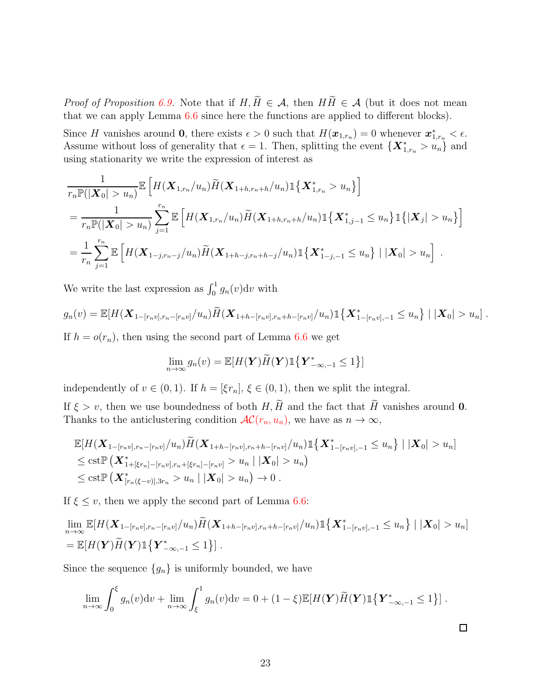*Proof of Proposition* [6.9.](#page-21-0) Note that if  $H, \widetilde{H} \in \mathcal{A}$ , then  $H\widetilde{H} \in \mathcal{A}$  (but it does not mean that we can apply Lemma [6.6](#page-19-0) since here the functions are applied to different blocks).

Since H vanishes around 0, there exists  $\epsilon > 0$  such that  $H(\boldsymbol{x}_{1,r_n}) = 0$  whenever  $\boldsymbol{x}_{1,r_n}^* < \epsilon$ . Assume without loss of generality that  $\epsilon = 1$ . Then, splitting the event  $\{X^*_{1,r_n} > u_n\}$  and using stationarity we write the expression of interest as

$$
\frac{1}{r_n \mathbb{P}(|\mathbf{X}_0| > u_n)} \mathbb{E}\left[H(\mathbf{X}_{1,r_n}/u_n)\widetilde{H}(\mathbf{X}_{1+h,r_n+h}/u_n)\mathbb{1}\{\mathbf{X}_{1,r_n}^* > u_n\}\right]
$$
\n
$$
= \frac{1}{r_n \mathbb{P}(|\mathbf{X}_0| > u_n)} \sum_{j=1}^{r_n} \mathbb{E}\left[H(\mathbf{X}_{1,r_n}/u_n)\widetilde{H}(\mathbf{X}_{1+h,r_n+h}/u_n)\mathbb{1}\{\mathbf{X}_{1,j-1}^* \le u_n\}\mathbb{1}\{| \mathbf{X}_j| > u_n\}\right]
$$
\n
$$
= \frac{1}{r_n} \sum_{j=1}^{r_n} \mathbb{E}\left[H(\mathbf{X}_{1-j,r_n-j}/u_n)\widetilde{H}(\mathbf{X}_{1+h-j,r_n+h-j}/u_n)\mathbb{1}\{\mathbf{X}_{1-j,-1}^* \le u_n\} \mid |\mathbf{X}_0| > u_n\right].
$$

We write the last expression as  $\int_0^1 g_n(v) dv$  with

$$
g_n(v) = \mathbb{E}[H(\mathbf{X}_{1-[r_nv],r_n-[r_nv]}/u_n)\widetilde{H}(\mathbf{X}_{1+h-[r_nv],r_n+h-[r_nv]}/u_n)\mathbb{1}\{\mathbf{X}_{1-[r_nv],-1}^*\leq u_n\} | |\mathbf{X}_0|>u_n].
$$

If  $h = o(r_n)$ , then using the second part of Lemma [6.6](#page-19-0) we get

$$
\lim_{n \to \infty} g_n(v) = \mathbb{E}[H(\boldsymbol{Y})\widetilde{H}(\boldsymbol{Y})\mathbb{1}\{\boldsymbol{Y}_{-\infty,-1}^* \leq 1\}]
$$

independently of  $v \in (0, 1)$ . If  $h = [\xi r_n], \xi \in (0, 1)$ , then we split the integral.

If  $\xi > v$ , then we use boundedness of both H,  $\widetilde{H}$  and the fact that  $\widetilde{H}$  vanishes around 0. Thanks to the anticlustering condition  $\mathcal{AC}(r_n, u_n)$  $\mathcal{AC}(r_n, u_n)$  $\mathcal{AC}(r_n, u_n)$ , we have as  $n \to \infty$ ,

$$
\mathbb{E}[H(\mathbf{X}_{1-[r_nv],r_n-[r_nv]}/u_n)\widetilde{H}(\mathbf{X}_{1+h-[r_nv],r_n+h-[r_nv]}/u_n)\mathbb{1}\{\mathbf{X}_{1-[r_nv],-1}^*\leq u_n\} | |\mathbf{X}_0|>u_n]\leq \text{cst}\mathbb{P}(\mathbf{X}_{1+[\xi r_n]-[r_nv],r_n+[\xi r_n]-[r_nv]}>u_n | |\mathbf{X}_0|>u_n)\leq \text{cst}\mathbb{P}(\mathbf{X}_{[r_n(\xi-v)],3r_n}^*>u_n | |\mathbf{X}_0|>u_n)\to 0.
$$

If  $\xi \leq v$ , then we apply the second part of Lemma [6.6:](#page-19-0)

$$
\lim_{n\to\infty} \mathbb{E}[H(\mathbf{X}_{1-[r_nv],r_n-[r_nv]}/u_n)\widetilde{H}(\mathbf{X}_{1+h-[r_nv],r_n+h-[r_nv]}/u_n)\mathbb{1}\{\mathbf{X}_{1-[r_nv],-1}^*\leq u_n\} | |\mathbf{X}_0|>u_n]
$$
\n
$$
= \mathbb{E}[H(\mathbf{Y})\widetilde{H}(\mathbf{Y})\mathbb{1}\{\mathbf{Y}_{-\infty,-1}^*\leq 1\}].
$$

Since the sequence  ${g_n}$  is uniformly bounded, we have

<span id="page-22-0"></span>
$$
\lim_{n\to\infty}\int_0^{\xi}g_n(v)\mathrm{d}v+\lim_{n\to\infty}\int_{\xi}^1g_n(v)\mathrm{d}v=0+(1-\xi)\mathbb{E}[H(\mathbf{Y})\widetilde{H}(\mathbf{Y})1]\{\mathbf{Y}_{-\infty,-1}^*\leq 1\}].
$$

 $\Box$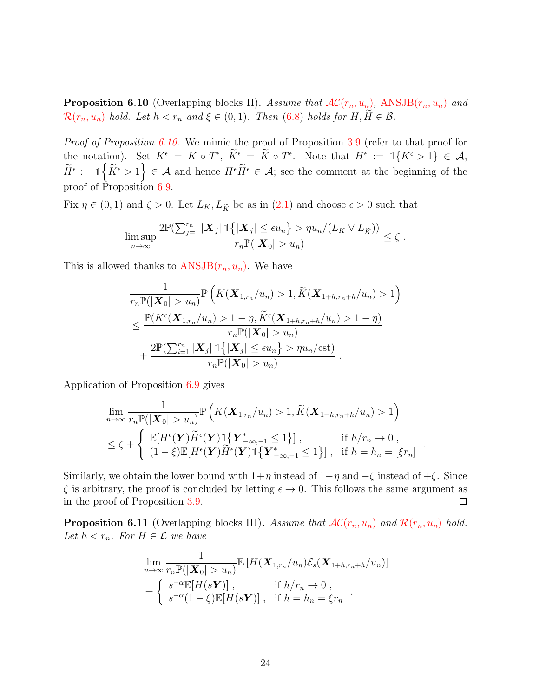**Proposition 6.10** (Overlapping blocks II). Assume that  $AC(r_n, u_n)$  $AC(r_n, u_n)$ , ANSJB $(r_n, u_n)$  and  $\mathcal{R}(r_n, u_n)$  $\mathcal{R}(r_n, u_n)$  $\mathcal{R}(r_n, u_n)$  *hold. Let*  $h < r_n$  *and*  $\xi \in (0, 1)$ *. Then* [\(6.8\)](#page-21-1) *holds for*  $H, H \in \mathcal{B}$ *.* 

*Proof of Proposition [6.10.](#page-22-0)* We mimic the proof of Proposition [3.9](#page-7-1) (refer to that proof for the notation). Set  $K^{\epsilon} = K \circ T^{\epsilon}$ ,  $\overline{K^{\epsilon}} = \overline{K} \circ T^{\epsilon}$ . Note that  $H^{\epsilon} := \mathbb{1}\{K^{\epsilon} > 1\} \in \mathcal{A}$ ,  $\widetilde{H}^{\epsilon} := \mathbb{1}_{\left\{ \left\vert \widetilde{K}^{\epsilon} > 1 \right\} \right\}} \in \mathcal{A}$  and hence  $H^{\epsilon} \widetilde{H}^{\epsilon} \in \mathcal{A}$ ; see the comment at the beginning of the proof of Proposition [6.9.](#page-21-0)

Fix  $\eta \in (0,1)$  and  $\zeta > 0$ . Let  $L_K, L_{\tilde{K}}$  be as in  $(2.1)$  and choose  $\epsilon > 0$  such that

$$
\limsup_{n\to\infty}\frac{2\mathbb{P}(\sum_{j=1}^{r_n}|\boldsymbol{X}_j|\mathbb{1}\{|\boldsymbol{X}_j|\leq \epsilon u_n\} > \eta u_n/(L_K\vee L_{\widetilde{K}}))}{r_n\mathbb{P}(|\boldsymbol{X}_0| > u_n)} \leq \zeta.
$$

This is allowed thanks to  $ANSJB(r_n, u_n)$  $ANSJB(r_n, u_n)$ . We have

$$
\frac{1}{r_n \mathbb{P}(|\mathbf{X}_0| > u_n)} \mathbb{P}\left(K(\mathbf{X}_{1,r_n}/u_n) > 1, \widetilde{K}(\mathbf{X}_{1+h,r_n+h}/u_n) > 1\right)
$$
\n
$$
\leq \frac{\mathbb{P}(K^{\epsilon}(\mathbf{X}_{1,r_n}/u_n) > 1 - \eta, \widetilde{K}^{\epsilon}(\mathbf{X}_{1+h,r_n+h}/u_n) > 1 - \eta)}{r_n \mathbb{P}(|\mathbf{X}_0| > u_n)} + \frac{2\mathbb{P}(\sum_{i=1}^{r_n} |\mathbf{X}_j| \mathbb{1}\{|\mathbf{X}_j| \leq \epsilon u_n\} > \eta u_n/\text{cst})}{r_n \mathbb{P}(|\mathbf{X}_0| > u_n)}.
$$

Application of Proposition [6.9](#page-21-0) gives

$$
\lim_{n \to \infty} \frac{1}{r_n \mathbb{P}(|\mathbf{X}_0| > u_n)} \mathbb{P}\left(K(\mathbf{X}_{1,r_n}/u_n) > 1, \widetilde{K}(\mathbf{X}_{1+h,r_n+h}/u_n) > 1\right)
$$
\n
$$
\leq \zeta + \begin{cases} \mathbb{E}[H^{\epsilon}(\mathbf{Y})\widetilde{H}^{\epsilon}(\mathbf{Y})\mathbb{1}\{\mathbf{Y}_{-\infty,-1}^* \leq 1\}], & \text{if } h/r_n \to 0, \\ (1-\xi)\mathbb{E}[H^{\epsilon}(\mathbf{Y})\widetilde{H}^{\epsilon}(\mathbf{Y})\mathbb{1}\{\mathbf{Y}_{-\infty,-1}^* \leq 1\}], & \text{if } h = h_n = [\xi r_n] \end{cases}
$$

.

Similarly, we obtain the lower bound with  $1+\eta$  instead of  $1-\eta$  and  $-\zeta$  instead of  $+\zeta$ . Since  $\zeta$  is arbitrary, the proof is concluded by letting  $\epsilon \to 0$ . This follows the same argument as in the proof of Proposition 3.9. in the proof of Proposition [3.9.](#page-7-1)

<span id="page-23-0"></span>**Proposition 6.11** (Overlapping blocks III). Assume that  $AC(r_n, u_n)$  $AC(r_n, u_n)$  $AC(r_n, u_n)$  $AC(r_n, u_n)$  and  $R(r_n, u_n)$  hold. *Let*  $h < r_n$ *. For*  $H \in \mathcal{L}$  *we have* 

$$
\lim_{n \to \infty} \frac{1}{r_n \mathbb{P}(|\mathbf{X}_0| > u_n)} \mathbb{E}\left[H(\mathbf{X}_{1,r_n}/u_n)\mathcal{E}_s(\mathbf{X}_{1+h,r_n+h}/u_n)\right]
$$
  
= 
$$
\begin{cases} s^{-\alpha} \mathbb{E}[H(s\mathbf{Y})], & \text{if } h/r_n \to 0, \\ s^{-\alpha}(1-\xi)\mathbb{E}[H(s\mathbf{Y})], & \text{if } h = h_n = \xi r_n \end{cases}
$$
.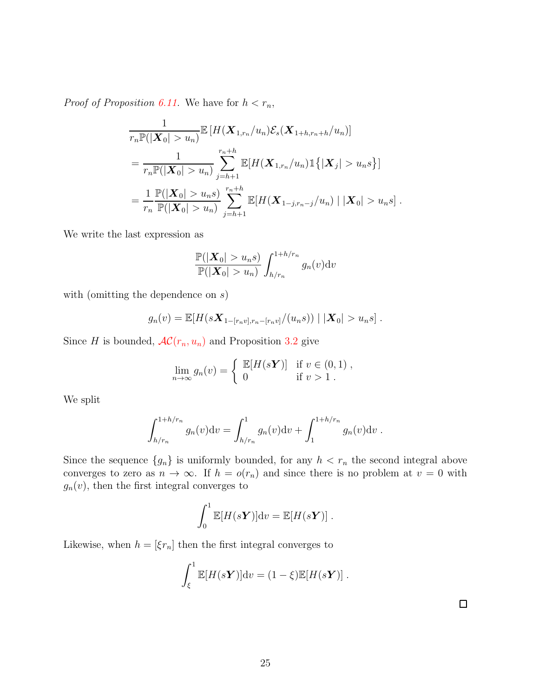*Proof of Proposition [6.11.](#page-23-0)* We have for  $h < r_n$ ,

$$
\frac{1}{r_n \mathbb{P}(|\mathbf{X}_0| > u_n)} \mathbb{E}\left[H(\mathbf{X}_{1,r_n}/u_n)\mathcal{E}_s(\mathbf{X}_{1+h,r_n+h}/u_n)\right]
$$
\n
$$
= \frac{1}{r_n \mathbb{P}(|\mathbf{X}_0| > u_n)} \sum_{j=h+1}^{r_n+h} \mathbb{E}[H(\mathbf{X}_{1,r_n}/u_n) \mathbb{1}\{|\mathbf{X}_j| > u_n s\}]
$$
\n
$$
= \frac{1}{r_n} \frac{\mathbb{P}(|\mathbf{X}_0| > u_n s)}{\mathbb{P}(|\mathbf{X}_0| > u_n)} \sum_{j=h+1}^{r_n+h} \mathbb{E}[H(\mathbf{X}_{1-j,r_n-j}/u_n) | |\mathbf{X}_0| > u_n s].
$$

We write the last expression as

$$
\frac{\mathbb{P}(|\boldsymbol{X}_0| > u_n s)}{\mathbb{P}(|\boldsymbol{X}_0| > u_n)} \int_{h/r_n}^{1+h/r_n} g_n(v) \mathrm{d}v
$$

with (omitting the dependence on  $s$ )

$$
g_n(v) = \mathbb{E}[H(sX_{1-[r_nv],r_n-[r_nv]}/(u_n s)) | |X_0| > u_n s].
$$

Since H is bounded,  $AC(r_n, u_n)$  $AC(r_n, u_n)$  and Proposition [3.2](#page-6-1) give

$$
\lim_{n \to \infty} g_n(v) = \begin{cases} \mathbb{E}[H(s\mathbf{Y})] & \text{if } v \in (0,1), \\ 0 & \text{if } v > 1. \end{cases}
$$

We split

$$
\int_{h/r_n}^{1+h/r_n} g_n(v) dv = \int_{h/r_n}^1 g_n(v) dv + \int_1^{1+h/r_n} g_n(v) dv.
$$

Since the sequence  $\{g_n\}$  is uniformly bounded, for any  $h < r_n$  the second integral above converges to zero as  $n \to \infty$ . If  $h = o(r_n)$  and since there is no problem at  $v = 0$  with  $g_n(v)$ , then the first integral converges to

$$
\int_0^1 \mathbb{E}[H(s\boldsymbol{Y})]dv = \mathbb{E}[H(s\boldsymbol{Y})].
$$

Likewise, when  $h = [\xi r_n]$  then the first integral converges to

$$
\int_{\xi}^{1} \mathbb{E}[H(s\boldsymbol{Y})] \mathrm{d}v = (1-\xi)\mathbb{E}[H(s\boldsymbol{Y})].
$$

 $\Box$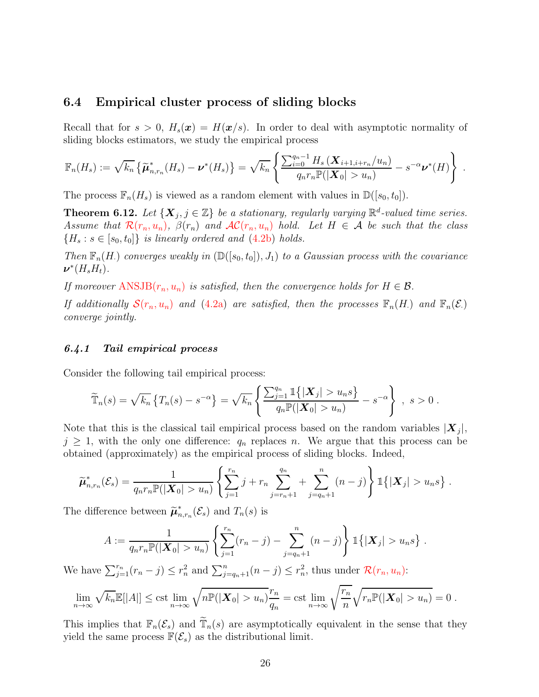#### <span id="page-25-0"></span>6.4 Empirical cluster process of sliding blocks

Recall that for  $s > 0$ ,  $H_s(\mathbf{x}) = H(\mathbf{x}/s)$ . In order to deal with asymptotic normality of sliding blocks estimators, we study the empirical process

$$
\mathbb{F}_n(H_s) := \sqrt{k_n} \left\{ \widetilde{\boldsymbol{\mu}}_{n,r_n}^*(H_s) - \boldsymbol{\nu}^*(H_s) \right\} = \sqrt{k_n} \left\{ \frac{\sum_{i=0}^{q_n-1} H_s \left( \boldsymbol{X}_{i+1,i+r_n}/u_n \right)}{q_n r_n \mathbb{P}(|\boldsymbol{X}_0| > u_n)} - s^{-\alpha} \boldsymbol{\nu}^*(H) \right\} .
$$

<span id="page-25-2"></span>The process  $\mathbb{F}_n(H_s)$  is viewed as a random element with values in  $\mathbb{D}([s_0, t_0])$ .

**Theorem 6.12.** Let  $\{X_j, j \in \mathbb{Z}\}$  be a stationary, regularly varying  $\mathbb{R}^d$ -valued time series. *Assume that*  $\mathcal{R}(r_n, u_n)$  $\mathcal{R}(r_n, u_n)$  $\mathcal{R}(r_n, u_n)$ ,  $\beta(r_n)$  *and*  $\mathcal{AC}(r_n, u_n)$  $\mathcal{AC}(r_n, u_n)$  $\mathcal{AC}(r_n, u_n)$  *hold.* Let  $H \in \mathcal{A}$  be such that the class  ${H_s : s \in [s_0, t_0]}$  *is linearly ordered and*  $(4.2b)$  *holds.* 

*Then*  $\mathbb{F}_n(H)$  *converges weakly in*  $(\mathbb{D}([s_0, t_0]), J_1)$  *to a Gaussian process with the covariance*  $\boldsymbol{\nu}^*(H_sH_t)$ .

*If moreover*  $ANSJB(r_n, u_n)$  $ANSJB(r_n, u_n)$  *is satisfied, then the convergence holds for*  $H \in \mathcal{B}$ *.* 

*If additionally*  $\mathcal{S}(r_n, u_n)$  $\mathcal{S}(r_n, u_n)$  $\mathcal{S}(r_n, u_n)$  *and* [\(4.2a\)](#page-10-2) *are satisfied, then the processes*  $\mathbb{F}_n(H)$  *and*  $\mathbb{F}_n(\mathcal{E})$ *converge jointly.*

#### <span id="page-25-1"></span>*6.4.1 Tail empirical process*

Consider the following tail empirical process:

$$
\widetilde{\mathbb{T}}_n(s) = \sqrt{k_n} \left\{ T_n(s) - s^{-\alpha} \right\} = \sqrt{k_n} \left\{ \frac{\sum_{j=1}^{q_n} \mathbb{1}\left\{ |\boldsymbol{X}_j| > u_n s \right\}}{q_n \mathbb{P}(|\boldsymbol{X}_0| > u_n)} - s^{-\alpha} \right\} , \ s > 0 .
$$

Note that this is the classical tail empirical process based on the random variables  $|\boldsymbol{X}_j|$ ,  $j \geq 1$ , with the only one difference:  $q_n$  replaces n. We argue that this process can be obtained (approximately) as the empirical process of sliding blocks. Indeed,

$$
\widetilde{\mu}_{n,r_n}^*(\mathcal{E}_s) = \frac{1}{q_n r_n \mathbb{P}(|\mathbf{X}_0| > u_n)} \left\{ \sum_{j=1}^{r_n} j + r_n \sum_{j=r_n+1}^{q_n} + \sum_{j=q_n+1}^{n} (n-j) \right\} \mathbb{1}\left\{ |\mathbf{X}_j| > u_n s \right\}.
$$

The difference between  $\widetilde{\boldsymbol{\mu}}_n^*$  $_{n,r_n}^{\ast}(\mathcal{E}_s)$  and  $T_n(s)$  is

$$
A := \frac{1}{q_n r_n \mathbb{P}(|\mathbf{X}_0| > u_n)} \left\{ \sum_{j=1}^{r_n} (r_n - j) - \sum_{j=q_n+1}^n (n-j) \right\} \mathbb{1} \{ |\mathbf{X}_j| > u_n s \} .
$$

We have  $\sum_{j=1}^{r_n} (r_n - j) \le r_n^2$  and  $\sum_{j=q_n+1}^{n} (n-j) \le r_n^2$ , thus under  $\mathcal{R}(r_n, u_n)$  $\mathcal{R}(r_n, u_n)$  $\mathcal{R}(r_n, u_n)$ :

$$
\lim_{n\to\infty}\sqrt{k_n}\mathbb{E}[|A|] \leq \text{cst} \lim_{n\to\infty}\sqrt{n}\mathbb{P}(|\mathbf{X}_0|>u_n)\frac{r_n}{q_n} = \text{cst} \lim_{n\to\infty}\sqrt{\frac{r_n}{n}}\sqrt{r_n\mathbb{P}(|\mathbf{X}_0|>u_n)} = 0.
$$

This implies that  $\mathbb{F}_n(\mathcal{E}_s)$  and  $\mathbb{T}_n(s)$  are asymptotically equivalent in the sense that they yield the same process  $\mathbb{F}(\mathcal{E}_s)$  as the distributional limit.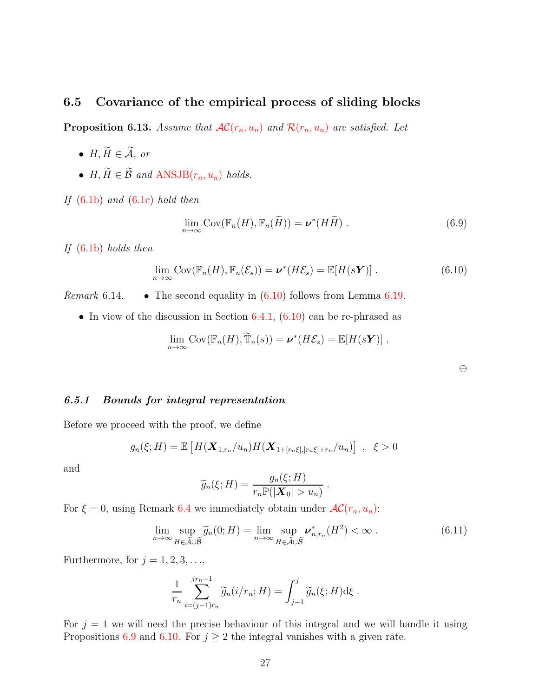## <span id="page-26-2"></span><span id="page-26-0"></span>6.5 Covariance of the empirical process of sliding blocks

**Proposition 6.13.** *Assume that*  $AC(r_n, u_n)$  $AC(r_n, u_n)$  $AC(r_n, u_n)$  $AC(r_n, u_n)$  *and*  $R(r_n, u_n)$  *are satisfied. Let* 

- $H, \widetilde{H} \in \widetilde{A}$ , or
- $H, \widetilde{H} \in \widetilde{\mathcal{B}}$  and  $ANSJB(r_n, u_n)$  $ANSJB(r_n, u_n)$  holds.

*If* [\(6.1b\)](#page-14-3) *and* [\(6.1c\)](#page-14-4) *hold then*

$$
\lim_{n \to \infty} \text{Cov}(\mathbb{F}_n(H), \mathbb{F}_n(\widetilde{H})) = \boldsymbol{\nu}^*(H\widetilde{H}) \ . \tag{6.9}
$$

*If* [\(6.1b\)](#page-14-3) *holds then*

$$
\lim_{n \to \infty} \text{Cov}(\mathbb{F}_n(H), \mathbb{F}_n(\mathcal{E}_s)) = \boldsymbol{\nu}^*(H\mathcal{E}_s) = \mathbb{E}[H(s\boldsymbol{Y})]. \tag{6.10}
$$

*Remark* 6.14. • The second equality in  $(6.10)$  follows from Lemma [6.19.](#page-38-0)

• In view of the discussion in Section  $6.4.1, (6.10)$  $6.4.1, (6.10)$  can be re-phrased as

$$
\lim_{n\to\infty}\mathrm{Cov}(\mathbb{F}_n(H),\widetilde{\mathbb{T}}_n(s))=\boldsymbol{\nu}^*(H\mathcal{E}_s)=\mathbb{E}[H(s\boldsymbol{Y})].
$$

<span id="page-26-5"></span><span id="page-26-3"></span><span id="page-26-1"></span>

| ۰.<br>ł | ш<br>f                    |
|---------|---------------------------|
| ×<br>×  | . .<br>I<br>۰.<br>٠<br>۰. |
|         |                           |

#### *6.5.1 Bounds for integral representation*

Before we proceed with the proof, we define

$$
g_n(\xi; H) = \mathbb{E}\left[H(\mathbf{X}_{1,r_n}/u_n)H(\mathbf{X}_{1+[r_n\xi],[r_n\xi]+r_n}/u_n)\right], \xi > 0
$$

and

$$
\widetilde{g}_n(\xi; H) = \frac{g_n(\xi; H)}{r_n \mathbb{P}(|\mathbf{X}_0| > u_n)}.
$$

For  $\xi = 0$ , using Remark [6.4](#page-18-1) we immediately obtain under  $AC(r_n, u_n)$  $AC(r_n, u_n)$ :

$$
\lim_{n \to \infty} \sup_{H \in \tilde{\mathcal{A}} \cup \tilde{\mathcal{B}}} \tilde{g}_n(0; H) = \lim_{n \to \infty} \sup_{H \in \tilde{\mathcal{A}} \cup \tilde{\mathcal{B}}} \nu^*_{n, r_n}(H^2) < \infty \tag{6.11}
$$

Furthermore, for  $j = 1, 2, 3, \ldots$ ,

$$
\frac{1}{r_n} \sum_{i=(j-1)r_n}^{jr_n-1} \widetilde{g}_n(i/r_n; H) = \int_{j-1}^j \widetilde{g}_n(\xi; H) d\xi.
$$

<span id="page-26-4"></span>For  $j = 1$  we will need the precise behaviour of this integral and we will handle it using Propositions [6.9](#page-21-0) and [6.10.](#page-22-0) For  $j \geq 2$  the integral vanishes with a given rate.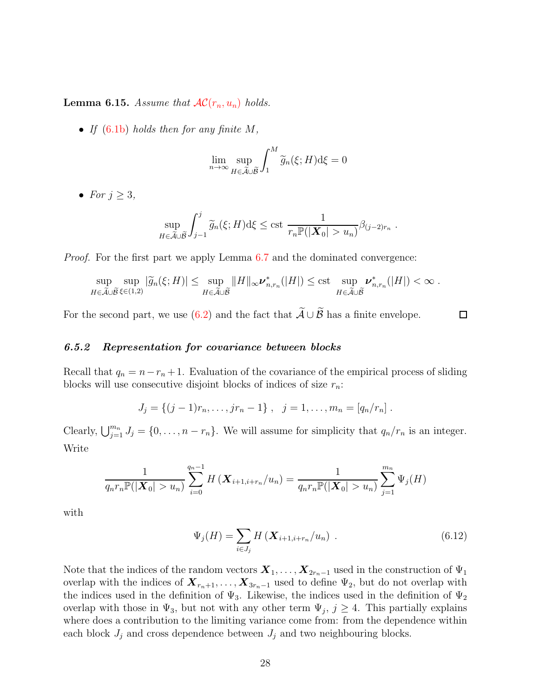**Lemma 6.15.** *Assume that*  $AC(r_n, u_n)$  $AC(r_n, u_n)$  *holds.* 

• *If* [\(6.1b\)](#page-14-3) *holds then for any finite* M*,*

$$
\lim_{n \to \infty} \sup_{H \in \widetilde{\mathcal{A}} \cup \widetilde{\mathcal{B}}} \int_1^M \widetilde{g}_n(\xi; H) d\xi = 0
$$

• *For*  $i > 3$ ,

$$
\sup_{H \in \widetilde{\mathcal{A}} \cup \widetilde{\mathcal{B}}} \int_{j-1}^{j} \widetilde{g}_n(\xi; H) d\xi \leq \text{cst} \frac{1}{r_n \mathbb{P}(|\mathbf{X}_0| > u_n)} \beta_{(j-2)r_n} .
$$

*Proof.* For the first part we apply Lemma [6.7](#page-20-1) and the dominated convergence:

$$
\sup_{H \in \widetilde{\mathcal{A}} \cup \widetilde{\mathcal{B}}} \sup_{\xi \in (1,2)} |\widetilde{g}_n(\xi;H)| \leq \sup_{H \in \widetilde{\mathcal{A}} \cup \widetilde{\mathcal{B}}} ||H||_{\infty} \nu_{n,r_n}^* (|H|) \leq \text{cst} \sup_{H \in \widetilde{\mathcal{A}} \cup \widetilde{\mathcal{B}}} \nu_{n,r_n}^* (|H|) < \infty.
$$

For the second part, we use [\(6.2\)](#page-14-2) and the fact that  $\widetilde{\mathcal{A}} \cup \widetilde{\mathcal{B}}$  has a finite envelope.

#### *6.5.2 Representation for covariance between blocks*

Recall that  $q_n = n - r_n + 1$ . Evaluation of the covariance of the empirical process of sliding blocks will use consecutive disjoint blocks of indices of size  $r_n$ :

$$
J_j = \{(j-1)r_n, \ldots, jr_n - 1\}, \quad j = 1, \ldots, m_n = [q_n/r_n].
$$

Clearly,  $\bigcup_{j=1}^{m_n} J_j = \{0, \ldots, n - r_n\}$ . We will assume for simplicity that  $q_n/r_n$  is an integer. Write

$$
\frac{1}{q_n r_n \mathbb{P}(|\mathbf{X}_0| > u_n)} \sum_{i=0}^{q_n - 1} H\left(\mathbf{X}_{i+1, i+r_n}/u_n\right) = \frac{1}{q_n r_n \mathbb{P}(|\mathbf{X}_0| > u_n)} \sum_{j=1}^{m_n} \Psi_j(H)
$$

with

$$
\Psi_j(H) = \sum_{i \in J_j} H\left(\mathbf{X}_{i+1, i+r_n}/u_n\right) \tag{6.12}
$$

<span id="page-27-0"></span> $\Box$ 

Note that the indices of the random vectors  $X_1, \ldots, X_{2r_n-1}$  used in the construction of  $\Psi_1$ overlap with the indices of  $X_{r_n+1}, \ldots, X_{3r_n-1}$  used to define  $\Psi_2$ , but do not overlap with the indices used in the definition of  $\Psi_3$ . Likewise, the indices used in the definition of  $\Psi_2$ overlap with those in  $\Psi_3$ , but not with any other term  $\Psi_j$ ,  $j \geq 4$ . This partially explains where does a contribution to the limiting variance come from: from the dependence within each block  $J_j$  and cross dependence between  $J_j$  and two neighbouring blocks.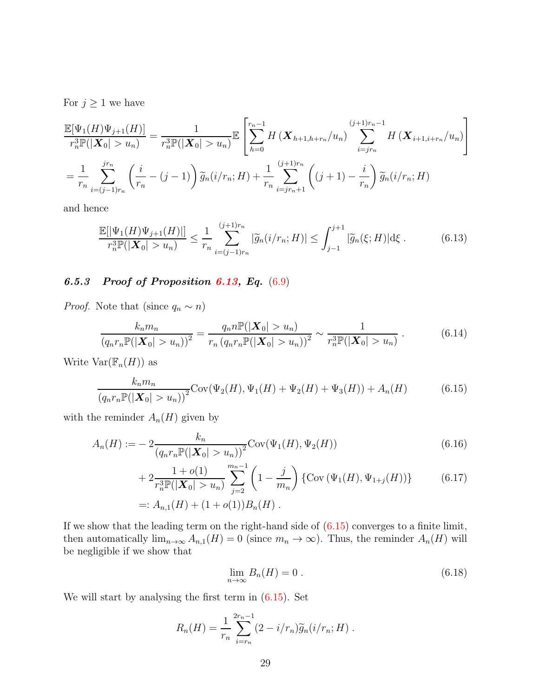For  $j \geq 1$  we have

$$
\frac{\mathbb{E}[\Psi_{1}(H)\Psi_{j+1}(H)]}{r_{n}^{3}\mathbb{P}(|\mathbf{X}_{0}| > u_{n})} = \frac{1}{r_{n}^{3}\mathbb{P}(|\mathbf{X}_{0}| > u_{n})}\mathbb{E}\left[\sum_{h=0}^{r_{n}-1} H(\mathbf{X}_{h+1,h+r_{n}}/u_{n}) \sum_{i=jr_{n}}^{(j+1)r_{n}-1} H(\mathbf{X}_{i+1,i+r_{n}}/u_{n})\right]
$$
\n
$$
= \frac{1}{r_{n}} \sum_{i=(j-1)r_{n}}^{j r_{n}} \left(\frac{i}{r_{n}} - (j-1)\right) \widetilde{g}_{n}(i/r_{n}; H) + \frac{1}{r_{n}} \sum_{i=jr_{n}+1}^{(j+1)r_{n}} \left((j+1) - \frac{i}{r_{n}}\right) \widetilde{g}_{n}(i/r_{n}; H)
$$

and hence

<span id="page-28-3"></span>
$$
\frac{\mathbb{E}[|\Psi_1(H)\Psi_{j+1}(H)|]}{r_n^3 \mathbb{P}(|\mathbf{X}_0| > u_n)} \le \frac{1}{r_n} \sum_{i=(j-1)r_n}^{(j+1)r_n} |\widetilde{g}_n(i/r_n; H)| \le \int_{j-1}^{j+1} |\widetilde{g}_n(\xi; H)| d\xi.
$$
 (6.13)

# *6.5.3 Proof of Proposition [6.13,](#page-26-2) Eq.* [\(6.9\)](#page-26-3)

*Proof.* Note that (since  $q_n \sim n$ )

$$
\frac{k_n m_n}{\left(q_n r_n \mathbb{P}(|\mathbf{X}_0| > u_n)\right)^2} = \frac{q_n n \mathbb{P}(|\mathbf{X}_0| > u_n)}{r_n \left(q_n r_n \mathbb{P}(|\mathbf{X}_0| > u_n)\right)^2} \sim \frac{1}{r_n^3 \mathbb{P}(|\mathbf{X}_0| > u_n)}\,. \tag{6.14}
$$

Write  $\text{Var}(\mathbb{F}_n(H))$  as

$$
\frac{k_n m_n}{(q_n r_n \mathbb{P}(|\mathbf{X}_0| > u_n))^2} \text{Cov}(\Psi_2(H), \Psi_1(H) + \Psi_2(H) + \Psi_3(H)) + A_n(H) \tag{6.15}
$$

with the reminder  $A_n(H)$  given by

$$
A_n(H) := -2 \frac{k_n}{(q_n r_n \mathbb{P}(|\mathbf{X}_0| > u_n))^2} \text{Cov}(\Psi_1(H), \Psi_2(H))
$$
\n(6.16)

+ 
$$
2 \frac{1 + o(1)}{r_n^3 \mathbb{P}(|\mathbf{X}_0| > u_n)} \sum_{j=2}^{m_n - 1} \left(1 - \frac{j}{m_n}\right) \{ \text{Cov}(\Psi_1(H), \Psi_{1+j}(H))\}
$$
 (6.17)  
=:  $A_{n,1}(H) + (1 + o(1))B_n(H)$ .

If we show that the leading term on the right-hand side of  $(6.15)$  converges to a finite limit, then automatically  $\lim_{n\to\infty} A_{n,1}(H) = 0$  (since  $m_n \to \infty$ ). Thus, the reminder  $A_n(H)$  will be negligible if we show that

<span id="page-28-5"></span><span id="page-28-4"></span><span id="page-28-2"></span><span id="page-28-1"></span><span id="page-28-0"></span>
$$
\lim_{n \to \infty} B_n(H) = 0. \tag{6.18}
$$

We will start by analysing the first term in [\(6.15\)](#page-28-0). Set

$$
R_n(H) = \frac{1}{r_n} \sum_{i=r_n}^{2r_n-1} (2 - i/r_n) \widetilde{g}_n(i/r_n; H) .
$$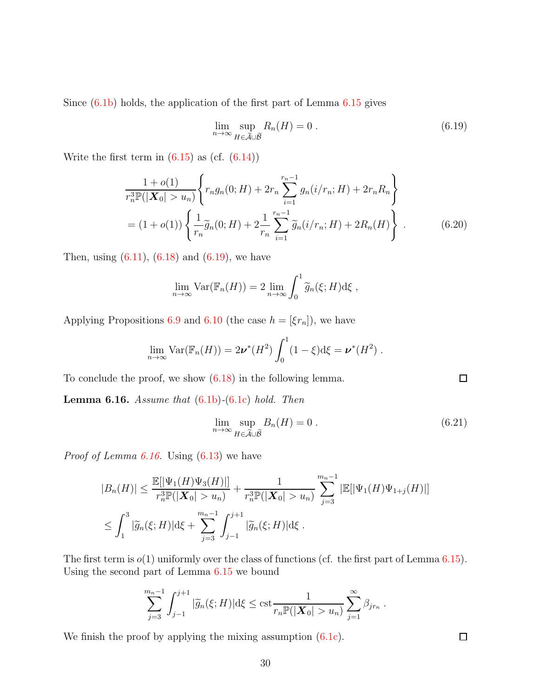Since  $(6.1b)$  holds, the application of the first part of Lemma  $6.15$  gives

<span id="page-29-0"></span>
$$
\lim_{n \to \infty} \sup_{H \in \widetilde{\mathcal{A}} \cup \widetilde{\mathcal{B}}} R_n(H) = 0 \tag{6.19}
$$

Write the first term in  $(6.15)$  as  $(cf. (6.14))$  $(cf. (6.14))$  $(cf. (6.14))$ 

$$
\frac{1+o(1)}{r_n^3 \mathbb{P}(|\mathbf{X}_0| > u_n)} \left\{ r_n g_n(0; H) + 2r_n \sum_{i=1}^{r_n - 1} g_n(i/r_n; H) + 2r_n R_n \right\}
$$
  
=  $(1+o(1)) \left\{ \frac{1}{r_n} \widetilde{g}_n(0; H) + 2 \frac{1}{r_n} \sum_{i=1}^{r_n - 1} \widetilde{g}_n(i/r_n; H) + 2R_n(H) \right\}.$  (6.20)

Then, using  $(6.11)$ ,  $(6.18)$  and  $(6.19)$ , we have

$$
\lim_{n \to \infty} \text{Var}(\mathbb{F}_n(H)) = 2 \lim_{n \to \infty} \int_0^1 \widetilde{g}_n(\xi; H) d\xi ,
$$

Applying Propositions [6.9](#page-21-0) and [6.10](#page-22-0) (the case  $h = [\xi r_n]$ ), we have

$$
\lim_{n\to\infty} \text{Var}(\mathbb{F}_n(H)) = 2\nu^*(H^2) \int_0^1 (1-\xi) d\xi = \nu^*(H^2) .
$$

<span id="page-29-1"></span>To conclude the proof, we show [\(6.18\)](#page-28-2) in the following lemma.

Lemma 6.16. *Assume that* [\(6.1b\)](#page-14-3)*-*[\(6.1c\)](#page-14-4) *hold. Then*

$$
\lim_{n \to \infty} \sup_{H \in \tilde{\mathcal{A}} \cup \tilde{\mathcal{B}}} B_n(H) = 0 \tag{6.21}
$$

*Proof of Lemma [6.16.](#page-29-1)* Using [\(6.13\)](#page-28-3) we have

$$
|B_n(H)| \le \frac{\mathbb{E}[|\Psi_1(H)\Psi_3(H)|]}{r_n^3 \mathbb{P}(|\mathbf{X}_0| > u_n)} + \frac{1}{r_n^3 \mathbb{P}(|\mathbf{X}_0| > u_n)} \sum_{j=3}^{m_n-1} |\mathbb{E}[|\Psi_1(H)\Psi_{1+j}(H)|]
$$
  

$$
\le \int_1^3 |\widetilde{g}_n(\xi; H)| d\xi + \sum_{j=3}^{m_n-1} \int_{j-1}^{j+1} |\widetilde{g}_n(\xi; H)| d\xi.
$$

The first term is  $o(1)$  uniformly over the class of functions (cf. the first part of Lemma [6.15\)](#page-26-4). Using the second part of Lemma [6.15](#page-26-4) we bound

$$
\sum_{j=3}^{m_n-1} \int_{j-1}^{j+1} |\widetilde{g}_n(\xi; H)| d\xi \leq \text{cst} \frac{1}{r_n \mathbb{P}(|\mathbf{X}_0| > u_n)} \sum_{j=1}^{\infty} \beta_{jr_n} .
$$

We finish the proof by applying the mixing assumption  $(6.1c)$ .

<span id="page-29-2"></span> $\Box$ 

 $\Box$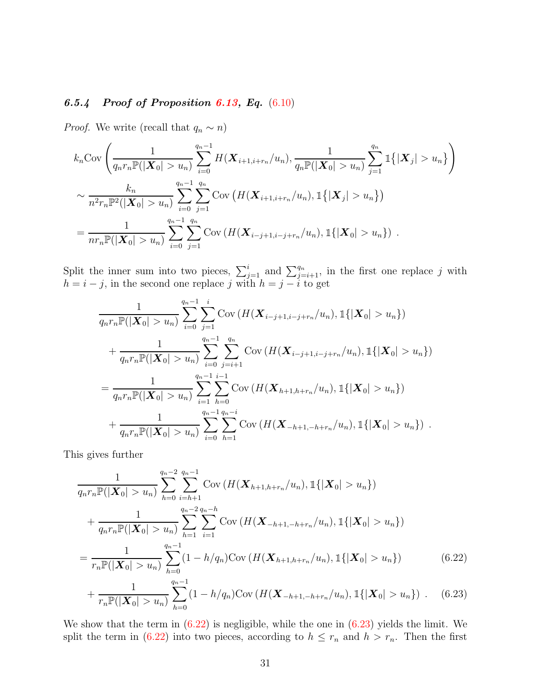## *6.5.4 Proof of Proposition [6.13,](#page-26-2) Eq.* [\(6.10\)](#page-26-1)

*Proof.* We write (recall that  $q_n \sim n$ )

$$
k_n \text{Cov}\left(\frac{1}{q_n r_n \mathbb{P}(|\mathbf{X}_0| > u_n)} \sum_{i=0}^{q_n - 1} H(\mathbf{X}_{i+1,i+r_n}/u_n), \frac{1}{q_n \mathbb{P}(|\mathbf{X}_0| > u_n)} \sum_{j=1}^{q_n} \mathbb{1}\{| \mathbf{X}_j | > u_n \} \right)
$$
  

$$
\sim \frac{k_n}{n^2 r_n \mathbb{P}^2(|\mathbf{X}_0| > u_n)} \sum_{i=0}^{q_n - 1} \sum_{j=1}^{q_n} \text{Cov}\left(H(\mathbf{X}_{i+1,i+r_n}/u_n), \mathbb{1}\{| \mathbf{X}_j | > u_n \} \right)
$$
  

$$
= \frac{1}{n r_n \mathbb{P}(|\mathbf{X}_0| > u_n)} \sum_{i=0}^{q_n - 1} \sum_{j=1}^{q_n} \text{Cov}\left(H(\mathbf{X}_{i-j+1,i-j+r_n}/u_n), \mathbb{1}\{| \mathbf{X}_0 | > u_n \} \right).
$$

Split the inner sum into two pieces,  $\sum_{j=1}^{i}$  and  $\sum_{j=i+1}^{q_n}$ , in the first one replace j with  $h = i - j$ , in the second one replace j with  $h = j - i$  to get

$$
\frac{1}{q_n r_n \mathbb{P}(|\mathbf{X}_0| > u_n)} \sum_{i=0}^{q_n - 1} \sum_{j=1}^i \text{Cov} \left( H(\mathbf{X}_{i-j+1,i-j+r_n}/u_n), \mathbb{1}\{|\mathbf{X}_0| > u_n\} \right)
$$
\n
$$
+ \frac{1}{q_n r_n \mathbb{P}(|\mathbf{X}_0| > u_n)} \sum_{i=0}^{q_n - 1} \sum_{j=i+1}^{q_n} \text{Cov} \left( H(\mathbf{X}_{i-j+1,i-j+r_n}/u_n), \mathbb{1}\{|\mathbf{X}_0| > u_n\} \right)
$$
\n
$$
= \frac{1}{q_n r_n \mathbb{P}(|\mathbf{X}_0| > u_n)} \sum_{i=1}^{q_n - 1} \sum_{h=0}^{i-1} \text{Cov} \left( H(\mathbf{X}_{h+1,h+r_n}/u_n), \mathbb{1}\{|\mathbf{X}_0| > u_n\} \right)
$$
\n
$$
+ \frac{1}{q_n r_n \mathbb{P}(|\mathbf{X}_0| > u_n)} \sum_{i=0}^{q_n - 1} \sum_{h=1}^{q_n - i} \text{Cov} \left( H(\mathbf{X}_{-h+1,-h+r_n}/u_n), \mathbb{1}\{|\mathbf{X}_0| > u_n\} \right).
$$

This gives further

<span id="page-30-0"></span>
$$
\frac{1}{q_n r_n \mathbb{P}(|\mathbf{X}_0| > u_n)} \sum_{h=0}^{q_n - 2} \sum_{i=h+1}^{q_n - 1} \text{Cov} \left( H(\mathbf{X}_{h+1,h+r_n}/u_n), \mathbb{1}\{|\mathbf{X}_0| > u_n\} \right)
$$
\n
$$
+ \frac{1}{q_n r_n \mathbb{P}(|\mathbf{X}_0| > u_n)} \sum_{h=1}^{q_n - 2} \sum_{i=1}^{q_n - h} \text{Cov} \left( H(\mathbf{X}_{-h+1,-h+r_n}/u_n), \mathbb{1}\{|\mathbf{X}_0| > u_n\} \right)
$$
\n
$$
= \frac{1}{r_n \mathbb{P}(|\mathbf{X}_0| > u_n)} \sum_{h=0}^{q_n - 1} (1 - h/q_n) \text{Cov} \left( H(\mathbf{X}_{h+1,h+r_n}/u_n), \mathbb{1}\{|\mathbf{X}_0| > u_n\} \right) \tag{6.22}
$$
\n
$$
+ \frac{1}{r_n \mathbb{P}(|\mathbf{X}_0| > u_n)} \sum_{h=0}^{q_n - 1} (1 - h/q_n) \text{Cov} \left( H(\mathbf{X}_{-h+1,-h+r_n}/u_n), \mathbb{1}\{|\mathbf{X}_0| > u_n\} \right) \tag{6.23}
$$

<span id="page-30-1"></span>We show that the term in [\(6.22\)](#page-30-0) is negligible, while the one in [\(6.23\)](#page-30-1) yields the limit. We split the term in [\(6.22\)](#page-30-0) into two pieces, according to  $h \leq r_n$  and  $h > r_n$ . Then the first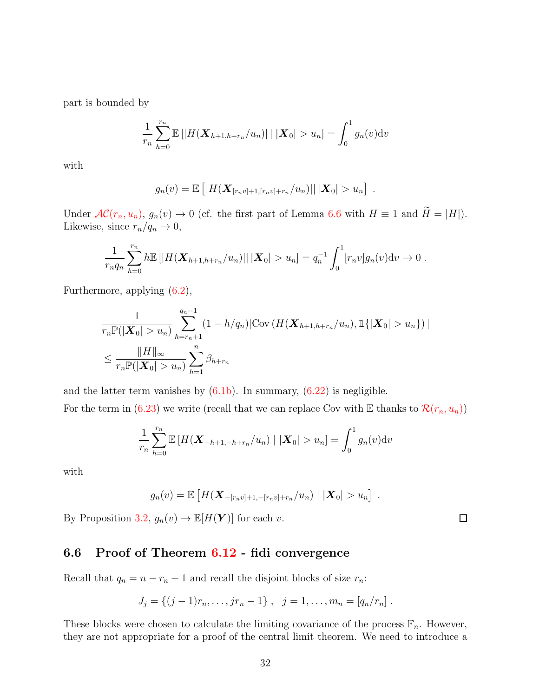part is bounded by

$$
\frac{1}{r_n} \sum_{h=0}^{r_n} \mathbb{E} \left[ |H(\mathbf{X}_{h+1,h+r_n}/u_n)| \mid |\mathbf{X}_0| > u_n \right] = \int_0^1 g_n(v) \mathrm{d}v
$$

with

$$
g_n(v) = \mathbb{E} \left[ |H(\mathbf{X}_{[r_n v]+1,[r_n v]+r_n}/u_n)| \, | \, |\mathbf{X}_0| > u_n \right] \; .
$$

Under  $AC(r_n, u_n)$  $AC(r_n, u_n)$ ,  $g_n(v) \to 0$  (cf. the first part of Lemma [6.6](#page-19-0) with  $H \equiv 1$  and  $\widetilde{H} = |H|$ ). Likewise, since  $r_n/q_n \to 0$ ,

$$
\frac{1}{r_nq_n}\sum_{h=0}^{r_n}h\mathbb{E}\left[|H(\mathbf{X}_{h+1,h+r_n}/u_n)|\,|\,|\mathbf{X}_0|>u_n\right]=q_n^{-1}\int_0^1[r_nv]g_n(v)\mathrm{d}v\to 0.
$$

Furthermore, applying [\(6.2\)](#page-14-2),

$$
\frac{1}{r_n \mathbb{P}(|\mathbf{X}_0| > u_n)} \sum_{h=r_n+1}^{q_n-1} (1 - h/q_n) |\text{Cov} (H(\mathbf{X}_{h+1,h+r_n}/u_n), \mathbb{1}\{|\mathbf{X}_0| > u_n\})|
$$
\n
$$
\leq \frac{\|H\|_{\infty}}{r_n \mathbb{P}(|\mathbf{X}_0| > u_n)} \sum_{h=1}^n \beta_{h+r_n}
$$

and the latter term vanishes by  $(6.1b)$ . In summary,  $(6.22)$  is negligible. For the term in [\(6.23\)](#page-30-1) we write (recall that we can replace Cov with E thanks to  $\mathcal{R}(r_n, u_n)$  $\mathcal{R}(r_n, u_n)$  $\mathcal{R}(r_n, u_n)$ )

$$
\frac{1}{r_n} \sum_{h=0}^{r_n} \mathbb{E} \left[ H(\mathbf{X}_{-h+1,-h+r_n}/u_n) \mid |\mathbf{X}_0| > u_n \right] = \int_0^1 g_n(v) \mathrm{d}v
$$

with

$$
g_n(v) = \mathbb{E}\left[H(\mathbf{X}_{-[r_n v]+1,-[r_n v]+r_n}/u_n) \mid |\mathbf{X}_0| > u_n\right].
$$

<span id="page-31-0"></span>By Proposition [3.2,](#page-6-1)  $g_n(v) \to \mathbb{E}[H(Y)]$  for each v.

# 6.6 Proof of Theorem [6.12](#page-25-2) - fidi convergence

Recall that  $q_n = n - r_n + 1$  and recall the disjoint blocks of size  $r_n$ :

$$
J_j = \{(j-1)r_n, \ldots, jr_n - 1\}, \quad j = 1, \ldots, m_n = [q_n/r_n].
$$

These blocks were chosen to calculate the limiting covariance of the process  $\mathbb{F}_n$ . However, they are not appropriate for a proof of the central limit theorem. We need to introduce a

 $\Box$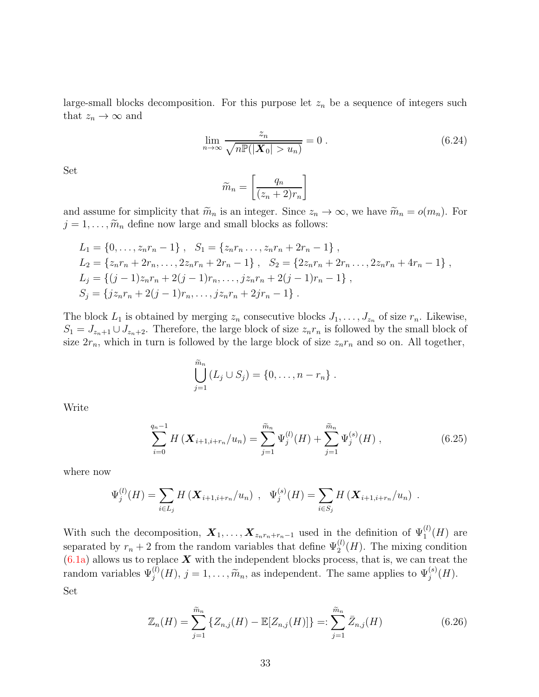large-small blocks decomposition. For this purpose let  $z_n$  be a sequence of integers such that  $z_n \to \infty$  and

$$
\lim_{n \to \infty} \frac{z_n}{\sqrt{n \mathbb{P}(|\mathbf{X}_0| > u_n)}} = 0.
$$
\n(6.24)

Set

<span id="page-32-1"></span>
$$
\widetilde{m}_n = \left[\frac{q_n}{(z_n+2)r_n}\right]
$$

and assume for simplicity that  $\widetilde{m}_n$  is an integer. Since  $z_n \to \infty$ , we have  $\widetilde{m}_n = o(m_n)$ . For  $j = 1, \ldots, \widetilde{m}_n$  define now large and small blocks as follows:

$$
L_1 = \{0, \ldots, z_n r_n - 1\}, \quad S_1 = \{z_n r_n \ldots, z_n r_n + 2r_n - 1\},
$$
  
\n
$$
L_2 = \{z_n r_n + 2r_n, \ldots, 2z_n r_n + 2r_n - 1\}, \quad S_2 = \{2z_n r_n + 2r_n \ldots, 2z_n r_n + 4r_n - 1\},
$$
  
\n
$$
L_j = \{(j-1)z_n r_n + 2(j-1)r_n, \ldots, jz_n r_n + 2(j-1)r_n - 1\},
$$
  
\n
$$
S_j = \{jz_n r_n + 2(j-1)r_n, \ldots, jz_n r_n + 2jr_n - 1\}.
$$

The block  $L_1$  is obtained by merging  $z_n$  consecutive blocks  $J_1, \ldots, J_{z_n}$  of size  $r_n$ . Likewise,  $S_1 = J_{z_n+1} \cup J_{z_n+2}$ . Therefore, the large block of size  $z_n r_n$  is followed by the small block of size  $2r_n$ , which in turn is followed by the large block of size  $z_n r_n$  and so on. All together,

<span id="page-32-0"></span>
$$
\bigcup_{j=1}^{\widetilde{m}_n} (L_j \cup S_j) = \{0, \ldots, n-r_n\} .
$$

Write

$$
\sum_{i=0}^{q_n-1} H\left(\mathbf{X}_{i+1,i+r_n}/u_n\right) = \sum_{j=1}^{\widetilde{m}_n} \Psi_j^{(l)}(H) + \sum_{j=1}^{\widetilde{m}_n} \Psi_j^{(s)}(H) , \qquad (6.25)
$$

where now

$$
\Psi_j^{(l)}(H) = \sum_{i \in L_j} H\left(\mathbf{X}_{i+1,i+r_n}/u_n\right) , \quad \Psi_j^{(s)}(H) = \sum_{i \in S_j} H\left(\mathbf{X}_{i+1,i+r_n}/u_n\right) .
$$

With such the decomposition,  $\mathbf{X}_1, \ldots, \mathbf{X}_{z_n r_n + r_n - 1}$  used in the definition of  $\Psi_1^{(l)}(H)$  are separated by  $r_n + 2$  from the random variables that define  $\Psi_2^{(l)}(H)$ . The mixing condition  $(6.1a)$  allows us to replace  $\boldsymbol{X}$  with the independent blocks process, that is, we can treat the random variables  $\Psi_j^{(l)}(H)$ ,  $j = 1, ..., \widetilde{m}_n$ , as independent. The same applies to  $\Psi_j^{(s)}(H)$ . Set

<span id="page-32-2"></span>
$$
\mathbb{Z}_n(H) = \sum_{j=1}^{\widetilde{m}_n} \{ Z_{n,j}(H) - \mathbb{E}[Z_{n,j}(H)] \} =: \sum_{j=1}^{\widetilde{m}_n} \bar{Z}_{n,j}(H)
$$
(6.26)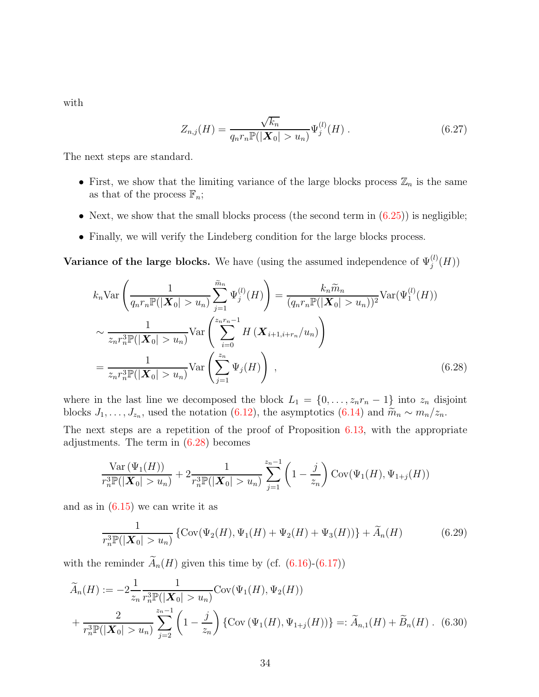with

<span id="page-33-2"></span>
$$
Z_{n,j}(H) = \frac{\sqrt{k_n}}{q_n r_n \mathbb{P}(|\mathbf{X}_0| > u_n)} \Psi_j^{(l)}(H) .
$$
 (6.27)

The next steps are standard.

- First, we show that the limiting variance of the large blocks process  $\mathbb{Z}_n$  is the same as that of the process  $\mathbb{F}_n$ ;
- Next, we show that the small blocks process (the second term in  $(6.25)$ ) is negligible;
- Finally, we will verify the Lindeberg condition for the large blocks process.

Variance of the large blocks. We have (using the assumed independence of  $\Psi_j^{(l)}(H)$ )

$$
k_n \text{Var}\left(\frac{1}{q_n r_n \mathbb{P}(|\mathbf{X}_0| > u_n)} \sum_{j=1}^{\widetilde{m}_n} \Psi_j^{(l)}(H)\right) = \frac{k_n \widetilde{m}_n}{(q_n r_n \mathbb{P}(|\mathbf{X}_0| > u_n))^2} \text{Var}(\Psi_1^{(l)}(H))
$$

$$
\sim \frac{1}{z_n r_n^3 \mathbb{P}(|\mathbf{X}_0| > u_n)} \text{Var}\left(\sum_{i=0}^{z_n r_n - 1} H(\mathbf{X}_{i+1, i+r_n}/u_n)\right)
$$

$$
= \frac{1}{z_n r_n^3 \mathbb{P}(|\mathbf{X}_0| > u_n)} \text{Var}\left(\sum_{j=1}^{z_n} \Psi_j(H)\right), \tag{6.28}
$$

where in the last line we decomposed the block  $L_1 = \{0, \ldots, z_n r_n - 1\}$  into  $z_n$  disjoint blocks  $J_1, \ldots, J_{z_n}$ , used the notation [\(6.12\)](#page-27-0), the asymptotics [\(6.14\)](#page-28-1) and  $\widetilde{m}_n \sim m_n/z_n$ .

The next steps are a repetition of the proof of Proposition  $6.13$ , with the appropriate adjustments. The term in  $(6.28)$  becomes

<span id="page-33-0"></span>
$$
\frac{\text{Var}(\Psi_1(H))}{r_n^3 \mathbb{P}(|\mathbf{X}_0| > u_n)} + 2 \frac{1}{r_n^3 \mathbb{P}(|\mathbf{X}_0| > u_n)} \sum_{j=1}^{z_n - 1} \left(1 - \frac{j}{z_n}\right) \text{Cov}(\Psi_1(H), \Psi_{1+j}(H))
$$

and as in [\(6.15\)](#page-28-0) we can write it as

<span id="page-33-3"></span><span id="page-33-1"></span>
$$
\frac{1}{r_n^3 \mathbb{P}(|\mathbf{X}_0| > u_n)} \left\{ \text{Cov}(\Psi_2(H), \Psi_1(H) + \Psi_2(H) + \Psi_3(H)) \right\} + \widetilde{A}_n(H) \tag{6.29}
$$

with the reminder  $\widetilde{A}_n(H)$  given this time by (cf. [\(6.16\)](#page-28-4)-[\(6.17\)](#page-28-5))

$$
\widetilde{A}_n(H) := -2 \frac{1}{z_n} \frac{1}{r_n^3 \mathbb{P}(|\mathbf{X}_0| > u_n)} \text{Cov}(\Psi_1(H), \Psi_2(H)) \n+ \frac{2}{r_n^3 \mathbb{P}(|\mathbf{X}_0| > u_n)} \sum_{j=2}^{z_n - 1} \left(1 - \frac{j}{z_n}\right) \left\{ \text{Cov}(\Psi_1(H), \Psi_{1+j}(H)) \right\} =: \widetilde{A}_{n,1}(H) + \widetilde{B}_n(H) \tag{6.30}
$$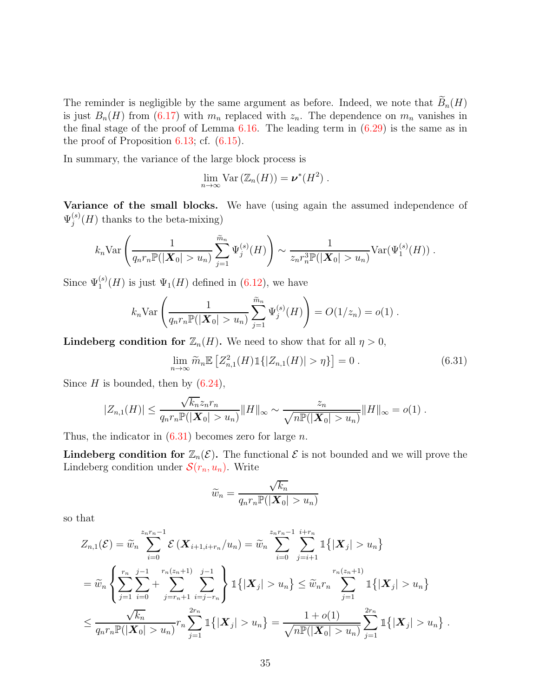The reminder is negligible by the same argument as before. Indeed, we note that  $\widetilde{B}_n(H)$ is just  $B_n(H)$  from [\(6.17\)](#page-28-5) with  $m_n$  replaced with  $z_n$ . The dependence on  $m_n$  vanishes in the final stage of the proof of Lemma  $6.16$ . The leading term in  $(6.29)$  is the same as in the proof of Proposition [6.13;](#page-26-2) cf. [\(6.15\)](#page-28-0).

In summary, the variance of the large block process is

$$
\lim_{n\to\infty} \text{Var}\left(\mathbb{Z}_n(H)\right) = \boldsymbol{\nu}^*(H^2) \ .
$$

Variance of the small blocks. We have (using again the assumed independence of  $\Psi _{i}^{\left( s\right) }$  $j_j^{(s)}(H)$  thanks to the beta-mixing)

$$
k_n \text{Var}\left(\frac{1}{q_n r_n \mathbb{P}(|\boldsymbol{X}_0| > u_n)} \sum_{j=1}^{\widetilde{m}_n} \Psi_j^{(s)}(H)\right) \sim \frac{1}{z_n r_n^3 \mathbb{P}(|\boldsymbol{X}_0| > u_n)} \text{Var}(\Psi_1^{(s)}(H)).
$$

Since  $\Psi_1^{(s)}(H)$  is just  $\Psi_1(H)$  defined in [\(6.12\)](#page-27-0), we have

$$
k_n \text{Var}\left(\frac{1}{q_n r_n \mathbb{P}(|\mathbf{X}_0| > u_n)} \sum_{j=1}^{\widetilde{m}_n} \Psi_j^{(s)}(H)\right) = O(1/z_n) = o(1).
$$

**Lindeberg condition for**  $\mathbb{Z}_n(H)$ . We need to show that for all  $\eta > 0$ ,

$$
\lim_{n \to \infty} \widetilde{m}_n \mathbb{E} \left[ Z_{n,1}^2(H) \mathbb{1} \{ |Z_{n,1}(H)| > \eta \} \right] = 0 \,. \tag{6.31}
$$

Since  $H$  is bounded, then by  $(6.24)$ ,

$$
|Z_{n,1}(H)| \leq \frac{\sqrt{k_n}z_nr_n}{q_nr_n \mathbb{P}(|\mathbf{X}_0| > u_n)} ||H||_{\infty} \sim \frac{z_n}{\sqrt{n\mathbb{P}(|\mathbf{X}_0| > u_n)}} ||H||_{\infty} = o(1) .
$$

Thus, the indicator in  $(6.31)$  becomes zero for large n.

**Lindeberg condition for**  $\mathbb{Z}_n(\mathcal{E})$ . The functional  $\mathcal{E}$  is not bounded and we will prove the Lindeberg condition under  $\mathcal{S}(r_n, u_n)$  $\mathcal{S}(r_n, u_n)$  $\mathcal{S}(r_n, u_n)$ . Write

<span id="page-34-0"></span>
$$
\widetilde{w}_n = \frac{\sqrt{k_n}}{q_n r_n \mathbb{P}(|\mathbf{X}_0| > u_n)}
$$

so that

$$
Z_{n,1}(\mathcal{E}) = \widetilde{w}_n \sum_{i=0}^{z_n r_n - 1} \mathcal{E} (\mathbf{X}_{i+1,i+r_n}/u_n) = \widetilde{w}_n \sum_{i=0}^{z_n r_n - 1} \sum_{j=i+1}^{i+r_n} \mathbb{1} \{ |\mathbf{X}_j| > u_n \}
$$
  
=  $\widetilde{w}_n \left\{ \sum_{j=1}^{r_n} \sum_{i=0}^{j-1} \sum_{j=r_n+1}^{r_n(z_n+1)} \sum_{i=j-r_n}^{j-1} \mathbb{1} \{ |\mathbf{X}_j| > u_n \} \le \widetilde{w}_n r_n \sum_{j=1}^{r_n(z_n+1)} \mathbb{1} \{ |\mathbf{X}_j| > u_n \} \right\}$   
 $\le \frac{\sqrt{k_n}}{q_n r_n \mathbb{P}(|\mathbf{X}_0| > u_n)} r_n \sum_{j=1}^{2r_n} \mathbb{1} \{ |\mathbf{X}_j| > u_n \} = \frac{1+o(1)}{\sqrt{n \mathbb{P}(|\mathbf{X}_0| > u_n)}} \sum_{j=1}^{2r_n} \mathbb{1} \{ |\mathbf{X}_j| > u_n \} .$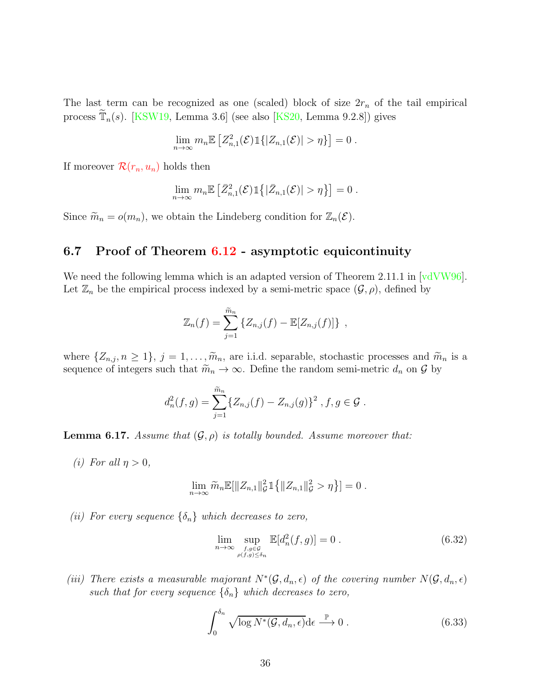The last term can be recognized as one (scaled) block of size  $2r_n$  of the tail empirical process  $\tilde{T}_n(s)$ . [\[KSW19,](#page-40-6) Lemma 3.6] (see also [\[KS20,](#page-40-3) Lemma 9.2.8]) gives

$$
\lim_{n\to\infty}m_n\mathbb{E}\left[Z_{n,1}^2(\mathcal{E})\mathbb{1}\{|Z_{n,1}(\mathcal{E})|>\eta\}\right]=0.
$$

If moreover  $\mathcal{R}(r_n, u_n)$  $\mathcal{R}(r_n, u_n)$  $\mathcal{R}(r_n, u_n)$  holds then

$$
\lim_{n\to\infty}m_n\mathbb{E}\left[\bar{Z}_{n,1}^2(\mathcal{E})\mathbb{1}\left\{\left|\bar{Z}_{n,1}(\mathcal{E})\right|>\eta\right\}\right]=0.
$$

<span id="page-35-0"></span>Since  $\widetilde{m}_n = o(m_n)$ , we obtain the Lindeberg condition for  $\mathbb{Z}_n(\mathcal{E})$ .

## 6.7 Proof of Theorem [6.12](#page-25-2) - asymptotic equicontinuity

We need the following lemma which is an adapted version of Theorem 2.11.1 in  $\lceil \text{vdVW96} \rceil$ . Let  $\mathbb{Z}_n$  be the empirical process indexed by a semi-metric space  $(\mathcal{G}, \rho)$ , defined by

$$
\mathbb{Z}_n(f) = \sum_{j=1}^{\tilde{m}_n} \{Z_{n,j}(f) - \mathbb{E}[Z_{n,j}(f)]\},\,
$$

where  $\{Z_{n,j}, n \geq 1\}$ ,  $j = 1, \ldots, \widetilde{m}_n$ , are i.i.d. separable, stochastic processes and  $\widetilde{m}_n$  is a sequence of integers such that  $\widetilde{m}_n \to \infty$ . Define the random semi-metric  $d_n$  on  $\mathcal G$  by

$$
d_n^2(f,g) = \sum_{j=1}^{\tilde{m}_n} \{Z_{n,j}(f) - Z_{n,j}(g)\}^2, f, g \in \mathcal{G}.
$$

<span id="page-35-2"></span><span id="page-35-1"></span>**Lemma 6.17.** *Assume that*  $(\mathcal{G}, \rho)$  *is totally bounded. Assume moreover that:* 

*(i)* For all  $\eta > 0$ ,

$$
\lim_{n \to \infty} \widetilde{m}_n \mathbb{E}[\|Z_{n,1}\|_{\mathcal{G}}^2 1\{ \|Z_{n,1}\|_{\mathcal{G}}^2 > \eta \}] = 0.
$$

*(ii)* For every sequence  $\{\delta_n\}$  which decreases to zero,

<span id="page-35-4"></span>
$$
\lim_{n \to \infty} \sup_{\substack{f, g \in \mathcal{G} \\ \rho(f, g) \le \delta_n}} \mathbb{E}[d_n^2(f, g)] = 0.
$$
\n(6.32)

(*iii*) There exists a measurable majorant  $N^*(\mathcal{G}, d_n, \epsilon)$  of the covering number  $N(\mathcal{G}, d_n, \epsilon)$ *such that for every sequence*  $\{\delta_n\}$  *which decreases to zero,* 

<span id="page-35-3"></span>
$$
\int_0^{\delta_n} \sqrt{\log N^*(\mathcal{G}, d_n, \epsilon)} \, d\epsilon \stackrel{\mathbb{P}}{\longrightarrow} 0 \,. \tag{6.33}
$$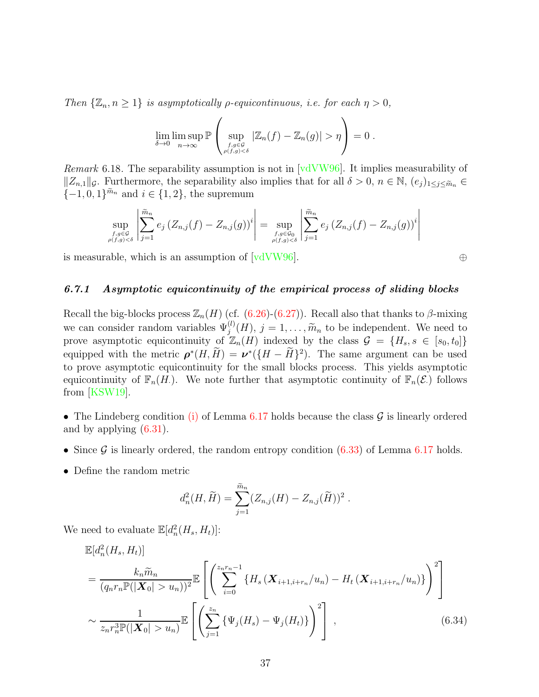*Then*  $\{\mathbb{Z}_n, n \geq 1\}$  *is asymptotically*  $\rho$ *-equicontinuous, i.e. for each*  $\eta > 0$ *,* 

$$
\lim_{\delta \to 0} \limsup_{n \to \infty} \mathbb{P}\left(\sup_{f,g \in \mathcal{G} \atop \rho(f,g) < \delta} |\mathbb{Z}_n(f) - \mathbb{Z}_n(g)| > \eta\right) = 0.
$$

*Remark* 6.18*.* The separability assumption is not in [\[vdVW96\]](#page-41-7). It implies measurability of  $||Z_{n,1}||_{\mathcal{G}}$ . Furthermore, the separability also implies that for all  $\delta > 0$ ,  $n \in \mathbb{N}$ ,  $(e_j)_{1 \leq j \leq \widetilde{m}_n}$  ${-1, 0, 1}^{\tilde{m}_n}$  and  $i \in \{1, 2\}$ , the supremum

$$
\sup_{\substack{f,g\in\mathcal{G}\\ \rho(f,g)<\delta}} \left| \sum_{j=1}^{\widetilde{m}_n} e_j \left( Z_{n,j}(f) - Z_{n,j}(g) \right)^i \right| = \sup_{\substack{f,g\in\mathcal{G}_0\\ \rho(f,g)<\delta}} \left| \sum_{j=1}^{\widetilde{m}_n} e_j \left( Z_{n,j}(f) - Z_{n,j}(g) \right)^i \right|
$$

is measurable, which is an assumption of  $\lbrack \text{vd} \text{VW96} \rbrack$ . ⊕

#### *6.7.1 Asymptotic equicontinuity of the empirical process of sliding blocks*

Recall the big-blocks process  $\mathbb{Z}_n(H)$  (cf. [\(6.26\)](#page-32-2)-[\(6.27\)](#page-33-2)). Recall also that thanks to  $\beta$ -mixing we can consider random variables  $\Psi_j^{(l)}(H)$ ,  $j = 1, ..., \widetilde{m}_n$  to be independent. We need to prove asymptotic equicontinuity of  $\mathbb{Z}_n(H)$  indexed by the class  $\mathcal{G} = \{H_s, s \in [s_0, t_0]\}$ equipped with the metric  $\rho^*(H, H) = \nu^*(H - H)^2$ . The same argument can be used to prove asymptotic equicontinuity for the small blocks process. This yields asymptotic equicontinuity of  $\mathbb{F}_n(H)$ . We note further that asymptotic continuity of  $\mathbb{F}_n(\mathcal{E})$  follows from [\[KSW19\]](#page-40-6).

- The Lindeberg condition [\(i\)](#page-35-1) of Lemma [6.17](#page-35-2) holds because the class  $\mathcal G$  is linearly ordered and by applying [\(6.31\)](#page-34-0).
- Since  $\mathcal G$  is linearly ordered, the random entropy condition  $(6.33)$  of Lemma [6.17](#page-35-2) holds.
- Define the random metric

<span id="page-36-0"></span>
$$
d_n^2(H, \widetilde{H}) = \sum_{j=1}^{\widetilde{m}_n} (Z_{n,j}(H) - Z_{n,j}(\widetilde{H}))^2.
$$

We need to evaluate  $\mathbb{E}[d_n^2(H_s, H_t)]$ :

$$
\mathbb{E}[d_n^2(H_s, H_t)]
$$
\n
$$
= \frac{k_n \widetilde{m}_n}{(q_n r_n \mathbb{P}(|\mathbf{X}_0| > u_n))^2} \mathbb{E}\left[\left(\sum_{i=0}^{z_n r_n - 1} \{H_s(\mathbf{X}_{i+1,i+r_n}/u_n) - H_t(\mathbf{X}_{i+1,i+r_n}/u_n)\}\right)^2\right]
$$
\n
$$
\sim \frac{1}{z_n r_n^3 \mathbb{P}(|\mathbf{X}_0| > u_n)} \mathbb{E}\left[\left(\sum_{j=1}^{z_n} \{\Psi_j(H_s) - \Psi_j(H_t)\}\right)^2\right],
$$
\n(6.34)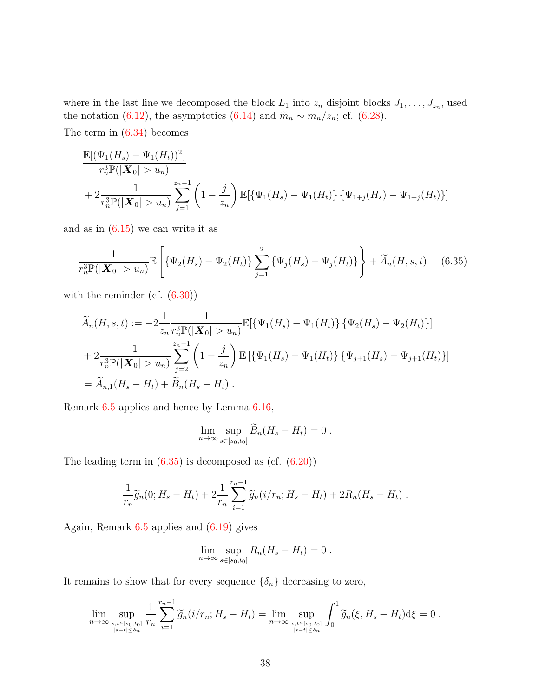where in the last line we decomposed the block  $L_1$  into  $z_n$  disjoint blocks  $J_1, \ldots, J_{z_n}$ , used the notation [\(6.12\)](#page-27-0), the asymptotics [\(6.14\)](#page-28-1) and  $\widetilde{m}_n \sim m_n/z_n$ ; cf. [\(6.28\)](#page-33-0).

The term in  $(6.34)$  becomes

$$
\frac{\mathbb{E}[(\Psi_1(H_s) - \Psi_1(H_t))^2]}{r_n^3 \mathbb{P}(|\mathbf{X}_0| > u_n)} + 2 \frac{1}{r_n^3 \mathbb{P}(|\mathbf{X}_0| > u_n)} \sum_{j=1}^{z_n - 1} \left(1 - \frac{j}{z_n}\right) \mathbb{E}[\{\Psi_1(H_s) - \Psi_1(H_t)\} \{\Psi_{1+j}(H_s) - \Psi_{1+j}(H_t)\}]
$$

and as in  $(6.15)$  we can write it as

$$
\frac{1}{r_n^3 \mathbb{P}(|\mathbf{X}_0| > u_n)} \mathbb{E}\left[\{\Psi_2(H_s) - \Psi_2(H_t)\} \sum_{j=1}^2 \{\Psi_j(H_s) - \Psi_j(H_t)\}\right] + \widetilde{A}_n(H, s, t) \quad (6.35)
$$

with the reminder (cf.  $(6.30)$ )

$$
\widetilde{A}_n(H, s, t) := -2 \frac{1}{z_n} \frac{1}{r_n^3 \mathbb{P}(|\mathbf{X}_0| > u_n)} \mathbb{E}[\{\Psi_1(H_s) - \Psi_1(H_t)\} \{\Psi_2(H_s) - \Psi_2(H_t)\}] \n+ 2 \frac{1}{r_n^3 \mathbb{P}(|\mathbf{X}_0| > u_n)} \sum_{j=2}^{z_n - 1} \left(1 - \frac{j}{z_n}\right) \mathbb{E}[\{\Psi_1(H_s) - \Psi_1(H_t)\} \{\Psi_{j+1}(H_s) - \Psi_{j+1}(H_t)\}] \n= \widetilde{A}_{n,1}(H_s - H_t) + \widetilde{B}_n(H_s - H_t).
$$

Remark [6.5](#page-18-2) applies and hence by Lemma [6.16,](#page-29-1)

<span id="page-37-0"></span>
$$
\lim_{n\to\infty}\sup_{s\in[s_0,t_0]}\widetilde{B}_n(H_s-H_t)=0.
$$

The leading term in  $(6.35)$  is decomposed as  $(cf. (6.20))$  $(cf. (6.20))$  $(cf. (6.20))$ 

$$
\frac{1}{r_n}\widetilde{g}_n(0; H_s - H_t) + 2\frac{1}{r_n}\sum_{i=1}^{r_n-1}\widetilde{g}_n(i/r_n; H_s - H_t) + 2R_n(H_s - H_t).
$$

Again, Remark  $6.5$  applies and  $(6.19)$  gives

$$
\lim_{n \to \infty} \sup_{s \in [s_0, t_0]} R_n(H_s - H_t) = 0.
$$

It remains to show that for every sequence  $\{\delta_n\}$  decreasing to zero,

$$
\lim_{n \to \infty} \sup_{\substack{s,t \in [s_0,t_0] \\ |s-t| \le \delta_n}} \frac{1}{r_n} \sum_{i=1}^{r_n-1} \widetilde{g}_n(i/r_n; H_s - H_t) = \lim_{n \to \infty} \sup_{\substack{s,t \in [s_0,t_0] \\ |s-t| \le \delta_n}} \int_0^1 \widetilde{g}_n(\xi, H_s - H_t) d\xi = 0.
$$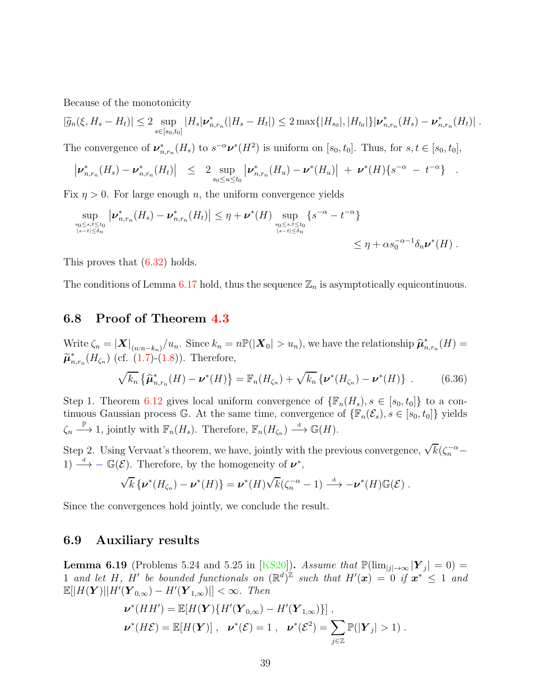Because of the monotonicity

$$
|\widetilde{g}_n(\xi, H_s - H_t)| \leq 2 \sup_{s \in [s_0, t_0]} |H_s| \nu_{n, r_n}^* (|H_s - H_t|) \leq 2 \max\{|H_{s_0}|, |H_{t_0}|\} |\nu_{n, r_n}^*(H_s) - \nu_{n, r_n}^*(H_t)|.
$$

The convergence of  $\boldsymbol{\nu}_{n,r_n}^*(H_s)$  to  $s^{-\alpha}\boldsymbol{\nu}^*(H^2)$  is uniform on  $[s_0, t_0]$ . Thus, for  $s, t \in [s_0, t_0]$ ,

$$
\left| \nu^*_{n,r_n}(H_s) - \nu^*_{n,r_n}(H_t) \right| \leq 2 \sup_{s_0 \leq u \leq t_0} \left| \nu^*_{n,r_n}(H_u) - \nu^*(H_u) \right| + \nu^*(H) \{ s^{-\alpha} - t^{-\alpha} \} .
$$

Fix  $n > 0$ . For large enough n, the uniform convergence yields

$$
\sup_{\substack{s_0\leq s,t\leq t_0\\|s-t|\leq \delta_n}}\left|\nu^*_{n,r_n}(H_s)-\nu^*_{n,r_n}(H_t)\right|\leq \eta+\nu^*(H)\sup_{\substack{s_0\leq s,t\leq t_0\\|s-t|\leq \delta_n}}\left\{s^{-\alpha}-t^{-\alpha}\right\}
$$

$$
\leq \eta+\alpha s_0^{-\alpha-1}\delta_n\nu^*(H).
$$

This proves that [\(6.32\)](#page-35-4) holds.

<span id="page-38-1"></span>The conditions of Lemma [6.17](#page-35-2) hold, thus the sequence  $\mathbb{Z}_n$  is asymptotically equicontinuous.

## 6.8 Proof of Theorem [4.3](#page-9-0)

Write  $\zeta_n = |\mathbf{X}|_{(n:n-k_n)}/u_n$ . Since  $k_n = n\mathbb{P}(|\mathbf{X}_0| > u_n)$ , we have the relationship  $\hat{\boldsymbol{\mu}}_n^*$  $_{n,r_n}^*(H) =$  $\widetilde{\boldsymbol{\mu}}_n^*$  $_{n,r_n}^*(H_{\zeta_n})$  (cf. [\(1.7\)](#page-2-2)-[\(1.8\)](#page-2-0)). Therefore,

$$
\sqrt{k_n} \left\{ \widehat{\boldsymbol{\mu}}_{n,r_n}^*(H) - \boldsymbol{\nu}^*(H) \right\} = \mathbb{F}_n(H_{\zeta_n}) + \sqrt{k_n} \left\{ \boldsymbol{\nu}^*(H_{\zeta_n}) - \boldsymbol{\nu}^*(H) \right\} \ . \tag{6.36}
$$

Step 1. Theorem [6.12](#page-25-2) gives local uniform convergence of  $\{\mathbb{F}_n(H_s), s \in [s_0, t_0]\}\)$  to a continuous Gaussian process G. At the same time, convergence of  $\{\mathbb{F}_n(\mathcal{E}_s), s \in [s_0, t_0]\}$  yields  $\zeta_n \stackrel{\mathbb{P}}{\longrightarrow} 1$ , jointly with  $\mathbb{F}_n(H_s)$ . Therefore,  $\mathbb{F}_n(H_{\zeta_n}) \stackrel{d}{\longrightarrow} \mathbb{G}(H)$ .

Step 2. Using Vervaat's theorem, we have, jointly with the previous convergence,  $\sqrt{k}(\zeta_n^{-\alpha} -$ 1)  $\stackrel{d}{\longrightarrow} -\mathbb{G}(\mathcal{E})$ . Therefore, by the homogeneity of  $\nu^*$ ,

$$
\sqrt{k}\left\{\boldsymbol{\nu}^*(H_{\zeta_n})-\boldsymbol{\nu}^*(H)\right\}=\boldsymbol{\nu}^*(H)\sqrt{k}(\zeta_n^{-\alpha}-1)\stackrel{\text{d}}{\longrightarrow}-\boldsymbol{\nu}^*(H)\mathbb{G}(\mathcal{E})\ .
$$

Since the convergences hold jointly, we conclude the result.

#### <span id="page-38-0"></span>6.9 Auxiliary results

**Lemma 6.19** (Problems 5.24 and 5.25 in [\[KS20\]](#page-40-3)). Assume that  $\mathbb{P}(\lim_{|j|\to\infty} |\mathbf{Y}_j| = 0)$ 1 and let H, H' be bounded functionals on  $(\mathbb{R}^d)^{\mathbb{Z}}$  such that  $H'(\boldsymbol{x}) = 0$  if  $\boldsymbol{x}^* \leq 1$  and  $\mathbb{E}[|H(\boldsymbol{Y})||H'(\boldsymbol{Y}_{0,\infty}) - H'(\boldsymbol{Y}_{1,\infty})|] < \infty$ . Then

$$
\boldsymbol{\nu}^*(HH') = \mathbb{E}[H(\boldsymbol{Y})\{H'(\boldsymbol{Y}_{0,\infty}) - H'(\boldsymbol{Y}_{1,\infty})\}],
$$
  

$$
\boldsymbol{\nu}^*(H\mathcal{E}) = \mathbb{E}[H(\boldsymbol{Y})], \quad \boldsymbol{\nu}^*(\mathcal{E}) = 1, \quad \boldsymbol{\nu}^*(\mathcal{E}^2) = \sum_{j\in\mathbb{Z}} \mathbb{P}(|\boldsymbol{Y}_j| > 1).
$$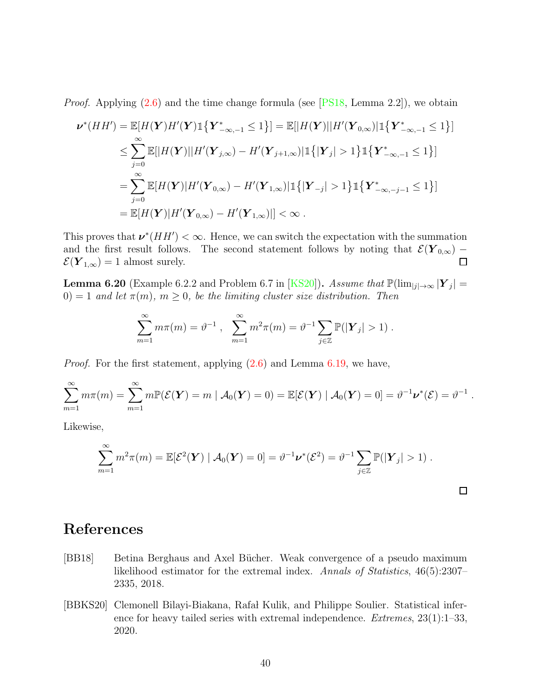*Proof.* Applying  $(2.6)$  and the time change formula (see [\[PS18,](#page-41-4) Lemma 2.2]), we obtain

$$
\nu^*(HH') = \mathbb{E}[H(\mathbf{Y})H'(\mathbf{Y})\mathbb{1}\{\mathbf{Y}_{-\infty,-1}^*\leq 1\}] = \mathbb{E}[|H(\mathbf{Y})||H'(\mathbf{Y}_{0,\infty})|\mathbb{1}\{\mathbf{Y}_{-\infty,-1}^*\leq 1\}]
$$
  
\n
$$
\leq \sum_{j=0}^{\infty} \mathbb{E}[|H(\mathbf{Y})||H'(\mathbf{Y}_{j,\infty}) - H'(\mathbf{Y}_{j+1,\infty})|\mathbb{1}\{| \mathbf{Y}_j | > 1\} \mathbb{1}\{\mathbf{Y}_{-\infty,-1}^*\leq 1\}]
$$
  
\n
$$
= \sum_{j=0}^{\infty} \mathbb{E}[H(\mathbf{Y})|H'(\mathbf{Y}_{0,\infty}) - H'(\mathbf{Y}_{1,\infty})|\mathbb{1}\{| \mathbf{Y}_{-j} | > 1\} \mathbb{1}\{\mathbf{Y}_{-\infty,-j-1}^*\leq 1\}]
$$
  
\n
$$
= \mathbb{E}[H(\mathbf{Y})|H'(\mathbf{Y}_{0,\infty}) - H'(\mathbf{Y}_{1,\infty})|] < \infty.
$$

This proves that  $\nu^*(HH') < \infty$ . Hence, we can switch the expectation with the summation and the first result follows. The second statement follows by noting that  $\mathcal{E}(\mathbf{Y}_{0,\infty}) - \mathcal{E}(\mathbf{Y}_{1,\infty}) = 1$  almost surely.  $\mathcal{E}(\boldsymbol{Y}_{1,\infty})=1$  almost surely.

**Lemma 6.20** (Example 6.2.2 and Problem 6.7 in [\[KS20\]](#page-40-3)). *Assume that*  $\mathbb{P}(\lim_{|j| \to \infty} |\mathbf{Y}_j| =$  $(0) = 1$  *and let*  $\pi(m)$ *,*  $m \geq 0$ *, be the limiting cluster size distribution. Then* 

$$
\sum_{m=1}^{\infty} m\pi(m) = \vartheta^{-1} , \quad \sum_{m=1}^{\infty} m^2\pi(m) = \vartheta^{-1} \sum_{j\in\mathbb{Z}} \mathbb{P}(|\mathbf{Y}_j| > 1) .
$$

*Proof.* For the first statement, applying  $(2.6)$  and Lemma [6.19,](#page-38-0) we have,

$$
\sum_{m=1}^{\infty} m\pi(m) = \sum_{m=1}^{\infty} m \mathbb{P}(\mathcal{E}(\boldsymbol{Y}) = m \mid \mathcal{A}_0(\boldsymbol{Y}) = 0) = \mathbb{E}[\mathcal{E}(\boldsymbol{Y}) \mid \mathcal{A}_0(\boldsymbol{Y}) = 0] = \vartheta^{-1} \boldsymbol{\nu}^*(\mathcal{E}) = \vartheta^{-1}.
$$

Likewise,

$$
\sum_{m=1}^{\infty} m^2 \pi(m) = \mathbb{E}[\mathcal{E}^2(\boldsymbol{Y}) \mid \mathcal{A}_0(\boldsymbol{Y}) = 0] = \vartheta^{-1} \boldsymbol{\nu}^*(\mathcal{E}^2) = \vartheta^{-1} \sum_{j \in \mathbb{Z}} \mathbb{P}(|\boldsymbol{Y}_j| > 1).
$$

 $\Box$ 

# References

- <span id="page-39-1"></span>[BB18] Betina Berghaus and Axel Bücher. Weak convergence of a pseudo maximum likelihood estimator for the extremal index. *Annals of Statistics*, 46(5):2307– 2335, 2018.
- <span id="page-39-0"></span>[BBKS20] Clemonell Bilayi-Biakana, Rafał Kulik, and Philippe Soulier. Statistical inference for heavy tailed series with extremal independence. *Extremes*, 23(1):1–33, 2020.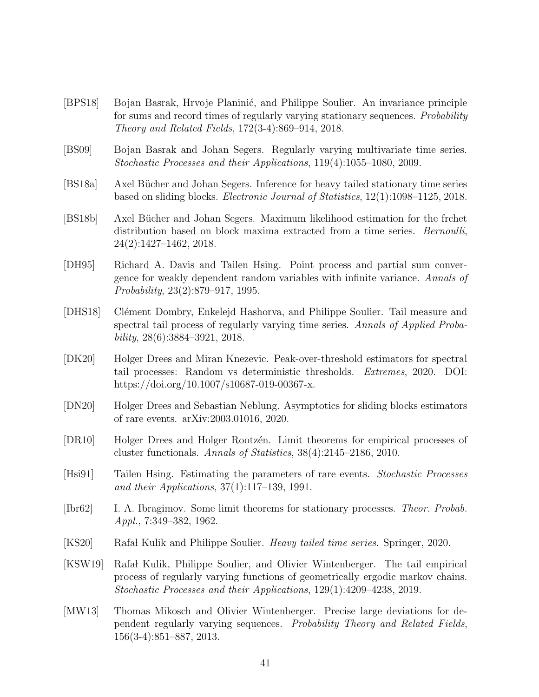- <span id="page-40-5"></span>[BPS18] Bojan Basrak, Hrvoje Planinić, and Philippe Soulier. An invariance principle for sums and record times of regularly varying stationary sequences. *Probability Theory and Related Fields*, 172(3-4):869–914, 2018.
- <span id="page-40-7"></span>[BS09] Bojan Basrak and Johan Segers. Regularly varying multivariate time series. *Stochastic Processes and their Applications*, 119(4):1055–1080, 2009.
- <span id="page-40-12"></span>[BS18a] Axel Bücher and Johan Segers. Inference for heavy tailed stationary time series based on sliding blocks. *Electronic Journal of Statistics*, 12(1):1098–1125, 2018.
- <span id="page-40-11"></span>[BS18b] Axel Bücher and Johan Segers. Maximum likelihood estimation for the frchet distribution based on block maxima extracted from a time series. *Bernoulli*, 24(2):1427–1462, 2018.
- <span id="page-40-8"></span>[DH95] Richard A. Davis and Tailen Hsing. Point process and partial sum convergence for weakly dependent random variables with infinite variance. *Annals of Probability*, 23(2):879–917, 1995.
- <span id="page-40-9"></span>[DHS18] Clément Dombry, Enkelejd Hashorva, and Philippe Soulier. Tail measure and spectral tail process of regularly varying time series. *Annals of Applied Probability*, 28(6):3884–3921, 2018.
- <span id="page-40-10"></span>[DK20] Holger Drees and Miran Knezevic. Peak-over-threshold estimators for spectral tail processes: Random vs deterministic thresholds. *Extremes*, 2020. DOI: https://doi.org/10.1007/s10687-019-00367-x.
- <span id="page-40-4"></span>[DN20] Holger Drees and Sebastian Neblung. Asymptotics for sliding blocks estimators of rare events. arXiv:2003.01016, 2020.
- <span id="page-40-2"></span>[DR10] Holger Drees and Holger Rootzen. Limit theorems for empirical processes of cluster functionals. *Annals of Statistics*, 38(4):2145–2186, 2010.
- <span id="page-40-1"></span>[Hsi91] Tailen Hsing. Estimating the parameters of rare events. *Stochastic Processes and their Applications*, 37(1):117–139, 1991.
- <span id="page-40-13"></span>[Ibr62] I. A. Ibragimov. Some limit theorems for stationary processes. *Theor. Probab. Appl.*, 7:349–382, 1962.
- <span id="page-40-3"></span>[KS20] Rafa Kulik and Philippe Soulier. *Heavy tailed time series*. Springer, 2020.
- <span id="page-40-6"></span>[KSW19] Rafał Kulik, Philippe Soulier, and Olivier Wintenberger. The tail empirical process of regularly varying functions of geometrically ergodic markov chains. *Stochastic Processes and their Applications*, 129(1):4209–4238, 2019.
- <span id="page-40-0"></span>[MW13] Thomas Mikosch and Olivier Wintenberger. Precise large deviations for dependent regularly varying sequences. *Probability Theory and Related Fields*, 156(3-4):851–887, 2013.